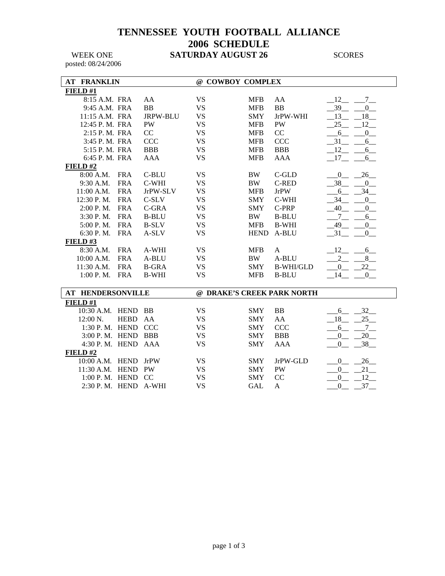### **TENNESSEE YOUTH FOOTBALL ALLIANCE 2006 SCHEDULE**  WEEK ONE **SATURDAY AUGUST 26** SCORES

posted: 08/24/2006

| <b>AT FRANKLIN</b>            |              | @ COWBOY COMPLEX |             |                            |                                    |
|-------------------------------|--------------|------------------|-------------|----------------------------|------------------------------------|
| FIELD#1                       |              |                  |             |                            |                                    |
| 8:15 A.M. FRA                 | AA           | <b>VS</b>        | <b>MFB</b>  | AA                         | 12<br>$\overline{7}$               |
| 9:45 A.M. FRA                 | BB           | <b>VS</b>        | <b>MFB</b>  | BB                         | 39<br>$\overline{0}$               |
| 11:15 A.M. FRA                | JRPW-BLU     | <b>VS</b>        | <b>SMY</b>  | JrPW-WHI                   | $-18$<br>13                        |
| 12:45 P.M. FRA                | PW           | <b>VS</b>        | <b>MFB</b>  | PW                         | 25<br>12                           |
| 2:15 P.M. FRA                 | CC           | <b>VS</b>        | <b>MFB</b>  | CC                         | $\mathbf{0}$<br>6                  |
| 3:45 P. M. FRA                | <b>CCC</b>   | <b>VS</b>        | <b>MFB</b>  | <b>CCC</b>                 | 31<br>$6_{-}$                      |
| 5:15 P.M. FRA                 | <b>BBB</b>   | <b>VS</b>        | <b>MFB</b>  | <b>BBB</b>                 | 12<br>6                            |
| 6:45 P.M. FRA                 | <b>AAA</b>   | <b>VS</b>        | <b>MFB</b>  | AAA                        | $-17$<br>$6\overline{\phantom{0}}$ |
| FIELD#2                       |              |                  |             |                            |                                    |
| 8:00 A.M.<br><b>FRA</b>       | C-BLU        | <b>VS</b>        | <b>BW</b>   | C-GLD                      | 26<br>$\overline{0}$               |
| <b>FRA</b><br>9:30 A.M.       | C-WHI        | <b>VS</b>        | <b>BW</b>   | <b>C-RED</b>               | 38<br>$\mathbf{0}$                 |
| <b>FRA</b><br>11:00 A.M.      | JrPW-SLV     | <b>VS</b>        | <b>MFB</b>  | <b>JrPW</b>                | 34<br>6                            |
| 12:30 P.M.<br><b>FRA</b>      | $C-SLV$      | <b>VS</b>        | <b>SMY</b>  | C-WHI                      | 34<br>$\mathbf{0}$                 |
| <b>FRA</b><br>2:00 P.M.       | C-GRA        | <b>VS</b>        | <b>SMY</b>  | C-PRP                      | 40<br>$\mathbf{0}$                 |
| 3:30 P.M.<br><b>FRA</b>       | <b>B-BLU</b> | <b>VS</b>        | <b>BW</b>   | <b>B-BLU</b>               | $7\overline{ }$<br>6               |
| <b>FRA</b><br>5:00 P.M.       | <b>B-SLV</b> | <b>VS</b>        | <b>MFB</b>  | <b>B-WHI</b>               | 49<br>$\overline{0}$               |
| <b>FRA</b><br>6:30 P.M.       | A-SLV        | <b>VS</b>        | <b>HEND</b> | A-BLU                      | 31<br>$\mathbf{0}$                 |
| FIELD#3                       |              |                  |             |                            |                                    |
| 8:30 A.M.<br><b>FRA</b>       | A-WHI        | <b>VS</b>        | <b>MFB</b>  | $\mathbf{A}$               | 12<br>6                            |
| <b>FRA</b><br>10:00 A.M.      | A-BLU        | <b>VS</b>        | BW          | A-BLU                      | 8<br>$\overline{2}$                |
| <b>FRA</b><br>11:30 A.M.      | <b>B-GRA</b> | <b>VS</b>        | <b>SMY</b>  | <b>B-WHI/GLD</b>           | 22<br>$\mathbf{0}$                 |
| <b>FRA</b><br>$1:00$ P. M.    | <b>B-WHI</b> | <b>VS</b>        | <b>MFB</b>  | <b>B-BLU</b>               | 14<br>$\mathbf{0}$                 |
|                               |              |                  |             |                            |                                    |
| <b>AT HENDERSONVILLE</b>      |              |                  |             | @ DRAKE'S CREEK PARK NORTH |                                    |
| FIELD #1                      |              |                  |             |                            |                                    |
| 10:30 A.M. HEND               | BB           | <b>VS</b>        | <b>SMY</b>  | <b>BB</b>                  | 32<br>6                            |
| 12:00 N.<br><b>HEBD</b>       | AA           | <b>VS</b>        | <b>SMY</b>  | AA                         | 25<br>18                           |
| 1:30 P.M. HEND CCC            |              | <b>VS</b>        | <b>SMY</b>  | <b>CCC</b>                 | 6<br>$7\overline{ }$               |
| 3:00 P. M. HEND BBB           |              | <b>VS</b>        | <b>SMY</b>  | <b>BBB</b>                 | 20<br>$\mathbf{0}$                 |
| 4:30 P.M. HEND AAA<br>FIELD#2 |              | <b>VS</b>        | <b>SMY</b>  | <b>AAA</b>                 | 38<br>$\boldsymbol{0}$             |
| 10:00 A.M. HEND               | JrPW         | <b>VS</b>        | <b>SMY</b>  | JrPW-GLD                   | 26<br>$\overline{0}$               |
| 11:30 A.M. HEND               | PW           | <b>VS</b>        | <b>SMY</b>  | PW                         | 21<br>$\mathbf{0}$                 |
| 1:00 P.M. HEND CC             |              | <b>VS</b>        | <b>SMY</b>  | CC                         | 12<br>$\boldsymbol{0}$             |
| 2:30 P.M. HEND                | A-WHI        | <b>VS</b>        | <b>GAL</b>  | A                          | 37<br>$\overline{0}$               |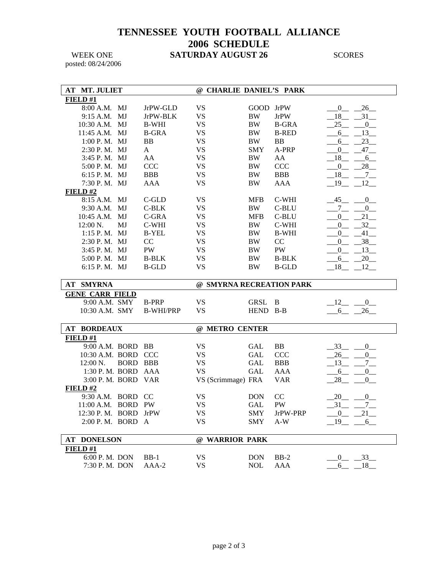## **TENNESSEE YOUTH FOOTBALL ALLIANCE 2006 SCHEDULE**  WEEK ONE **SATURDAY AUGUST 26** SCORES

posted: 08/24/2006

| <b>AT MT. JULIET</b>   |                       |                  | @ CHARLIE DANIEL'S PARK  |            |              |                             |
|------------------------|-----------------------|------------------|--------------------------|------------|--------------|-----------------------------|
| FIELD#1                |                       |                  |                          |            |              |                             |
| 8:00 A.M. MJ           |                       | JrPW-GLD         | <b>VS</b>                | GOOD JrPW  |              | 26<br>$\boldsymbol{0}$      |
| 9:15 A.M.              | MJ                    | JrPW-BLK         | <b>VS</b>                | <b>BW</b>  | <b>JrPW</b>  | 18<br>31                    |
| 10:30 A.M.             | MJ                    | <b>B-WHI</b>     | <b>VS</b>                | <b>BW</b>  | <b>B-GRA</b> | 25<br>$\boldsymbol{0}$      |
| 11:45 A.M.             | MJ                    | <b>B-GRA</b>     | <b>VS</b>                | BW         | <b>B-RED</b> | 13<br>6                     |
| 1:00 P.M. MJ           |                       | <b>BB</b>        | <b>VS</b>                | <b>BW</b>  | <b>BB</b>    | 23<br>6                     |
| 2:30 P.M. MJ           |                       | $\mathbf{A}$     | <b>VS</b>                | <b>SMY</b> | A-PRP        | $\overline{0}$<br>47        |
| 3:45 P.M. MJ           |                       | AA               | <b>VS</b>                | <b>BW</b>  | AA           | 18<br>6                     |
| 5:00 P.M. MJ           |                       | <b>CCC</b>       | <b>VS</b>                | <b>BW</b>  | <b>CCC</b>   | 28<br>$\boldsymbol{0}$      |
| 6:15 P.M. MJ           |                       | <b>BBB</b>       | <b>VS</b>                | BW         | <b>BBB</b>   | 18<br>7                     |
| 7:30 P.M. MJ           |                       | <b>AAA</b>       | <b>VS</b>                | BW         | <b>AAA</b>   | -19<br>12                   |
| FIELD#2                |                       |                  |                          |            |              |                             |
| 8:15 A.M. MJ           |                       | C-GLD            | VS                       | <b>MFB</b> | C-WHI        | $-45$<br>$\mathbf{0}$       |
| 9:30 A.M.              | MJ                    | C-BLK            | <b>VS</b>                | BW         | C-BLU        | 7<br>0                      |
| 10:45 A.M.             | MJ                    | C-GRA            | <b>VS</b>                | <b>MFB</b> | C-BLU        | 21<br>0                     |
| 12:00 N.               | MJ                    | C-WHI            | <b>VS</b>                | BW         | C-WHI        | 32<br>$\theta$              |
| $1:15$ P.M. MJ         |                       | <b>B-YEL</b>     | <b>VS</b>                | BW         | <b>B-WHI</b> | 41<br>$\theta$              |
| 2:30 P.M. MJ           |                       | CC               | <b>VS</b>                | BW         | CC           | 38<br>$\overline{0}$        |
| 3:45 P.M. MJ           |                       | PW               | <b>VS</b>                | BW         | PW           | $\boldsymbol{0}$<br>13      |
| 5:00 P.M. MJ           |                       | <b>B-BLK</b>     | <b>VS</b>                | BW         | <b>B-BLK</b> | 20<br>$6_{-}$               |
| 6:15 P.M. MJ           |                       | <b>B-GLD</b>     | <b>VS</b>                | BW         | <b>B-GLD</b> | 18<br>12                    |
|                        |                       |                  |                          |            |              |                             |
|                        |                       |                  |                          |            |              |                             |
| <b>AT SMYRNA</b>       |                       |                  | @ SMYRNA RECREATION PARK |            |              |                             |
| <b>GENE CARR FIELD</b> |                       |                  |                          |            |              |                             |
|                        | 9:00 A.M. SMY         | <b>B-PRP</b>     | <b>VS</b>                | GRSL       | B            | 12<br>$\overline{0}$        |
| 10:30 A.M. SMY         |                       | <b>B-WHI/PRP</b> | <b>VS</b>                | HEND B-B   |              | 26<br>6                     |
|                        |                       |                  |                          |            |              |                             |
| <b>AT BORDEAUX</b>     |                       |                  | @ METRO CENTER           |            |              |                             |
| FIELD #1               |                       |                  |                          |            |              |                             |
|                        | 9:00 A.M. BORD BB     |                  | <b>VS</b>                | GAL        | <b>BB</b>    | 33<br>$\overline{0}$        |
|                        | 10:30 A.M. BORD CCC   |                  | <b>VS</b>                | <b>GAL</b> | <b>CCC</b>   | 26<br>$\mathbf{0}$          |
| $12:00 \text{ N.}$     | <b>BORD BBB</b>       |                  | <b>VS</b>                | GAL        | <b>BBB</b>   | 13<br>$7\overline{ }$       |
|                        | 1:30 P.M. BORD        | AAA              | <b>VS</b>                | GAL        | AAA          |                             |
|                        | 3:00 P. M. BORD VAR   |                  |                          |            |              | $6_{-}$<br>$0$ <sub>—</sub> |
| FIELD#2                |                       |                  | VS (Scrimmage) FRA       |            | <b>VAR</b>   | 28<br>$\overline{0}$        |
|                        | 9:30 A.M. BORD        | <sub>CC</sub>    |                          |            |              | $\overline{0}$              |
|                        |                       |                  | <b>VS</b>                | <b>DON</b> | CC           | 20                          |
|                        | 11:00 A.M. BORD PW    |                  | <b>VS</b>                | <b>GAL</b> | PW           | $-31$<br>$7\overline{ }$    |
|                        | 12:30 P. M. BORD JrPW |                  | VS                       | SMY        | JrPW-PRP     | $-0$ $-21$ $-$              |
|                        | 2:00 P.M. BORD A      |                  | VS                       | <b>SMY</b> | $A-W$        | $-19$<br>6                  |
| <b>AT DONELSON</b>     |                       |                  | @ WARRIOR PARK           |            |              |                             |
| FIELD#1                |                       |                  |                          |            |              |                             |
|                        | 6:00 P.M. DON         | $BB-1$           | <b>VS</b>                | <b>DON</b> | $BB-2$       | $-33$<br>$\overline{0}$     |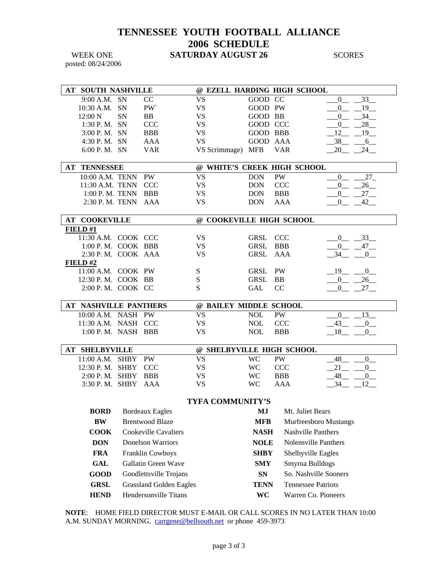### **TENNESSEE YOUTH FOOTBALL ALLIANCE 2006 SCHEDULE**  WEEK ONE **SATURDAY AUGUST 26** SCORES

posted: 08/24/2006

|                                                    | AT SOUTH NASHVILLE             |           |                                | @ EZELL HARDING HIGH SCHOOL |              |               |                                                |
|----------------------------------------------------|--------------------------------|-----------|--------------------------------|-----------------------------|--------------|---------------|------------------------------------------------|
|                                                    | 9:00 A.M. SN                   |           | CC                             | <b>VS</b>                   | GOOD CC      |               | $\boldsymbol{0}$<br>33                         |
|                                                    | 10:30 A.M.                     | <b>SN</b> | <b>PW</b>                      | <b>VS</b>                   | GOOD PW      |               | $\boldsymbol{0}$<br>$19$ <sub>—</sub>          |
|                                                    | 12:00 N                        | SN        | <b>BB</b>                      | <b>VS</b>                   | GOOD BB      |               | 34<br>$\mathbf{0}$                             |
|                                                    | 1:30 P.M. SN                   |           | <b>CCC</b>                     | <b>VS</b>                   | GOOD CCC     |               | 28<br>$\mathbf{0}$                             |
|                                                    | 3:00 P.M. SN                   |           | <b>BBB</b>                     | <b>VS</b>                   | GOOD BBB     |               | 12<br>19                                       |
|                                                    | 4:30 P.M. SN                   |           | <b>AAA</b>                     | <b>VS</b>                   | GOOD AAA     |               | $-38$<br>$6\overline{6}$                       |
|                                                    | 6:00 P.M. SN                   |           | <b>VAR</b>                     | VS Scrimmage) MFB           |              | <b>VAR</b>    | $24$ <sub>—</sub><br>$_{20}$                   |
| @ WHITE'S CREEK HIGH SCHOOL<br><b>AT TENNESSEE</b> |                                |           |                                |                             |              |               |                                                |
|                                                    | 10:00 A.M. TENN                |           | PW                             | <b>VS</b>                   | <b>DON</b>   | <b>PW</b>     | $27_{-}$<br>$\overline{0}$                     |
|                                                    | 11:30 A.M. TENN                |           | <b>CCC</b>                     | <b>VS</b>                   | <b>DON</b>   | <b>CCC</b>    | 26<br>$\overline{0}$                           |
|                                                    | 1:00 P. M. TENN                |           | <b>BBB</b>                     | <b>VS</b>                   | <b>DON</b>   | <b>BBB</b>    | 27<br>$\mathbf{0}$                             |
|                                                    | 2:30 P. M. TENN                |           | AAA                            | <b>VS</b>                   | <b>DON</b>   | AAA           | 42<br>$\mathbf{0}$                             |
|                                                    |                                |           |                                |                             |              |               |                                                |
|                                                    | <b>AT COOKEVILLE</b>           |           |                                | @ COOKEVILLE HIGH SCHOOL    |              |               |                                                |
|                                                    | FIELD#1<br>11:30 A.M. COOK CCC |           |                                |                             |              | <b>CCC</b>    |                                                |
|                                                    | 1:00 P.M. COOK BBB             |           |                                | <b>VS</b>                   | GRSL<br>GRSL | <b>BBB</b>    | $-33$<br>0                                     |
|                                                    | 2:30 P.M. COOK AAA             |           |                                | <b>VS</b><br><b>VS</b>      | GRSL         | AAA           | $\mathbf{0}$<br>$47 -$<br>34<br>$\overline{0}$ |
|                                                    | FIELD#2                        |           |                                |                             |              |               |                                                |
|                                                    | 11:00 A.M. COOK PW             |           |                                | S                           | GRSL         | PW            | 19<br>$\overline{0}$                           |
|                                                    | 12:30 P.M. COOK BB             |           |                                | ${\bf S}$                   | GRSL         | <b>BB</b>     | 26<br>$\mathbf{0}$                             |
|                                                    | 2:00 P.M. COOK CC              |           |                                | S                           | GAL          | <sub>CC</sub> | $27$ <sub>—</sub><br>$\overline{0}$            |
|                                                    |                                |           |                                |                             |              |               |                                                |
|                                                    | <b>AT NASHVILLE PANTHERS</b>   |           |                                | @ BAILEY MIDDLE SCHOOL      |              |               |                                                |
|                                                    | 10:00 A.M. NASH PW             |           |                                | <b>VS</b>                   | <b>NOL</b>   | <b>PW</b>     | 13<br>$\overline{0}$                           |
|                                                    | 11:30 A.M. NASH CCC            |           |                                | VS.                         | <b>NOL</b>   | CCC           | $-43$<br>$\mathbf{0}$                          |
|                                                    | 1:00 P.M. NASH BBB             |           |                                | <b>VS</b>                   | <b>NOL</b>   | <b>BBB</b>    | $-18$<br>$\mathbf{0}$                          |
|                                                    | <b>AT SHELBYVILLE</b>          |           |                                | @ SHELBYVILLE HIGH SCHOOL   |              |               |                                                |
|                                                    | 11:00 A.M. SHBY                |           | PW                             | <b>VS</b>                   | <b>WC</b>    | PW            | 48<br>$\mathbf{0}$                             |
|                                                    | 12:30 P.M. SHBY                |           | <b>CCC</b>                     | <b>VS</b>                   | <b>WC</b>    | <b>CCC</b>    | $21$ <sub>—</sub><br>$\mathbf{0}$              |
|                                                    | 2:00 P.M. SHBY                 |           | <b>BBB</b>                     | <b>VS</b>                   | <b>WC</b>    | <b>BBB</b>    | 48<br>$\mathbf{0}$                             |
|                                                    | 3:30 P.M. SHBY                 |           | AAA                            | <b>VS</b>                   | <b>WC</b>    | <b>AAA</b>    | $-34$<br>12                                    |
|                                                    |                                |           |                                |                             |              |               |                                                |
|                                                    | <b>BORD</b>                    |           | <b>Bordeaux Eagles</b>         | TYFA COMMUNITY'S            | MJ           |               | Mt. Juliet Bears                               |
|                                                    | <b>BW</b>                      |           | <b>Brentwood Blaze</b>         |                             | <b>MFB</b>   |               | Murfreesboro Mustangs                          |
|                                                    | <b>COOK</b>                    |           | <b>Cookeville Cavaliers</b>    |                             | <b>NASH</b>  |               | <b>Nashville Panthers</b>                      |
|                                                    | <b>DON</b>                     |           | <b>Donelson Warriors</b>       |                             | <b>NOLE</b>  |               | Nolensville Panthers                           |
|                                                    |                                |           |                                |                             | <b>SHBY</b>  |               | Shelbyville Eagles                             |
|                                                    | <b>FRA</b>                     |           | Franklin Cowboys               |                             |              |               |                                                |
|                                                    | <b>GAL</b>                     |           | Gallatin Green Wave            |                             | <b>SMY</b>   |               | Smyrna Bulldogs                                |
|                                                    | <b>GOOD</b>                    |           | Goodlettsville Trojans         |                             | <b>SN</b>    |               | So. Nashville Sooners                          |
|                                                    | <b>GRSL</b>                    |           | <b>Grassland Golden Eagles</b> |                             | <b>TENN</b>  |               | <b>Tennessee Patriots</b>                      |
|                                                    | <b>HEND</b>                    |           | Hendersonville Titans          |                             | <b>WC</b>    |               | Warren Co. Pioneers                            |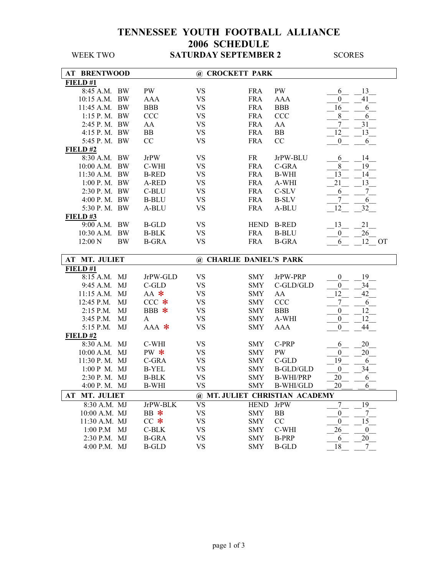| <b>BRENTWOOD</b><br>AT |           |              | @ CROCKETT PARK         |             |                                |                        |
|------------------------|-----------|--------------|-------------------------|-------------|--------------------------------|------------------------|
| FIELD#1                |           |              |                         |             |                                |                        |
| 8:45 A.M. BW           |           | PW           | <b>VS</b>               | <b>FRA</b>  | PW                             | 13<br>6                |
| $10:15$ A.M.           | <b>BW</b> | <b>AAA</b>   | <b>VS</b>               | <b>FRA</b>  | <b>AAA</b>                     | 41<br>$\mathbf{0}$     |
| 11:45 A.M. BW          |           | <b>BBB</b>   | <b>VS</b>               | <b>FRA</b>  | <b>BBB</b>                     | 16<br>6                |
| 1:15 P.M. BW           |           | CCC          | <b>VS</b>               | <b>FRA</b>  | <b>CCC</b>                     | $8\,$<br>6             |
| 2:45 P. M. BW          |           | AA           | <b>VS</b>               | <b>FRA</b>  | AA                             | 31<br>7                |
| 4:15 P.M. BW           |           | BB           | <b>VS</b>               | <b>FRA</b>  | <b>BB</b>                      | 12<br>13               |
| 5:45 P. M. BW          |           | CC           | <b>VS</b>               | <b>FRA</b>  | CC                             | $\boldsymbol{0}$<br>6  |
| FIELD#2                |           |              |                         |             |                                |                        |
| 8:30 A.M.              | <b>BW</b> | <b>JrPW</b>  | <b>VS</b>               | <b>FR</b>   | JrPW-BLU                       | 14<br>6                |
| $10:00$ A.M.           | <b>BW</b> | C-WHI        | <b>VS</b>               | <b>FRA</b>  | C-GRA                          | 8<br>19                |
| 11:30 A.M. BW          |           | <b>B-RED</b> | <b>VS</b>               | <b>FRA</b>  | <b>B-WHI</b>                   | 13<br>14               |
| 1:00 P. M. BW          |           | A-RED        | <b>VS</b>               | <b>FRA</b>  | A-WHI                          | 21<br>13               |
| 2:30 P.M. BW           |           | C-BLU        | <b>VS</b>               | <b>FRA</b>  | C-SLV                          | 7<br>6                 |
| 4:00 P.M. BW           |           | <b>B-BLU</b> | <b>VS</b>               | <b>FRA</b>  | <b>B-SLV</b>                   | 7<br>6                 |
| 5:30 P.M. BW           |           | A-BLU        | <b>VS</b>               | <b>FRA</b>  | A-BLU                          | 12<br>32               |
| FIELD#3                |           |              |                         |             |                                |                        |
| 9:00 A.M. BW           |           | <b>B-GLD</b> | <b>VS</b>               | <b>HEND</b> | <b>B-RED</b>                   | 13<br>21               |
| $10:30$ A.M.           | <b>BW</b> | <b>B-BLK</b> | <b>VS</b>               | <b>FRA</b>  | <b>B-BLU</b>                   | 26<br>$\overline{0}$   |
| $12:00\text{ N}$       | <b>BW</b> | <b>B-GRA</b> | <b>VS</b>               | <b>FRA</b>  | <b>B-GRA</b>                   | 12<br>6<br><b>OT</b>   |
|                        |           |              |                         |             |                                |                        |
| MT. JULIET<br>AT       |           |              | @ CHARLIE DANIEL'S PARK |             |                                |                        |
| FIELD#1                |           |              |                         |             |                                |                        |
| 8:15 A.M.              | MJ        | JrPW-GLD     | <b>VS</b>               | <b>SMY</b>  | JrPW-PRP                       | 19<br>$\boldsymbol{0}$ |
| 9:45 A.M.              | MJ        | C-GLD        | <b>VS</b>               | <b>SMY</b>  | C-GLD/GLD                      | 34<br>$\mathbf{0}$     |
| $11:15$ A.M.           | MJ        | $AA$ $*$     | <b>VS</b>               | <b>SMY</b>  | AA                             | 12<br>42               |
| 12:45 P.M.             | MJ        | $CCC *$      | <b>VS</b>               | <b>SMY</b>  | <b>CCC</b>                     | 7<br>6                 |
| 2:15 P.M.              | MJ        | BBB *        | <b>VS</b>               | <b>SMY</b>  | <b>BBB</b>                     | 12<br>$\boldsymbol{0}$ |
| 3:45 P.M.              | MJ        | A            | <b>VS</b>               | <b>SMY</b>  | A-WHI                          | 12<br>$\overline{0}$   |
| 5:15 P.M.              | MJ        | $AAA$ *      | <b>VS</b>               | <b>SMY</b>  | <b>AAA</b>                     | $\boldsymbol{0}$<br>44 |
| FIELD#2                |           |              |                         |             |                                |                        |
| 8:30 A.M.              | MJ        | C-WHI        | <b>VS</b>               | <b>SMY</b>  | C-PRP                          | 20<br>6                |
| 10:00 A.M.             | MJ        | PW $*$       | <b>VS</b>               | <b>SMY</b>  | PW                             | 20<br>$\boldsymbol{0}$ |
| $11:30$ P. M.          | MJ        | C-GRA        | <b>VS</b>               | <b>SMY</b>  | $C$ -GLD                       | 19<br>6                |
| 1:00 P M. MJ           |           | <b>B-YEL</b> | <b>VS</b>               | <b>SMY</b>  | <b>B-GLD/GLD</b>               | 34<br>$\boldsymbol{0}$ |
| 2:30 P.M. MJ           |           | <b>B-BLK</b> | <b>VS</b>               | <b>SMY</b>  | <b>B-WHI/PRP</b>               | 20<br>6                |
| 4:00 P.M. MJ           |           | <b>B-WHI</b> | <b>VS</b>               | <b>SMY</b>  | <b>B-WHI/GLD</b>               | 20<br>6                |
| AT MT. JULIET          |           |              |                         |             | @ MT. JULIET CHRISTIAN ACADEMY |                        |
| 8:30 A.M. MJ           |           | JrPW-BLK     | <b>VS</b>               | <b>HEND</b> | <b>JrPW</b>                    | 7<br>19                |
| 10:00 A.M. MJ          |           | $BB$ $*$     | <b>VS</b>               | <b>SMY</b>  | BB                             | 7<br>$\boldsymbol{0}$  |
| 11:30 A.M. MJ          |           | $CC$ $*$     | <b>VS</b>               | <b>SMY</b>  | $\rm CC$                       | $\overline{0}$<br>15   |
| $1:00$ P.M             | MJ        | $C-BLK$      | <b>VS</b>               | <b>SMY</b>  | C-WHI                          | 26<br>$\boldsymbol{0}$ |
| 2:30 P.M. MJ           |           | <b>B-GRA</b> | VS                      | SMY         | <b>B-PRP</b>                   | $20\,$<br>6            |
| 4:00 P.M. MJ           |           | <b>B-GLD</b> | <b>VS</b>               | <b>SMY</b>  | <b>B-GLD</b>                   | 18<br>7                |
|                        |           |              |                         |             |                                |                        |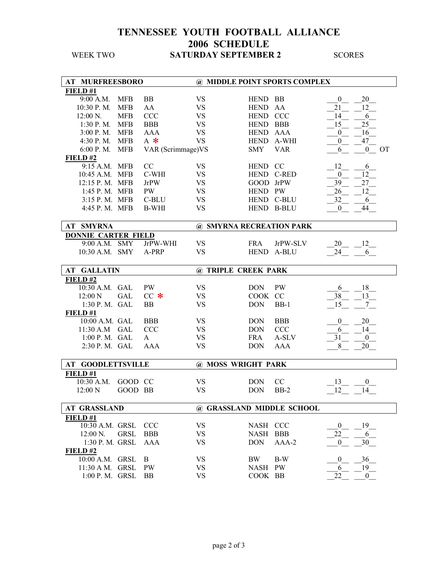| <b>AT MURFREESBORO</b>             |             |                    |                           |                    | @ MIDDLE POINT SPORTS COMPLEX |                  |                    |           |
|------------------------------------|-------------|--------------------|---------------------------|--------------------|-------------------------------|------------------|--------------------|-----------|
| FIELD #1                           |             |                    |                           |                    |                               |                  |                    |           |
| 9:00 A.M.                          | <b>MFB</b>  | <b>BB</b>          | <b>VS</b>                 | <b>HEND</b>        | BB                            | $\boldsymbol{0}$ | 20                 |           |
| 10:30 P.M.                         | <b>MFB</b>  | AA                 | <b>VS</b>                 | <b>HEND</b>        | AA                            | 21               | 12                 |           |
| 12:00 N.                           | <b>MFB</b>  | <b>CCC</b>         | <b>VS</b>                 | HEND CCC           |                               | 14               | 6                  |           |
| 1:30 P.M.                          | <b>MFB</b>  | <b>BBB</b>         | <b>VS</b>                 | HEND BBB           |                               | 15               | 25                 |           |
| 3:00 P.M.                          | <b>MFB</b>  | <b>AAA</b>         | <b>VS</b>                 | HEND AAA           |                               | $\boldsymbol{0}$ | 16                 |           |
| 4:30 P.M.                          | <b>MFB</b>  | $A$ *              | <b>VS</b>                 |                    | HEND A-WHI                    | $\boldsymbol{0}$ | 47                 |           |
| 6:00 P.M.                          | <b>MFB</b>  | VAR (Scrimmage) VS |                           | <b>SMY</b>         | <b>VAR</b>                    | 6                | $\mathbf{0}$       | <b>OT</b> |
| FIELD#2                            |             |                    |                           |                    |                               |                  |                    |           |
| 9:15 A.M. MFB                      |             | CC                 | <b>VS</b>                 | HEND CC            |                               | 12               | 6                  |           |
| 10:45 A.M. MFB                     |             | C-WHI              | <b>VS</b>                 |                    | HEND C-RED                    | $\boldsymbol{0}$ | 12                 |           |
| 12:15 P.M. MFB                     |             | <b>JrPW</b>        | <b>VS</b>                 | GOOD JrPW          |                               | 39               | 27                 |           |
| 1:45 P. M. MFB                     |             | PW                 | <b>VS</b>                 | HEND PW            |                               | 26               | 12                 |           |
|                                    |             |                    |                           |                    |                               |                  |                    |           |
| 3:15 P. M. MFB                     |             | C-BLU              | <b>VS</b>                 |                    | HEND C-BLU                    | 32               | 6                  |           |
| 4:45 P.M. MFB                      |             | <b>B-WHI</b>       | <b>VS</b>                 |                    | HEND B-BLU                    | $\bf{0}$         | 44                 |           |
| <b>AT SMYRNA</b>                   |             |                    | @ SMYRNA RECREATION PARK  |                    |                               |                  |                    |           |
|                                    |             |                    |                           |                    |                               |                  |                    |           |
| <b>DONNIE CARTER FIELD</b>         |             |                    |                           |                    |                               |                  |                    |           |
| 9:00 A.M. SMY                      |             | JrPW-WHI           | <b>VS</b>                 | <b>FRA</b>         | JrPW-SLV                      | 20               | 12                 |           |
| 10:30 A.M. SMY                     |             | A-PRP              | <b>VS</b>                 | <b>HEND</b>        | A-BLU                         | 24               | 6                  |           |
| <b>AT GALLATIN</b>                 |             |                    | @ TRIPLE CREEK PARK       |                    |                               |                  |                    |           |
| FIELD#2                            |             |                    |                           |                    |                               |                  |                    |           |
| 10:30 A.M. GAL                     |             | <b>PW</b>          | <b>VS</b>                 | <b>DON</b>         | PW                            | 6                | 18                 |           |
| 12:00 N                            | <b>GAL</b>  | $CC$ $*$           | <b>VS</b>                 | COOK CC            |                               | 38               | 13                 |           |
|                                    |             |                    | <b>VS</b>                 |                    |                               |                  |                    |           |
| 1:30 P.M. GAL                      |             | <b>BB</b>          |                           | <b>DON</b>         | $BB-1$                        | 15               | 7                  |           |
| FIELD#1                            |             |                    |                           |                    |                               |                  |                    |           |
| 10:00 A.M. GAL                     |             | <b>BBB</b>         | <b>VS</b>                 | <b>DON</b>         | <b>BBB</b>                    | $\boldsymbol{0}$ | 20                 |           |
| 11:30 A.M GAL                      |             | <b>CCC</b>         | <b>VS</b>                 | <b>DON</b>         | <b>CCC</b>                    | 6                | 14                 |           |
| 1:00 P. M. GAL                     |             | A                  | <b>VS</b>                 | <b>FRA</b>         | A-SLV                         | 31               | $\overline{0}$     |           |
| 2:30 P.M. GAL                      |             | <b>AAA</b>         | <b>VS</b>                 | <b>DON</b>         | <b>AAA</b>                    | 8                | 20                 |           |
|                                    |             |                    |                           |                    |                               |                  |                    |           |
| <b>AT GOODLETTSVILLE</b>           |             |                    | @ MOSS WRIGHT PARK        |                    |                               |                  |                    |           |
| FIELD #1                           |             |                    |                           |                    |                               |                  |                    |           |
| 10:30 A.M.                         | GOOD CC     |                    | VS                        | <b>DON</b>         | CC                            | 13               | $_{0}$             |           |
| 12:00 N                            | GOOD BB     |                    | <b>VS</b>                 |                    | $BB-2$                        | 12               | 14                 |           |
|                                    |             |                    |                           | <b>DON</b>         |                               |                  |                    |           |
|                                    |             |                    |                           |                    |                               |                  |                    |           |
| <b>AT GRASSLAND</b>                |             |                    | @ GRASSLAND MIDDLE SCHOOL |                    |                               |                  |                    |           |
| FIELD #1                           |             |                    |                           |                    |                               |                  |                    |           |
| 10:30 A.M. GRSL                    |             | <b>CCC</b>         | <b>VS</b>                 | NASH CCC           |                               | $\boldsymbol{0}$ | 19                 |           |
| 12:00 N.                           | <b>GRSL</b> | <b>BBB</b>         | VS                        | <b>NASH</b>        | <b>BBB</b>                    | 22               | 6                  |           |
| 1:30 P. M. GRSL                    |             | AAA                | <b>VS</b>                 | <b>DON</b>         | $AAA-2$                       | $\mathbf{0}$     | 30                 |           |
| FIELD#2                            |             |                    |                           |                    |                               |                  |                    |           |
| 10:00 A.M. GRSL                    |             | B                  | <b>VS</b>                 | BW                 | $B-W$                         | $\boldsymbol{0}$ | 36                 |           |
| 11:30 A M. GRSL<br>1:00 P. M. GRSL |             | PW<br>BB           | <b>VS</b><br><b>VS</b>    | NASH PW<br>COOK BB |                               | 6<br>22          | 19<br>$\mathbf{0}$ |           |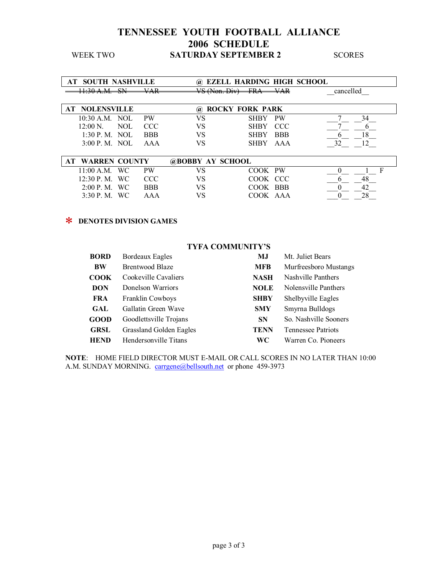| AT SOUTH NASHVILLE                                               |                                        | <b>EZELL HARDING HIGH SCHOOL</b><br>$\omega$ |                 |            |           |   |
|------------------------------------------------------------------|----------------------------------------|----------------------------------------------|-----------------|------------|-----------|---|
| 11.20 A M<br><b>C'NI</b><br>.<br>U                               | <b>VAD</b><br>$\overline{\phantom{a}}$ | $V\mathcal{R}$ (Non Div)<br>-----------      | <b>EDA</b><br>. | VAR        | cancelled |   |
|                                                                  |                                        |                                              |                 |            |           |   |
| <b>NOLENSVILLE</b><br><b>ROCKY FORK PARK</b><br>AT -<br>$\omega$ |                                        |                                              |                 |            |           |   |
| $10:30$ A.M.<br>NOL                                              | <b>PW</b>                              | VS                                           | <b>SHBY</b>     | <b>PW</b>  | 34        |   |
| $12:00 N$ .<br>NOL                                               | <b>CCC</b>                             | VS                                           | <b>SHBY</b>     | CCC        |           |   |
| $1:30$ P. M. NOL                                                 | <b>BBB</b>                             | VS                                           | <b>SHBY</b>     | <b>BBB</b> | 18        |   |
| 3:00 P. M. NOL                                                   | AAA                                    | VS                                           | <b>SHBY</b>     | AAA        | 32<br>12  |   |
|                                                                  |                                        |                                              |                 |            |           |   |
| <b>WARREN COUNTY</b><br>AT                                       |                                        | <b>@BOBBY AY SCHOOL</b>                      |                 |            |           |   |
| <b>WC</b><br>11:00 A.M.                                          | <b>PW</b>                              | VS                                           | COOK PW         |            |           | F |
| $12:30$ P.M.<br><b>WC</b>                                        | <b>CCC</b>                             | VS                                           | COOK CCC        |            | 48<br>n   |   |
| 2:00 P. M.<br><b>WC</b>                                          | <b>BBB</b>                             | VS                                           | COOK BBB        |            |           |   |
| 3:30P. M.<br>WC.                                                 | AAA                                    | VS                                           | COOK AAA        |            |           |   |

#### ✻ **DENOTES DIVISION GAMES**

#### **TYFA COMMUNITYíS**

| <b>BORD</b> | <b>Bordeaux Eagles</b>  | MJ          | Mt. Juliet Bears      |
|-------------|-------------------------|-------------|-----------------------|
| <b>BW</b>   | <b>Brentwood Blaze</b>  | <b>MFB</b>  | Murfreesboro Mustangs |
| <b>COOK</b> | Cookeville Cavaliers    | <b>NASH</b> | Nashville Panthers    |
| <b>DON</b>  | Donelson Warriors       | <b>NOLE</b> | Nolensville Panthers  |
| <b>FRA</b>  | Franklin Cowboys        | <b>SHBY</b> | Shelbyville Eagles    |
| GAL         | Gallatin Green Wave     | <b>SMY</b>  | Smyrna Bulldogs       |
| <b>GOOD</b> | Goodlettsville Trojans  | <b>SN</b>   | So. Nashville Sooners |
| <b>GRSL</b> | Grassland Golden Eagles | <b>TENN</b> | Tennessee Patriots    |
| <b>HEND</b> | Hendersonville Titans   | WС          | Warren Co. Pioneers   |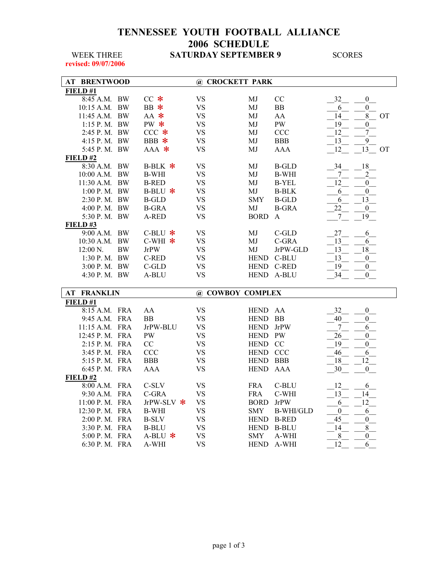**revised: 09/07/2006** 

| <b>BRENTWOOD</b><br>AT |           |              | @ CROCKETT PARK  |             |                  |                  |                  |
|------------------------|-----------|--------------|------------------|-------------|------------------|------------------|------------------|
| FIELD#1                |           |              |                  |             |                  |                  |                  |
| 8:45 A.M. BW           |           | $CC$ $*$     | <b>VS</b>        | MJ          | CC               | 32               | $\boldsymbol{0}$ |
| 10:15 A.M. BW          |           | BB $*$       | <b>VS</b>        | MJ          | <b>BB</b>        | 6                | $\boldsymbol{0}$ |
| 11:45 A.M. BW          |           | $AA$ *       | <b>VS</b>        | MJ          | AA               | 14               | 8<br><b>OT</b>   |
| 1:15 P.M. BW           |           | PW $*$       | <b>VS</b>        | MJ          | <b>PW</b>        | 19               | $\overline{0}$   |
| 2:45 P.M. BW           |           | $CCC *$      | <b>VS</b>        | MJ          | CCC              | 12               | $\overline{7}$   |
| 4:15 P.M. BW           |           | BBB $*$      | <b>VS</b>        | MJ          | <b>BBB</b>       | 13               | 9                |
| 5:45 P.M. BW           |           | $AAA$ *      | <b>VS</b>        | MJ          | <b>AAA</b>       | 12               | 13<br><b>OT</b>  |
| FIELD#2                |           |              |                  |             |                  |                  |                  |
| 8:30 A.M.              | <b>BW</b> | B-BLK $*$    | <b>VS</b>        | MJ          | <b>B-GLD</b>     | 34               | $18\,$           |
| 10:00 A.M. BW          |           | <b>B-WHI</b> | <b>VS</b>        | MJ          | <b>B-WHI</b>     | 7                | $\overline{c}$   |
| 11:30 A.M. BW          |           | <b>B-RED</b> | <b>VS</b>        | MJ          | <b>B-YEL</b>     | 12               | $\boldsymbol{0}$ |
| 1:00 P.M. BW           |           | B-BLU $*$    | <b>VS</b>        | MJ          | <b>B-BLK</b>     | 6                | $\boldsymbol{0}$ |
| 2:30 P.M. BW           |           | <b>B-GLD</b> | <b>VS</b>        | <b>SMY</b>  | <b>B-GLD</b>     | 6                | 13               |
| 4:00 P.M. BW           |           | <b>B-GRA</b> | <b>VS</b>        | MJ          | <b>B-GRA</b>     | 22               | $\boldsymbol{0}$ |
| 5:30 P.M. BW           |           | A-RED        | <b>VS</b>        | <b>BORD</b> | A                | $\boldsymbol{7}$ | 19               |
| FIELD#3                |           |              |                  |             |                  |                  |                  |
| 9:00 A.M. BW           |           | C-BLU $*$    | <b>VS</b>        | MJ          | $C$ -GLD         | 27               | 6                |
| 10:30 A.M.             | <b>BW</b> | C-WHI $*$    | <b>VS</b>        | MJ          | C-GRA            | 13               | 6                |
| 12:00 N.               | <b>BW</b> | <b>JrPW</b>  | <b>VS</b>        | MJ          | JrPW-GLD         | 13               | $18\,$           |
| 1:30 P.M. BW           |           | C-RED        | <b>VS</b>        | HEND        | C-BLU            | 13               | $\boldsymbol{0}$ |
| 3:00 P.M. BW           |           | C-GLD        | <b>VS</b>        |             | HEND C-RED       | 19               | $\boldsymbol{0}$ |
| 4:30 P.M. BW           |           | A-BLU        | <b>VS</b>        | <b>HEND</b> | A-BLU            | 34               | $\boldsymbol{0}$ |
| AT<br><b>FRANKLIN</b>  |           |              | @ COWBOY COMPLEX |             |                  |                  |                  |
| FIELD#1                |           |              |                  |             |                  |                  |                  |
| 8:15 A.M. FRA          |           | AA           | <b>VS</b>        | <b>HEND</b> |                  | 32               | $\boldsymbol{0}$ |
| 9:45 A.M. FRA          |           | <b>BB</b>    | <b>VS</b>        | <b>HEND</b> | AA<br><b>BB</b>  | 40               | $\overline{0}$   |
| 11:15 A.M. FRA         |           | JrPW-BLU     | <b>VS</b>        | <b>HEND</b> | JrPW             | 7                | 6                |
| 12:45 P.M. FRA         |           | <b>PW</b>    | <b>VS</b>        | <b>HEND</b> | <b>PW</b>        | 26               | $\overline{0}$   |
| 2:15 P.M. FRA          |           | CC           | <b>VS</b>        | <b>HEND</b> | CC               | 19               | $\boldsymbol{0}$ |
| 3:45 P. M. FRA         |           | <b>CCC</b>   | <b>VS</b>        | HEND CCC    |                  | 46               | 6                |
| 5:15 P. M. FRA         |           | <b>BBB</b>   | <b>VS</b>        | <b>HEND</b> | <b>BBB</b>       | 18               | 12               |
| 6:45 P.M. FRA          |           | <b>AAA</b>   | <b>VS</b>        | <b>HEND</b> | AAA              | 30               | $\boldsymbol{0}$ |
| FIELD#2                |           |              |                  |             |                  |                  |                  |
| 8:00 A.M. FRA          |           | C-SLV        | <b>VS</b>        | <b>FRA</b>  | C-BLU            | 12               | 6                |
| 9:30 A.M. FRA          |           | C-GRA        | <b>VS</b>        | <b>FRA</b>  | C-WHI            | 13               | 14               |
| 11:00 P. M. FRA        |           | JrPW-SLV *   | <b>VS</b>        | <b>BORD</b> | <b>JrPW</b>      | 6                | 12               |
| 12:30 P. M. FRA        |           | <b>B-WHI</b> | <b>VS</b>        | <b>SMY</b>  | <b>B-WHI/GLD</b> | $\boldsymbol{0}$ | 6                |
| 2:00 P. M. FRA         |           | <b>B-SLV</b> | <b>VS</b>        | <b>HEND</b> | <b>B-RED</b>     | $\overline{45}$  | $\boldsymbol{0}$ |
| 3:30 P. M. FRA         |           | <b>B-BLU</b> | <b>VS</b>        | <b>HEND</b> | <b>B-BLU</b>     | 14               | $\,$ $\,$        |
| 5:00 P. M. FRA         |           | A-BLU $*$    | <b>VS</b>        | <b>SMY</b>  | A-WHI            | $\,8\,$          | $\boldsymbol{0}$ |
| 6:30 P.M. FRA          |           | A-WHI        | <b>VS</b>        | <b>HEND</b> | A-WHI            | 12               | 6                |
|                        |           |              |                  |             |                  |                  |                  |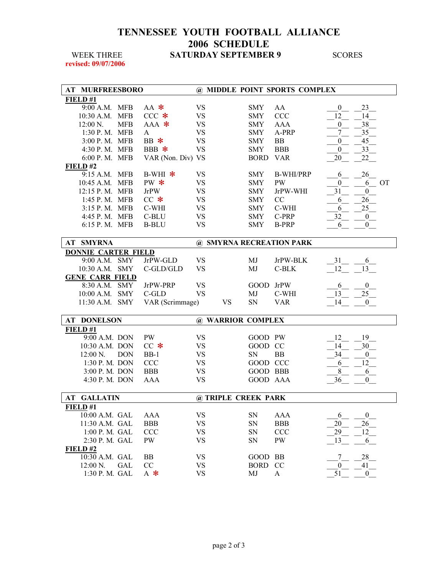**revised: 09/07/2006** 

| AT MURFREESBORO            |                   |            |                     |             | @ MIDDLE POINT SPORTS COMPLEX |                                    |
|----------------------------|-------------------|------------|---------------------|-------------|-------------------------------|------------------------------------|
| FIELD#1                    |                   |            |                     |             |                               |                                    |
| 9:00 A.M. MFB              | $AA$ $*$          | <b>VS</b>  |                     | <b>SMY</b>  | AA                            | $\bf{0}$<br>23                     |
| 10:30 A.M. MFB             | $CCC *$           | <b>VS</b>  |                     | <b>SMY</b>  | <b>CCC</b>                    | 12<br>14                           |
| 12:00 N.<br><b>MFB</b>     | $AAA$ *           | ${\rm VS}$ |                     | <b>SMY</b>  | <b>AAA</b>                    | 38<br>$\overline{0}$               |
| 1:30 P.M. MFB              | A                 | <b>VS</b>  |                     | <b>SMY</b>  | A-PRP                         | 35<br>7                            |
| 3:00 P. M. MFB             | BB $*$            | <b>VS</b>  |                     | <b>SMY</b>  | <b>BB</b>                     | 45<br>$\mathbf{0}$                 |
| 4:30 P. M. MFB             | BBB $*$           | <b>VS</b>  |                     | <b>SMY</b>  | <b>BBB</b>                    | 33<br>$\mathbf{0}$                 |
| 6:00 P.M. MFB              | VAR (Non. Div) VS |            |                     | <b>BORD</b> | <b>VAR</b>                    | 20<br>$22 \n$                      |
| FIELD#2                    |                   |            |                     |             |                               |                                    |
| 9:15 A.M. MFB              | B-WHI $*$         | <b>VS</b>  |                     | <b>SMY</b>  | <b>B-WHI/PRP</b>              | 26<br>6                            |
| 10:45 A.M. MFB             | PW $*$            | <b>VS</b>  |                     | <b>SMY</b>  | <b>PW</b>                     | <b>OT</b><br>$\boldsymbol{0}$<br>6 |
| 12:15 P.M. MFB             | <b>JrPW</b>       | <b>VS</b>  |                     |             | JrPW-WHI                      | 31<br>$\boldsymbol{0}$             |
|                            |                   |            |                     | <b>SMY</b>  |                               |                                    |
| 1:45 P. M. MFB             | $CC$ $*$          | <b>VS</b>  |                     | <b>SMY</b>  | CC                            | 26<br>6                            |
| 3:15 P. M. MFB             | C-WHI             | <b>VS</b>  |                     | <b>SMY</b>  | C-WHI                         | 25<br>6                            |
| 4:45 P. M. MFB             | C-BLU             | <b>VS</b>  |                     | <b>SMY</b>  | C-PRP                         | 32<br>$\boldsymbol{0}$             |
| 6:15 P.M. MFB              | <b>B-BLU</b>      | <b>VS</b>  |                     | <b>SMY</b>  | <b>B-PRP</b>                  | $\overline{0}$<br>6                |
|                            |                   |            |                     |             |                               |                                    |
| AT SMYRNA                  |                   |            |                     |             | @ SMYRNA RECREATION PARK      |                                    |
| <b>DONNIE CARTER FIELD</b> |                   |            |                     |             |                               |                                    |
| 9:00 A.M. SMY              | JrPW-GLD          | <b>VS</b>  |                     | MJ          | JrPW-BLK                      | 31<br>6                            |
| 10:30 A.M. SMY             | C-GLD/GLD         | <b>VS</b>  |                     | MJ          | C-BLK                         | 12<br>13                           |
| <b>GENE CARR FIELD</b>     |                   |            |                     |             |                               |                                    |
| 8:30 A.M. SMY              | JrPW-PRP          | <b>VS</b>  |                     |             | GOOD JrPW                     | $\boldsymbol{0}$<br>6              |
| $10:00$ A.M.<br><b>SMY</b> | C-GLD             | <b>VS</b>  |                     | MJ          | C-WHI                         | 25<br>13                           |
| $11:30$ A.M.<br><b>SMY</b> | VAR (Scrimmage)   |            | <b>VS</b>           | SN          | <b>VAR</b>                    | 14<br>$\overline{0}$               |
|                            |                   |            |                     |             |                               |                                    |
| <b>DONELSON</b><br>AT      |                   |            | @ WARRIOR COMPLEX   |             |                               |                                    |
| FIELD #1                   |                   |            |                     |             |                               |                                    |
| 9:00 A.M. DON              | <b>PW</b>         | <b>VS</b>  |                     |             | GOOD PW                       | 12<br>19                           |
| 10:30 A.M. DON             | $CC$ $*$          | <b>VS</b>  |                     | GOOD CC     |                               | 30<br>14                           |
| 12:00 N.<br><b>DON</b>     | $BB-1$            | <b>VS</b>  |                     | SN          | BB                            | 34<br>$\boldsymbol{0}$             |
| 1:30 P. M. DON             | CCC               | <b>VS</b>  |                     |             | GOOD CCC                      | 12<br>6                            |
| 3:00 P. M. DON             | <b>BBB</b>        | <b>VS</b>  |                     |             | GOOD BBB                      | 8<br>6                             |
| 4:30 P. M. DON             | <b>AAA</b>        | <b>VS</b>  |                     |             | GOOD AAA                      | 36<br>$\theta$                     |
|                            |                   |            |                     |             |                               |                                    |
| <b>AT GALLATIN</b>         |                   |            | @ TRIPLE CREEK PARK |             |                               |                                    |
| FIELD #1                   |                   |            |                     |             |                               |                                    |
| 10:00 A.M. GAL             | <b>AAA</b>        | <b>VS</b>  |                     | SN          | <b>AAA</b>                    | $\sqrt{6}$<br>$\boldsymbol{0}$     |
| 11:30 A.M. GAL             | <b>BBB</b>        | <b>VS</b>  |                     | ${\rm SN}$  | <b>BBB</b>                    | 20<br>26                           |
|                            |                   |            |                     |             |                               |                                    |
| 1:00 P. M. GAL             | <b>CCC</b>        | <b>VS</b>  |                     | SN          | <b>CCC</b>                    | 29<br>12                           |
| 2:30 P. M. GAL             | PW                | <b>VS</b>  |                     | SN          | PW                            | 13<br>6                            |
| FIELD#2                    |                   |            |                     |             |                               |                                    |
| 10:30 A.M. GAL             | <b>BB</b>         | <b>VS</b>  |                     | <b>GOOD</b> | BB                            | 7<br>28                            |
| $12:00$ N.<br><b>GAL</b>   | CC                | <b>VS</b>  |                     | <b>BORD</b> | CC                            | 41<br>$\mathbf{0}$                 |
| 1:30 P. M. GAL             | $A *$             | <b>VS</b>  |                     | MJ          | $\mathbf{A}$                  | 51<br>$\theta$                     |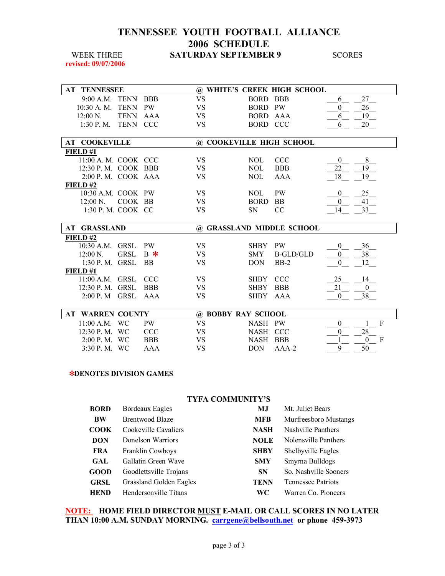**revised: 09/07/2006** 

| <b>AT TENNESSEE</b>                |            |                           |             | @ WHITE'S CREEK HIGH SCHOOL |                |
|------------------------------------|------------|---------------------------|-------------|-----------------------------|----------------|
| 9:00 A.M. TENN                     | <b>BBB</b> | <b>VS</b>                 | <b>BORD</b> | <b>BBB</b>                  | 27<br>6        |
| <b>TENN</b><br>$10:30$ A. M.       | <b>PW</b>  | <b>VS</b>                 | <b>BORD</b> | <b>PW</b>                   | 26<br>$\theta$ |
| <b>TENN</b><br>$12:00 \text{ N}$ . | AAA        | <b>VS</b>                 | <b>BORD</b> | AAA                         | 19<br>6        |
| $1:30$ P. M.<br><b>TENN</b>        | <b>CCC</b> | <b>VS</b>                 | BORD CCC    |                             | 20<br>6        |
|                                    |            |                           |             |                             |                |
| <b>AT COOKEVILLE</b>               |            | @ COOKEVILLE HIGH SCHOOL  |             |                             |                |
| FIELD #1                           |            |                           |             |                             |                |
| 11:00 A. M. COOK CCC               |            | <b>VS</b>                 | NOL         | <b>CCC</b>                  | 8<br>$\Omega$  |
| $12:30$ P.M. COOK BBB              |            | <b>VS</b>                 | NOL.        | <b>BBB</b>                  | 19<br>22       |
| $2:00$ P. M. COOK AAA              |            | <b>VS</b>                 | NOL.        | <b>AAA</b>                  | 19<br>18       |
| FIELD#2                            |            |                           |             |                             |                |
| 10:30 A.M. COOK PW                 |            | <b>VS</b>                 | NOL.        | <b>PW</b>                   | 25<br>$\theta$ |
| COOK BB<br>$12:00 \text{ N.}$      |            | VS                        | <b>BORD</b> | <b>BB</b>                   | 41<br>$\theta$ |
| 1:30 P.M. COOK CC                  |            | <b>VS</b>                 | <b>SN</b>   | <sub>CC</sub>               | 33<br>14       |
|                                    |            |                           |             |                             |                |
| <b>AT GRASSLAND</b>                |            | @ GRASSLAND MIDDLE SCHOOL |             |                             |                |
| FIELD#2                            |            |                           |             |                             |                |
| $10:30$ A.M.<br><b>GRSL</b>        | <b>PW</b>  | <b>VS</b>                 | SHBY PW     |                             | 36<br>$\theta$ |
| <b>GRSL</b><br>$12:00 N$ .         | $B \ast$   | <b>VS</b>                 | <b>SMY</b>  | B-GLD/GLD                   | 38<br>$\theta$ |
| 1:30 P. M. GRSL                    | <b>BB</b>  | <b>VS</b>                 | <b>DON</b>  | $BB-2$                      | 12<br>$\theta$ |
| FIELD#1                            |            |                           |             |                             |                |
| 11:00 A.M. GRSL                    | <b>CCC</b> | <b>VS</b>                 | SHBY CCC    |                             | 14<br>25       |
| $12:30$ P. M. GRSL                 | <b>BBB</b> | <b>VS</b>                 | <b>SHBY</b> | <b>BBB</b>                  | 21<br>$\theta$ |
| <b>GRSL</b><br>2:00 P. M           | AAA        | <b>VS</b>                 | SHBY        | AAA                         | 38<br>$\theta$ |
|                                    |            |                           |             |                             |                |
| <b>WARREN COUNTY</b><br>AT         |            | @ BOBBY RAY SCHOOL        |             |                             |                |
| <b>WC</b><br>$11.00$ A M           | <b>PW</b>  | <b>VS</b>                 | NASH PW     |                             | F<br>$\Omega$  |

| AT WANNER COURTT       |            | W BOBBI KAI SCHOOL |           |  |  |
|------------------------|------------|--------------------|-----------|--|--|
| $11:00$ A.M. WC        | PW.        | NASH PW            |           |  |  |
| 12:30 P.M. WC          | CCC.       | NASH CCC           |           |  |  |
| $2:00 \text{ P. M. W}$ | <b>BBB</b> | NASH BBB           |           |  |  |
| $3:30 \text{ P. M. W}$ | AAA        |                    | DON AAA-2 |  |  |

#### ✻**DENOTES DIVISION GAMES**

| <b>TYFA COMMUNITY'S</b> |                         |             |                           |  |  |  |
|-------------------------|-------------------------|-------------|---------------------------|--|--|--|
| <b>BORD</b>             | Bordeaux Eagles         | MJ          | Mt. Juliet Bears          |  |  |  |
| <b>BW</b>               | <b>Brentwood Blaze</b>  | <b>MFB</b>  | Murfreesboro Mustangs     |  |  |  |
| COOK                    | Cookeville Cavaliers    | <b>NASH</b> | Nashville Panthers        |  |  |  |
| <b>DON</b>              | Donelson Warriors       | <b>NOLE</b> | Nolensville Panthers      |  |  |  |
| <b>FRA</b>              | <b>Franklin Cowboys</b> | <b>SHBY</b> | Shelbyville Eagles        |  |  |  |
| <b>GAL</b>              | Gallatin Green Wave     | <b>SMY</b>  | Smyrna Bulldogs           |  |  |  |
| GOOD                    | Goodlettsville Trojans  | <b>SN</b>   | So. Nashville Sooners     |  |  |  |
| <b>GRSL</b>             | Grassland Golden Eagles | <b>TENN</b> | <b>Tennessee Patriots</b> |  |  |  |
| <b>HEND</b>             | Hendersonville Titans   | WС          | Warren Co. Pioneers       |  |  |  |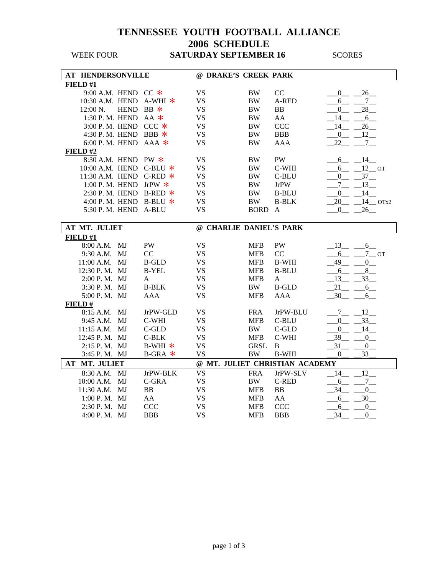| <b>AT HENDERSONVILLE</b> |                         |           | @ DRAKE'S CREEK PARK      |           |             |                                |                  |                   |  |
|--------------------------|-------------------------|-----------|---------------------------|-----------|-------------|--------------------------------|------------------|-------------------|--|
| FIELD #1                 |                         |           |                           |           |             |                                |                  |                   |  |
|                          | 9:00 A.M. HEND CC $*$   |           |                           | <b>VS</b> | <b>BW</b>   | CC                             | $\mathbf{0}$     | 26                |  |
|                          |                         |           | 10:30 A.M. HEND A-WHI $*$ | <b>VS</b> | <b>BW</b>   | A-RED                          | 6                | $7\overline{ }$   |  |
|                          | 12:00 N.                | HEND BB * |                           | <b>VS</b> | <b>BW</b>   | <b>BB</b>                      | $\overline{0}$   | 28                |  |
|                          | 1:30 P.M. HEND AA $*$   |           |                           | <b>VS</b> | <b>BW</b>   | AA                             | 14               | 6                 |  |
|                          | 3:00 P.M. HEND CCC $*$  |           |                           | <b>VS</b> | <b>BW</b>   | <b>CCC</b>                     | 14               | $26$ <sub>—</sub> |  |
|                          | 4:30 P.M. HEND BBB $*$  |           |                           | <b>VS</b> | <b>BW</b>   | <b>BBB</b>                     | $\overline{0}$   | 12                |  |
|                          | 6:00 P.M. HEND AAA $*$  |           |                           | <b>VS</b> | <b>BW</b>   | <b>AAA</b>                     | 22               | $7_{-}$           |  |
| FIELD#2                  |                         |           |                           |           |             |                                |                  |                   |  |
|                          | 8:30 A.M. HEND PW *     |           |                           | <b>VS</b> | <b>BW</b>   | <b>PW</b>                      | 6                | 14                |  |
|                          |                         |           | 10:00 A.M. HEND C-BLU *   | <b>VS</b> | <b>BW</b>   | C-WHI                          | 6                | $12$ OT           |  |
|                          |                         |           | 11:30 A.M. HEND C-RED *   | <b>VS</b> | <b>BW</b>   | C-BLU                          | $\overline{0}$   | $-37$             |  |
|                          | 1:00 P.M. HEND JrPW $*$ |           |                           | <b>VS</b> | <b>BW</b>   | <b>JrPW</b>                    | $7\overline{ }$  | 13                |  |
|                          |                         |           | 2:30 P.M. HEND B-RED $*$  | <b>VS</b> | <b>BW</b>   | <b>B-BLU</b>                   | $\overline{0}$   | 14                |  |
|                          |                         |           | 4:00 P.M. HEND B-BLU $*$  | <b>VS</b> | <b>BW</b>   | <b>B-BLK</b>                   | 20               | $14$ OTx2         |  |
|                          | 5:30 P. M. HEND A-BLU   |           |                           | <b>VS</b> | <b>BORD</b> | $\mathbf{A}$                   | $\mathbf{0}$     | 26                |  |
|                          |                         |           |                           |           |             |                                |                  |                   |  |
| AT MT. JULIET            |                         |           | @ CHARLIE DANIEL'S PARK   |           |             |                                |                  |                   |  |
| FIELD #1                 |                         |           |                           |           |             |                                |                  |                   |  |
|                          | 8:00 A.M. MJ            |           | <b>PW</b>                 | <b>VS</b> | <b>MFB</b>  | PW                             | 13               | 6                 |  |
|                          | 9:30 A.M.               | MJ        | CC                        | <b>VS</b> | <b>MFB</b>  | CC                             | $6\overline{6}$  | $7\_\text{OT}$    |  |
|                          | 11:00 A.M. MJ           |           | <b>B-GLD</b>              | <b>VS</b> | <b>MFB</b>  | <b>B-WHI</b>                   | 49               | 0                 |  |
|                          | 12:30 P.M. MJ           |           | <b>B-YEL</b>              | <b>VS</b> | <b>MFB</b>  | <b>B-BLU</b>                   | 6                | 8                 |  |
|                          | 2:00 P.M. MJ            |           | A                         | <b>VS</b> | <b>MFB</b>  | $\mathbf{A}$                   | 13               | 33                |  |
|                          | 3:30 P.M. MJ            |           | <b>B-BLK</b>              | <b>VS</b> | BW          | <b>B-GLD</b>                   | 21               | 6                 |  |
|                          | 5:00 P.M. MJ            |           | <b>AAA</b>                | <b>VS</b> | <b>MFB</b>  | <b>AAA</b>                     | 30               | 6                 |  |
| FIELD#                   |                         |           |                           |           |             |                                |                  |                   |  |
|                          | 8:15 A.M. MJ            |           | JrPW-GLD                  | <b>VS</b> | <b>FRA</b>  | JrPW-BLU                       | $7\overline{ }$  | 12                |  |
|                          | 9:45 A.M. MJ            |           | C-WHI                     | <b>VS</b> | <b>MFB</b>  | C-BLU                          | $\mathbf{0}$     | 33                |  |
|                          | 11:15 A.M. MJ           |           | $C$ -GLD                  | <b>VS</b> | <b>BW</b>   | $C$ -GLD                       | $\mathbf{0}$     | 14                |  |
|                          | 12:45 P.M. MJ           |           | $C-BLK$                   | <b>VS</b> | <b>MFB</b>  | C-WHI                          | 39               | $\mathbf{0}$      |  |
|                          | 2:15 P.M. MJ            |           | B-WHI $*$                 | <b>VS</b> | <b>GRSL</b> | $\, {\bf B}$                   | 31               | 0                 |  |
|                          | 3:45 P.M. MJ            |           | $B-GRA$ $*$               | <b>VS</b> | $\rm BW$    | <b>B-WHI</b>                   | $\boldsymbol{0}$ | 33                |  |
|                          | AT MT. JULIET           |           |                           |           |             | @ MT. JULIET CHRISTIAN ACADEMY |                  |                   |  |
|                          | 8:30 A.M. MJ            |           | JrPW-BLK                  | <b>VS</b> | <b>FRA</b>  | JrPW-SLV                       | 14               | 12                |  |
|                          | 10:00 A.M. MJ           |           | C-GRA                     | <b>VS</b> | <b>BW</b>   | <b>C-RED</b>                   | 6                | $7\overline{ }$   |  |
|                          | 11:30 A.M. MJ           |           | BB                        | <b>VS</b> | <b>MFB</b>  | <b>BB</b>                      | 34               | $\overline{0}$    |  |
|                          | 1:00 P.M. MJ            |           | AA                        | <b>VS</b> | <b>MFB</b>  | AA                             | 6                | 30                |  |
|                          | 2:30 P.M. MJ            |           | CCC                       | <b>VS</b> | <b>MFB</b>  | <b>CCC</b>                     | 6                | $\overline{0}$    |  |
|                          | 4:00 P.M. MJ            |           | <b>BBB</b>                | <b>VS</b> | <b>MFB</b>  | <b>BBB</b>                     | 34               | $\boldsymbol{0}$  |  |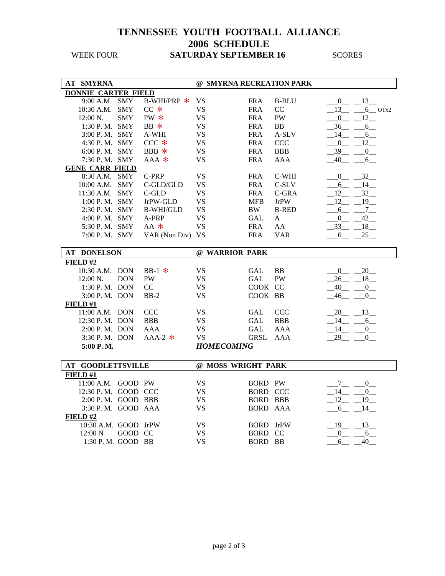| <b>AT SMYRNA</b>           |            |                  | @ SMYRNA RECREATION PARK |                 |               |                |                |  |
|----------------------------|------------|------------------|--------------------------|-----------------|---------------|----------------|----------------|--|
| <b>DONNIE CARTER FIELD</b> |            |                  |                          |                 |               |                |                |  |
| 9:00 A.M. SMY              |            | B-WHI/PRP *      | <b>VS</b>                | <b>FRA</b>      | <b>B-BLU</b>  |                | $-0$ $-13$     |  |
| 10:30 A.M. SMY             |            | $CC *$           | <b>VS</b>                | <b>FRA</b>      | <sub>CC</sub> | 13             | $-6$ OTx2      |  |
| 12:00 N.                   | <b>SMY</b> | PW *             | <b>VS</b>                | <b>FRA</b>      | PW            | $\overline{0}$ | 12             |  |
| 1:30 P.M. SMY              |            | BB *             | <b>VS</b>                | <b>FRA</b>      | <b>BB</b>     | 36 6           |                |  |
| 3:00 P.M. SMY              |            | A-WHI            | <b>VS</b>                | <b>FRA</b>      | A-SLV         | - 14           | 6              |  |
| 4:30 P.M. SMY              |            | $CCC$ $*$        | <b>VS</b>                | <b>FRA</b>      | <b>CCC</b>    | $\overline{0}$ | 12             |  |
| 6:00 P.M. SMY              |            | BBB $*$          | <b>VS</b>                | <b>FRA</b>      | <b>BBB</b>    | 39             | $\overline{0}$ |  |
| 7:30 P.M. SMY              |            | $AAA$ *          | <b>VS</b>                | <b>FRA</b>      | AAA           | $-40$          | 6              |  |
| <b>GENE CARR FIELD</b>     |            |                  |                          |                 |               |                |                |  |
| 8:30 A.M. SMY              |            | C-PRP            | <b>VS</b>                | <b>FRA</b>      | C-WHI         |                | $0 \qquad 32$  |  |
| 10:00 A.M. SMY             |            | C-GLD/GLD        | <b>VS</b>                | <b>FRA</b>      | $C-SLV$       | $6 - -$        | 14             |  |
| 11:30 A.M. SMY             |            | $C$ -GLD         | <b>VS</b>                | <b>FRA</b>      | C-GRA         | 12             | 32             |  |
| 1:00 P.M. SMY              |            | JrPW-GLD         | <b>VS</b>                | <b>MFB</b>      | <b>JrPW</b>   | 12             | 19             |  |
| 2:30 P.M. SMY              |            | <b>B-WHI/GLD</b> | <b>VS</b>                | BW              | <b>B-RED</b>  |                | $6 \t 7$       |  |
| 4:00 P.M. SMY              |            | A-PRP            | <b>VS</b>                | <b>GAL</b>      | A             | $_{0}$         | 42             |  |
| 5:30 P.M. SMY              |            | AA *             | VS                       | <b>FRA</b>      | AA            | $-33$          | $-18$          |  |
| 7:00 P.M. SMY              |            | VAR (Non Div) VS |                          | <b>FRA</b>      | <b>VAR</b>    | 6              | $-25$          |  |
|                            |            |                  |                          |                 |               |                |                |  |
| <b>AT DONELSON</b>         |            |                  | @ WARRIOR PARK           |                 |               |                |                |  |
| FIELD #2                   |            |                  |                          |                 |               |                |                |  |
| 10:30 A.M. DON             |            | BB-1 $*$         | <b>VS</b>                | GAL             | <b>BB</b>     | $\overline{0}$ | 20             |  |
| $12:00 \text{ N.}$         | <b>DON</b> | <b>PW</b>        | <b>VS</b>                | GAL             | <b>PW</b>     | 26             | 18             |  |
| 1:30 P.M. DON              |            | CC               | <b>VS</b>                | COOK CC         |               | 40             | $\overline{0}$ |  |
| 3:00 P.M. DON              |            | $BB-2$           | <b>VS</b>                | COOK BB         |               | 46             | 0              |  |
| FIELD#1                    |            |                  |                          |                 |               |                |                |  |
| 11:00 A.M. DON             |            | <b>CCC</b>       | <b>VS</b>                | GAL             | <b>CCC</b>    | 28             | $-13$          |  |
| 12:30 P.M. DON             |            | <b>BBB</b>       | <b>VS</b>                | GAL             | <b>BBB</b>    | 14             | 6              |  |
| 2:00 P.M. DON              |            | AAA              | <b>VS</b>                | GAL             | AAA           | 14             | $\mathbf{0}$   |  |
| 3:30 P.M. DON              |            | $AAA-2$ *        | <b>VS</b>                | <b>GRSL</b>     | AAA           | 29             | $\overline{0}$ |  |
| 5:00 P.M.                  |            |                  | <b>HOMECOMING</b>        |                 |               |                |                |  |
|                            |            |                  |                          |                 |               |                |                |  |
| <b>AT GOODLETTSVILLE</b>   |            |                  | @ MOSS WRIGHT PARK       |                 |               |                |                |  |
| FIELD#1                    |            |                  |                          |                 |               |                |                |  |
| 11:00 A.M. GOOD PW         |            |                  | <b>VS</b>                | <b>BORD PW</b>  |               | 7              | 0              |  |
| 12:30 P.M. GOOD CCC        |            |                  | <b>VS</b>                | <b>BORD CCC</b> |               | 14             | $\mathbf{0}$   |  |
| 2:00 P.M. GOOD BBB         |            |                  | <b>VS</b>                | <b>BORD</b>     | <b>BBB</b>    | 12             | 19             |  |
| 3:30 P.M. GOOD AAA         |            |                  | <b>VS</b>                | <b>BORD</b>     | AAA           | $-6$           | $-14$          |  |
| FIELD#2                    |            |                  |                          |                 |               |                |                |  |
| 10:30 A.M. GOOD JrPW       |            |                  | VS.                      | <b>BORD</b>     | <b>JrPW</b>   | $19 - 13$      |                |  |
| 12:00 N                    | GOOD CC    |                  | <b>VS</b>                | <b>BORD</b>     | <sub>CC</sub> | $0 \t -6$      |                |  |
| 1:30 P.M. GOOD BB          |            |                  | <b>VS</b>                | <b>BORD BB</b>  |               | 6              | 40             |  |
|                            |            |                  |                          |                 |               |                |                |  |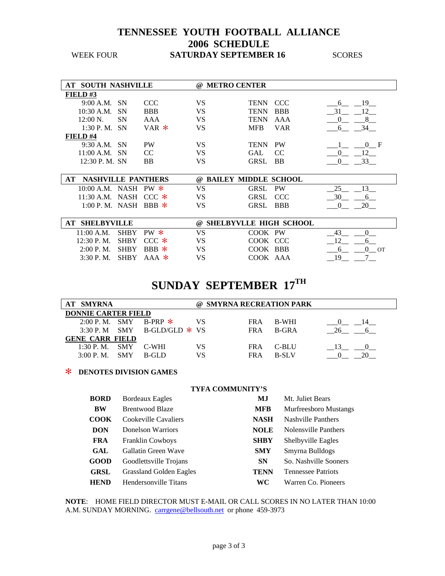| <b>AT SOUTH NASHVILLE</b> |           |            | $\omega$ | <b>METRO CENTER</b> |               |                        |
|---------------------------|-----------|------------|----------|---------------------|---------------|------------------------|
| FIELD#3                   |           |            |          |                     |               |                        |
| $9:00$ A.M. SN            |           | CCC.       | VS       | TENN CCC            |               | - 19<br>6 <sup>6</sup> |
| 10:30 A.M.                | <b>SN</b> | <b>BBB</b> | VS       | <b>TENN</b>         | <b>BBB</b>    | 31<br>12               |
| $12:00 \text{ N}$ .       | SΝ        | AAA        | VS       | <b>TENN</b>         | AAA           |                        |
| $1:30$ P.M. SN            |           | $VAR$ $*$  | VS       | <b>MFB</b>          | <b>VAR</b>    | 34<br>- 6              |
| FIELD #4                  |           |            |          |                     |               |                        |
| $9:30$ A.M. SN            |           | <b>PW</b>  | VS       | <b>TENN PW</b>      |               | 0 F                    |
| $11:00$ A.M. SN           |           | CC         | VS       | GAL                 | <sub>CC</sub> | 12                     |
| 12:30 P.M. SN             |           | BB         | VS       | <b>GRSL</b>         | <b>BB</b>     |                        |

| <b>NASHVILLE PANTHERS</b><br>AT |     | @ BAILEY MIDDLE SCHOOL |  |
|---------------------------------|-----|------------------------|--|
| 10:00 A.M. NASH PW $*$          |     | GRSL PW                |  |
| 11:30 A.M. NASH CCC $*$         | VS. | GRSL CCC               |  |
| 1:00 P.M. NASH BBR              |     | GRSL BBB               |  |

| AT SHELBYVILLE          |  |    | @ SHELBYVLLE HIGH SCHOOL |  |
|-------------------------|--|----|--------------------------|--|
| 11:00 A.M. SHBY PW $*$  |  |    | COOK PW                  |  |
| 12:30 P.M. SHBY CCC $*$ |  |    | COOK CCC                 |  |
| 2:00 P.M. SHRY BBB $*$  |  |    | COOK BBB                 |  |
| 3:30 P.M. SHRY AAA $*$  |  | VS | COOK AAA                 |  |

# **SUNDAY SEPTEMBER 17TH**

| <b>AT SMYRNA</b>           |      |                                |    | @ SMYRNA RECREATION PARK |              |  |  |  |  |
|----------------------------|------|--------------------------------|----|--------------------------|--------------|--|--|--|--|
| <b>DONNIE CARTER FIELD</b> |      |                                |    |                          |              |  |  |  |  |
|                            |      | 2:00 P.M. SMY B-PRP $*$        |    | FR A                     | B-WHI        |  |  |  |  |
|                            |      | 3:30 P. M SMY B-GLD/GLD $*$ VS |    | FR A                     | B-GRA        |  |  |  |  |
| <b>GENE CARR FIELD</b>     |      |                                |    |                          |              |  |  |  |  |
| $1:30$ P.M. SMY            |      | C-WHI                          | VS | FR A                     | C-BLU        |  |  |  |  |
| 3:00 P. M.                 | -SMY | $R-GI$ D                       | VS | FR A                     | <b>B-SLV</b> |  |  |  |  |

#### > **DENOTES DIVISION GAMES**

#### **TYFA COMMUNITY'S**

| <b>BORD</b> | <b>Bordeaux Eagles</b>         | MJ.         | Mt. Juliet Bears             |
|-------------|--------------------------------|-------------|------------------------------|
| BW          | <b>Brentwood Blaze</b>         | <b>MFB</b>  | <b>Murfreesboro Mustangs</b> |
| <b>COOK</b> | Cookeville Cavaliers           | <b>NASH</b> | <b>Nashville Panthers</b>    |
| <b>DON</b>  | Donelson Warriors              | <b>NOLE</b> | Nolensville Panthers         |
| <b>FRA</b>  | <b>Franklin Cowboys</b>        | <b>SHBY</b> | <b>Shelbyville Eagles</b>    |
| GAL         | Gallatin Green Wave            | <b>SMY</b>  | Smyrna Bulldogs              |
| <b>GOOD</b> | Goodlettsville Trojans         | <b>SN</b>   | So. Nashville Sooners        |
| <b>GRSL</b> | <b>Grassland Golden Eagles</b> | <b>TENN</b> | <b>Tennessee Patriots</b>    |
| <b>HEND</b> | Hendersonville Titans          | WC.         | Warren Co. Pioneers          |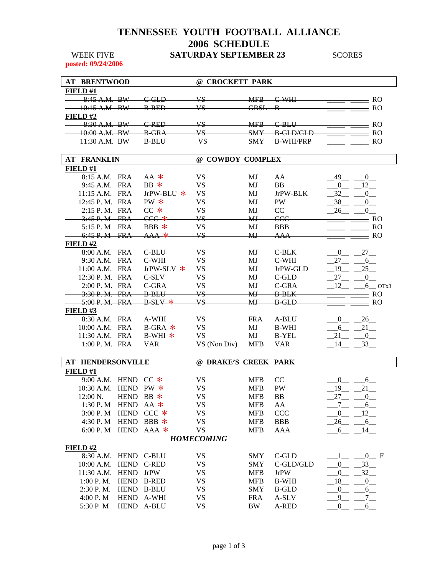**posted: 09/24/2006** 

| <b>AT BRENTWOOD</b>                                                |                                     | $\omega$            | <b>CROCKETT PARK</b>                                             |  |
|--------------------------------------------------------------------|-------------------------------------|---------------------|------------------------------------------------------------------|--|
| <b>FIELD#1</b>                                                     |                                     |                     |                                                                  |  |
| $\mathbf{D}\mathbf{W}$<br>$Q \cdot 45 \Lambda$<br>. .<br>0.731.11. | GID<br>$\curvearrowright$<br>ம      | 7 C<br>. . <i>.</i> | MER<br>WHI<br>wit:D<br><del></del><br>↽                          |  |
| $\mathbf{R}$<br>$10.15 \lambda$<br>10.1271.171<br>. .              | <b>R RED</b><br><del>.</del>        | √7 C<br>- -         | CDCI<br>R<br><del>ono c</del><br>Ð                               |  |
| FIELD#2                                                            |                                     |                     |                                                                  |  |
| $\mathbf{D}\mathbf{W}$<br><del>.</del><br>. .                      | <b>DED</b><br><del>.</del>          | 7C<br>.             | MER<br>RI I<br>$\sim$<br><del>.</del>                            |  |
| $\mathbf{R}$<br>$10.00 \text{ A}$<br>10.00 T.U.<br>. .             | $R$ GD $\land$<br><del>D VIVI</del> | 7 C<br>ט י          | <b>CMV</b><br>RO<br><b>∩</b><br>P.<br><del>.</del><br><u>UWT</u> |  |
| $\mathbf{D}\mathbf{W}$<br>11.JV 11.IVI.<br>--                      | $R$ $PI$ $I$<br><del>D DL</del> V   | 7 C<br>D            | <b>CMV</b><br>סססודונזו ס<br><b>DIVI-I</b><br>T.<br>,,,,,,,,,,,, |  |
|                                                                    |                                     |                     |                                                                  |  |

| <b>AT FRANKLIN</b>       |             |                    |                      | @ COWBOY COMPLEX |              |                |                |  |
|--------------------------|-------------|--------------------|----------------------|------------------|--------------|----------------|----------------|--|
| FIELD#1                  |             |                    |                      |                  |              |                |                |  |
| 8:15 A.M. FRA            |             | $AA$ *             | VS                   | MJ               | AA           | 49             | 0              |  |
| 9:45 A.M. FRA            |             | $BB *$             | <b>VS</b>            | MJ               | <b>BB</b>    | $\Omega$       | 12             |  |
| 11:15 A.M. FRA           |             | JrPW-BLU $*$       | <b>VS</b>            | MJ               | JrPW-BLK     | 32             | $\overline{0}$ |  |
| 12:45 P.M. FRA           |             | $PW *$             | <b>VS</b>            | MJ               | <b>PW</b>    | 38             | $\Omega$       |  |
| 2:15 P.M. FRA            |             | $CC$ $*$           | <b>VS</b>            | MJ               | CC           | 26             | $\Omega$       |  |
| $3:45$ P.M FRA           |             | $CCC$ $*$          | VS                   | M <sub>J</sub>   | ccc          |                | <b>RO</b>      |  |
| 5:15 P.M                 | <b>FRA</b>  | $BBB$ *            | VS.                  | MJ               | <b>BBB</b>   |                | <b>RO</b>      |  |
| 6:45 P. M FRA            |             | ${\rm AAA}$ $\ast$ | VS <sub></sub>       | MJ               | AAA          |                | <b>RO</b>      |  |
| FIELD#2                  |             |                    |                      |                  |              |                |                |  |
| 8:00 A.M. FRA            |             | C-BLU              | <b>VS</b>            | MJ               | C-BLK        | $\overline{0}$ | 27             |  |
| 9:30 A.M. FRA            |             | C-WHI              | <b>VS</b>            | MJ               | C-WHI        | 27             | 6              |  |
| 11:00 A.M. FRA           |             | JrPW-SLV $*$       | <b>VS</b>            | MJ               | JrPW-GLD     | 19             | 25             |  |
| 12:30 P.M. FRA           |             | C-SLV              | <b>VS</b>            | MJ               | C-GLD        | 27             | $\Omega$       |  |
| 2:00 P.M. FRA            |             | C-GRA              | <b>VS</b>            | MJ               | C-GRA        | 12             | $6$ OTx3       |  |
| 3:30 P.M. FRA            |             | <b>B</b> BLU       | VS                   | M <sub>J</sub>   | <b>B</b> BLK |                | <b>RO</b>      |  |
| 5:00 P.M. FRA            |             | $B$ SLV $*$        | <b>VS</b>            | MJ               | <b>B</b> GLD |                | <b>RO</b>      |  |
| FIELD#3                  |             |                    |                      |                  |              |                |                |  |
| 8:30 A.M. FRA            |             | A-WHI              | <b>VS</b>            | <b>FRA</b>       | A-BLU        | $\overline{0}$ | 26             |  |
| 10:00 A.M. FRA           |             | $B-GRA$ *          | VS                   | MJ               | <b>B-WHI</b> | 6              | 21             |  |
| 11:30 A.M. FRA           |             | B-WHI $*$          | <b>VS</b>            | MJ               | <b>B-YEL</b> | 21             | $\mathbf{0}$   |  |
| 1:00 P.M. FRA            |             | <b>VAR</b>         | VS (Non Div)         | <b>MFB</b>       | <b>VAR</b>   | 14             | 33             |  |
|                          |             |                    |                      |                  |              |                |                |  |
| <b>AT HENDERSONVILLE</b> |             |                    | @ DRAKE'S CREEK PARK |                  |              |                |                |  |
| FIELD #1                 |             |                    |                      |                  |              |                |                |  |
| 9:00 A.M. HEND CC $*$    |             |                    | <b>VS</b>            | <b>MFB</b>       | CC           | $\Omega$       | 6              |  |
| 10:30 A.M.               | <b>HEND</b> | $PW *$             | <b>VS</b>            | <b>MFB</b>       | PW           | 19             | 21             |  |
| 12:00 N.                 | <b>HEND</b> | $BB *$             | <b>VS</b>            | <b>MFB</b>       | <b>BB</b>    | 27             | $\mathbf{0}$   |  |
| 1:30 P.M                 | <b>HEND</b> | $AA$ *             | <b>VS</b>            | <b>MFB</b>       | AA           | 7              | 6              |  |
| 3:00 P.M                 | <b>HEND</b> | $CCC$ $*$          | <b>VS</b>            | <b>MFB</b>       | <b>CCC</b>   | $\mathbf{0}$   | 12             |  |
| 4:30 P.M                 | <b>HEND</b> | BBB *              | <b>VS</b>            | <b>MFB</b>       | <b>BBB</b>   | 26             | 6              |  |
| 6:00 P. M                |             | HEND AAA *         | <b>VS</b>            | <b>MFB</b>       | AAA          | 6              | 14             |  |

#### 6:00 P. M HEND AAA  $*$  VS MFB AAA  $-6$   $-14$  *HOMECOMING*

|                                 |                        |            | 110/11200/111W |            |             |     |
|---------------------------------|------------------------|------------|----------------|------------|-------------|-----|
| FIELD# $2$                      |                        |            |                |            |             |     |
|                                 | $8:30$ A.M. HEND C-BLU |            | VS             | <b>SMY</b> | C-GLD       | - F |
| $10:00$ A.M. HEND C-RED         |                        |            | VS             | <b>SMY</b> | C-GLD/GLD   |     |
| $11:30$ A.M. HEND JrPW          |                        |            | VS             | <b>MFB</b> | <b>JrPW</b> |     |
| $1:00 \text{ P. M.}$ HEND B-RED |                        |            | VS             | <b>MFB</b> | B-WHI       |     |
| $2:30$ P.M. HEND B-BLU          |                        |            | VS             | <b>SMY</b> | B-GLD       |     |
| 4:00 P.M                        |                        | HEND A-WHI | VS             | <b>FRA</b> | A-SLV       |     |
| 5:30 P M                        | <b>HEND</b>            | A-BLU      | VS             | BW         | $A-RED$     |     |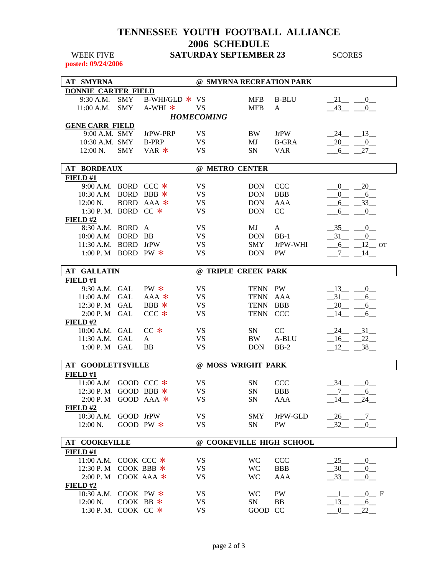**posted: 09/24/2006** 

| <b>DONNIE CARTER FIELD</b><br>9:30 A.M.<br><b>SMY</b><br>B-WHI/GLD $*$ VS<br><b>MFB</b><br><b>B-BLU</b><br>21<br>$-0$<br>11:00 A.M.<br><b>SMY</b><br>$A-WHI$ *<br><b>VS</b><br>43<br><b>MFB</b><br>$\mathbf{A}$<br>$\mathbf{0}$<br><b>HOMECOMING</b><br><b>GENE CARR FIELD</b><br>9:00 A.M. SMY<br>JrPW-PRP<br><b>VS</b><br>24 13<br><b>BW</b><br><b>JrPW</b><br><b>VS</b><br>10:30 A.M. SMY<br><b>B-PRP</b><br>$20 - 0$<br>MJ<br><b>B-GRA</b><br><b>VS</b><br><b>SMY</b><br>$VAR *$<br>$12:00 N$ .<br><b>SN</b><br><b>VAR</b><br>$-6$ $-27$<br><b>AT BORDEAUX</b><br>@ METRO CENTER<br>FIELD#1<br>9:00 A.M. BORD CCC $*$<br><b>VS</b><br>20<br><b>DON</b><br><b>CCC</b><br>$\mathbf{0}$<br><b>VS</b><br>BORD BBB *<br>10:30 A.M<br><b>DON</b><br><b>BBB</b><br>$\mathbf{0}$<br>$6\phantom{0}$<br><b>VS</b><br>BORD AAA *<br>$-33$<br>12:00 N.<br><b>DON</b><br>AAA<br>6<br><b>VS</b><br>1:30 P.M. BORD CC *<br>CC<br><b>DON</b><br>$\overline{0}$<br>6<br>FIELD#2<br><b>VS</b><br>8:30 A.M. BORD<br>MJ<br>35 0<br>A<br>A<br>BORD BB<br><b>VS</b><br>$-31$ $-0$<br>10:00 A.M<br><b>DON</b><br>$BB-1$<br><b>VS</b><br>11:30 A.M. BORD JrPW<br>JrPW-WHI<br>$-6$ $-12$ or<br><b>SMY</b><br>1:00 P.M<br>BORD PW $*$<br><b>VS</b><br>PW<br><b>DON</b><br>$-14$<br>$\overline{7}$<br><b>AT GALLATIN</b><br>@ TRIPLE CREEK PARK<br>FIELD#1<br>9:30 A.M. GAL<br>$PW *$<br><b>VS</b><br>TENN PW<br>$-13$ $-$ 0<br><b>VS</b><br><b>GAL</b><br>$AAA$ *<br><b>TENN</b><br><b>AAA</b><br>11:00 A.M<br>$31 -$<br>6<br><b>VS</b><br>12:30 P. M GAL<br>BBB *<br>TENN<br>BBB<br>20<br>6<br>$CCC$ $*$<br><b>VS</b><br>2:00 P. M<br>GAL<br>TENN CCC<br>14<br>6<br>FIELD#2<br>31<br>10:00 A.M. GAL<br>$CC*$<br><b>VS</b><br>SN<br>CC<br>24<br><b>VS</b><br>11:30 A.M. GAL<br>$\mathbf{A}$<br>BW<br>A-BLU<br>$-16$<br>22<br><b>VS</b><br>1:00 P. M GAL<br><b>BB</b><br>$-12$<br>38<br><b>DON</b><br>$BB-2$<br><b>AT GOODLETTSVILLE</b><br>@ MOSS WRIGHT PARK<br>FIELD #1<br>11:00 A.M GOOD CCC *<br>VS<br>SN<br><b>CCC</b><br>34<br>$\overline{0}$<br>12:30 P. M GOOD BBB *<br><b>VS</b><br>SN<br>6<br><b>BBB</b><br>7 <sub>1</sub><br><b>VS</b><br>$-24$<br>2:00 P. M GOOD AAA *<br>$\text{SN}^-$<br>14<br>AAA<br>FIELD#2<br>10:30 A.M. GOOD JrPW<br><b>VS</b><br><b>SMY</b><br>JrPW-GLD<br>$-26$ $-7$<br>GOOD PW $*$<br><b>VS</b><br>$-32$ $-$<br><b>SN</b><br><b>PW</b><br>$\overline{0}$<br>$12:00 \text{ N.}$<br><b>AT COOKEVILLE</b><br>@ COOKEVILLE HIGH SCHOOL<br>FIELD#1<br>11:00 A.M. COOK CCC *<br><b>VS</b><br>WC<br><b>CCC</b><br>$\overline{0}$<br>25<br>12:30 P. M COOK BBB *<br><b>VS</b><br><b>BBB</b><br>$-30$<br>$0$ <sub>--</sub><br><b>WC</b> |  | <b>AT SMYRNA</b> |  |  | @ SMYRNA RECREATION PARK |  |  |                |  |
|-----------------------------------------------------------------------------------------------------------------------------------------------------------------------------------------------------------------------------------------------------------------------------------------------------------------------------------------------------------------------------------------------------------------------------------------------------------------------------------------------------------------------------------------------------------------------------------------------------------------------------------------------------------------------------------------------------------------------------------------------------------------------------------------------------------------------------------------------------------------------------------------------------------------------------------------------------------------------------------------------------------------------------------------------------------------------------------------------------------------------------------------------------------------------------------------------------------------------------------------------------------------------------------------------------------------------------------------------------------------------------------------------------------------------------------------------------------------------------------------------------------------------------------------------------------------------------------------------------------------------------------------------------------------------------------------------------------------------------------------------------------------------------------------------------------------------------------------------------------------------------------------------------------------------------------------------------------------------------------------------------------------------------------------------------------------------------------------------------------------------------------------------------------------------------------------------------------------------------------------------------------------------------------------------------------------------------------------------------------------------------------------------------------------------------------------------------------------------------------------------------------------------------------------------------------------------------------------------------------------------------------------------|--|------------------|--|--|--------------------------|--|--|----------------|--|
|                                                                                                                                                                                                                                                                                                                                                                                                                                                                                                                                                                                                                                                                                                                                                                                                                                                                                                                                                                                                                                                                                                                                                                                                                                                                                                                                                                                                                                                                                                                                                                                                                                                                                                                                                                                                                                                                                                                                                                                                                                                                                                                                                                                                                                                                                                                                                                                                                                                                                                                                                                                                                                               |  |                  |  |  |                          |  |  |                |  |
|                                                                                                                                                                                                                                                                                                                                                                                                                                                                                                                                                                                                                                                                                                                                                                                                                                                                                                                                                                                                                                                                                                                                                                                                                                                                                                                                                                                                                                                                                                                                                                                                                                                                                                                                                                                                                                                                                                                                                                                                                                                                                                                                                                                                                                                                                                                                                                                                                                                                                                                                                                                                                                               |  |                  |  |  |                          |  |  |                |  |
|                                                                                                                                                                                                                                                                                                                                                                                                                                                                                                                                                                                                                                                                                                                                                                                                                                                                                                                                                                                                                                                                                                                                                                                                                                                                                                                                                                                                                                                                                                                                                                                                                                                                                                                                                                                                                                                                                                                                                                                                                                                                                                                                                                                                                                                                                                                                                                                                                                                                                                                                                                                                                                               |  |                  |  |  |                          |  |  |                |  |
|                                                                                                                                                                                                                                                                                                                                                                                                                                                                                                                                                                                                                                                                                                                                                                                                                                                                                                                                                                                                                                                                                                                                                                                                                                                                                                                                                                                                                                                                                                                                                                                                                                                                                                                                                                                                                                                                                                                                                                                                                                                                                                                                                                                                                                                                                                                                                                                                                                                                                                                                                                                                                                               |  |                  |  |  |                          |  |  |                |  |
|                                                                                                                                                                                                                                                                                                                                                                                                                                                                                                                                                                                                                                                                                                                                                                                                                                                                                                                                                                                                                                                                                                                                                                                                                                                                                                                                                                                                                                                                                                                                                                                                                                                                                                                                                                                                                                                                                                                                                                                                                                                                                                                                                                                                                                                                                                                                                                                                                                                                                                                                                                                                                                               |  |                  |  |  |                          |  |  |                |  |
|                                                                                                                                                                                                                                                                                                                                                                                                                                                                                                                                                                                                                                                                                                                                                                                                                                                                                                                                                                                                                                                                                                                                                                                                                                                                                                                                                                                                                                                                                                                                                                                                                                                                                                                                                                                                                                                                                                                                                                                                                                                                                                                                                                                                                                                                                                                                                                                                                                                                                                                                                                                                                                               |  |                  |  |  |                          |  |  |                |  |
|                                                                                                                                                                                                                                                                                                                                                                                                                                                                                                                                                                                                                                                                                                                                                                                                                                                                                                                                                                                                                                                                                                                                                                                                                                                                                                                                                                                                                                                                                                                                                                                                                                                                                                                                                                                                                                                                                                                                                                                                                                                                                                                                                                                                                                                                                                                                                                                                                                                                                                                                                                                                                                               |  |                  |  |  |                          |  |  |                |  |
|                                                                                                                                                                                                                                                                                                                                                                                                                                                                                                                                                                                                                                                                                                                                                                                                                                                                                                                                                                                                                                                                                                                                                                                                                                                                                                                                                                                                                                                                                                                                                                                                                                                                                                                                                                                                                                                                                                                                                                                                                                                                                                                                                                                                                                                                                                                                                                                                                                                                                                                                                                                                                                               |  |                  |  |  |                          |  |  |                |  |
|                                                                                                                                                                                                                                                                                                                                                                                                                                                                                                                                                                                                                                                                                                                                                                                                                                                                                                                                                                                                                                                                                                                                                                                                                                                                                                                                                                                                                                                                                                                                                                                                                                                                                                                                                                                                                                                                                                                                                                                                                                                                                                                                                                                                                                                                                                                                                                                                                                                                                                                                                                                                                                               |  |                  |  |  |                          |  |  |                |  |
|                                                                                                                                                                                                                                                                                                                                                                                                                                                                                                                                                                                                                                                                                                                                                                                                                                                                                                                                                                                                                                                                                                                                                                                                                                                                                                                                                                                                                                                                                                                                                                                                                                                                                                                                                                                                                                                                                                                                                                                                                                                                                                                                                                                                                                                                                                                                                                                                                                                                                                                                                                                                                                               |  |                  |  |  |                          |  |  |                |  |
|                                                                                                                                                                                                                                                                                                                                                                                                                                                                                                                                                                                                                                                                                                                                                                                                                                                                                                                                                                                                                                                                                                                                                                                                                                                                                                                                                                                                                                                                                                                                                                                                                                                                                                                                                                                                                                                                                                                                                                                                                                                                                                                                                                                                                                                                                                                                                                                                                                                                                                                                                                                                                                               |  |                  |  |  |                          |  |  |                |  |
|                                                                                                                                                                                                                                                                                                                                                                                                                                                                                                                                                                                                                                                                                                                                                                                                                                                                                                                                                                                                                                                                                                                                                                                                                                                                                                                                                                                                                                                                                                                                                                                                                                                                                                                                                                                                                                                                                                                                                                                                                                                                                                                                                                                                                                                                                                                                                                                                                                                                                                                                                                                                                                               |  |                  |  |  |                          |  |  |                |  |
|                                                                                                                                                                                                                                                                                                                                                                                                                                                                                                                                                                                                                                                                                                                                                                                                                                                                                                                                                                                                                                                                                                                                                                                                                                                                                                                                                                                                                                                                                                                                                                                                                                                                                                                                                                                                                                                                                                                                                                                                                                                                                                                                                                                                                                                                                                                                                                                                                                                                                                                                                                                                                                               |  |                  |  |  |                          |  |  |                |  |
|                                                                                                                                                                                                                                                                                                                                                                                                                                                                                                                                                                                                                                                                                                                                                                                                                                                                                                                                                                                                                                                                                                                                                                                                                                                                                                                                                                                                                                                                                                                                                                                                                                                                                                                                                                                                                                                                                                                                                                                                                                                                                                                                                                                                                                                                                                                                                                                                                                                                                                                                                                                                                                               |  |                  |  |  |                          |  |  |                |  |
|                                                                                                                                                                                                                                                                                                                                                                                                                                                                                                                                                                                                                                                                                                                                                                                                                                                                                                                                                                                                                                                                                                                                                                                                                                                                                                                                                                                                                                                                                                                                                                                                                                                                                                                                                                                                                                                                                                                                                                                                                                                                                                                                                                                                                                                                                                                                                                                                                                                                                                                                                                                                                                               |  |                  |  |  |                          |  |  |                |  |
|                                                                                                                                                                                                                                                                                                                                                                                                                                                                                                                                                                                                                                                                                                                                                                                                                                                                                                                                                                                                                                                                                                                                                                                                                                                                                                                                                                                                                                                                                                                                                                                                                                                                                                                                                                                                                                                                                                                                                                                                                                                                                                                                                                                                                                                                                                                                                                                                                                                                                                                                                                                                                                               |  |                  |  |  |                          |  |  |                |  |
|                                                                                                                                                                                                                                                                                                                                                                                                                                                                                                                                                                                                                                                                                                                                                                                                                                                                                                                                                                                                                                                                                                                                                                                                                                                                                                                                                                                                                                                                                                                                                                                                                                                                                                                                                                                                                                                                                                                                                                                                                                                                                                                                                                                                                                                                                                                                                                                                                                                                                                                                                                                                                                               |  |                  |  |  |                          |  |  |                |  |
|                                                                                                                                                                                                                                                                                                                                                                                                                                                                                                                                                                                                                                                                                                                                                                                                                                                                                                                                                                                                                                                                                                                                                                                                                                                                                                                                                                                                                                                                                                                                                                                                                                                                                                                                                                                                                                                                                                                                                                                                                                                                                                                                                                                                                                                                                                                                                                                                                                                                                                                                                                                                                                               |  |                  |  |  |                          |  |  |                |  |
|                                                                                                                                                                                                                                                                                                                                                                                                                                                                                                                                                                                                                                                                                                                                                                                                                                                                                                                                                                                                                                                                                                                                                                                                                                                                                                                                                                                                                                                                                                                                                                                                                                                                                                                                                                                                                                                                                                                                                                                                                                                                                                                                                                                                                                                                                                                                                                                                                                                                                                                                                                                                                                               |  |                  |  |  |                          |  |  |                |  |
|                                                                                                                                                                                                                                                                                                                                                                                                                                                                                                                                                                                                                                                                                                                                                                                                                                                                                                                                                                                                                                                                                                                                                                                                                                                                                                                                                                                                                                                                                                                                                                                                                                                                                                                                                                                                                                                                                                                                                                                                                                                                                                                                                                                                                                                                                                                                                                                                                                                                                                                                                                                                                                               |  |                  |  |  |                          |  |  |                |  |
|                                                                                                                                                                                                                                                                                                                                                                                                                                                                                                                                                                                                                                                                                                                                                                                                                                                                                                                                                                                                                                                                                                                                                                                                                                                                                                                                                                                                                                                                                                                                                                                                                                                                                                                                                                                                                                                                                                                                                                                                                                                                                                                                                                                                                                                                                                                                                                                                                                                                                                                                                                                                                                               |  |                  |  |  |                          |  |  |                |  |
|                                                                                                                                                                                                                                                                                                                                                                                                                                                                                                                                                                                                                                                                                                                                                                                                                                                                                                                                                                                                                                                                                                                                                                                                                                                                                                                                                                                                                                                                                                                                                                                                                                                                                                                                                                                                                                                                                                                                                                                                                                                                                                                                                                                                                                                                                                                                                                                                                                                                                                                                                                                                                                               |  |                  |  |  |                          |  |  |                |  |
|                                                                                                                                                                                                                                                                                                                                                                                                                                                                                                                                                                                                                                                                                                                                                                                                                                                                                                                                                                                                                                                                                                                                                                                                                                                                                                                                                                                                                                                                                                                                                                                                                                                                                                                                                                                                                                                                                                                                                                                                                                                                                                                                                                                                                                                                                                                                                                                                                                                                                                                                                                                                                                               |  |                  |  |  |                          |  |  |                |  |
|                                                                                                                                                                                                                                                                                                                                                                                                                                                                                                                                                                                                                                                                                                                                                                                                                                                                                                                                                                                                                                                                                                                                                                                                                                                                                                                                                                                                                                                                                                                                                                                                                                                                                                                                                                                                                                                                                                                                                                                                                                                                                                                                                                                                                                                                                                                                                                                                                                                                                                                                                                                                                                               |  |                  |  |  |                          |  |  |                |  |
|                                                                                                                                                                                                                                                                                                                                                                                                                                                                                                                                                                                                                                                                                                                                                                                                                                                                                                                                                                                                                                                                                                                                                                                                                                                                                                                                                                                                                                                                                                                                                                                                                                                                                                                                                                                                                                                                                                                                                                                                                                                                                                                                                                                                                                                                                                                                                                                                                                                                                                                                                                                                                                               |  |                  |  |  |                          |  |  |                |  |
|                                                                                                                                                                                                                                                                                                                                                                                                                                                                                                                                                                                                                                                                                                                                                                                                                                                                                                                                                                                                                                                                                                                                                                                                                                                                                                                                                                                                                                                                                                                                                                                                                                                                                                                                                                                                                                                                                                                                                                                                                                                                                                                                                                                                                                                                                                                                                                                                                                                                                                                                                                                                                                               |  |                  |  |  |                          |  |  |                |  |
|                                                                                                                                                                                                                                                                                                                                                                                                                                                                                                                                                                                                                                                                                                                                                                                                                                                                                                                                                                                                                                                                                                                                                                                                                                                                                                                                                                                                                                                                                                                                                                                                                                                                                                                                                                                                                                                                                                                                                                                                                                                                                                                                                                                                                                                                                                                                                                                                                                                                                                                                                                                                                                               |  |                  |  |  |                          |  |  |                |  |
|                                                                                                                                                                                                                                                                                                                                                                                                                                                                                                                                                                                                                                                                                                                                                                                                                                                                                                                                                                                                                                                                                                                                                                                                                                                                                                                                                                                                                                                                                                                                                                                                                                                                                                                                                                                                                                                                                                                                                                                                                                                                                                                                                                                                                                                                                                                                                                                                                                                                                                                                                                                                                                               |  |                  |  |  |                          |  |  |                |  |
|                                                                                                                                                                                                                                                                                                                                                                                                                                                                                                                                                                                                                                                                                                                                                                                                                                                                                                                                                                                                                                                                                                                                                                                                                                                                                                                                                                                                                                                                                                                                                                                                                                                                                                                                                                                                                                                                                                                                                                                                                                                                                                                                                                                                                                                                                                                                                                                                                                                                                                                                                                                                                                               |  |                  |  |  |                          |  |  |                |  |
|                                                                                                                                                                                                                                                                                                                                                                                                                                                                                                                                                                                                                                                                                                                                                                                                                                                                                                                                                                                                                                                                                                                                                                                                                                                                                                                                                                                                                                                                                                                                                                                                                                                                                                                                                                                                                                                                                                                                                                                                                                                                                                                                                                                                                                                                                                                                                                                                                                                                                                                                                                                                                                               |  |                  |  |  |                          |  |  |                |  |
|                                                                                                                                                                                                                                                                                                                                                                                                                                                                                                                                                                                                                                                                                                                                                                                                                                                                                                                                                                                                                                                                                                                                                                                                                                                                                                                                                                                                                                                                                                                                                                                                                                                                                                                                                                                                                                                                                                                                                                                                                                                                                                                                                                                                                                                                                                                                                                                                                                                                                                                                                                                                                                               |  |                  |  |  |                          |  |  |                |  |
|                                                                                                                                                                                                                                                                                                                                                                                                                                                                                                                                                                                                                                                                                                                                                                                                                                                                                                                                                                                                                                                                                                                                                                                                                                                                                                                                                                                                                                                                                                                                                                                                                                                                                                                                                                                                                                                                                                                                                                                                                                                                                                                                                                                                                                                                                                                                                                                                                                                                                                                                                                                                                                               |  |                  |  |  |                          |  |  |                |  |
|                                                                                                                                                                                                                                                                                                                                                                                                                                                                                                                                                                                                                                                                                                                                                                                                                                                                                                                                                                                                                                                                                                                                                                                                                                                                                                                                                                                                                                                                                                                                                                                                                                                                                                                                                                                                                                                                                                                                                                                                                                                                                                                                                                                                                                                                                                                                                                                                                                                                                                                                                                                                                                               |  |                  |  |  |                          |  |  |                |  |
|                                                                                                                                                                                                                                                                                                                                                                                                                                                                                                                                                                                                                                                                                                                                                                                                                                                                                                                                                                                                                                                                                                                                                                                                                                                                                                                                                                                                                                                                                                                                                                                                                                                                                                                                                                                                                                                                                                                                                                                                                                                                                                                                                                                                                                                                                                                                                                                                                                                                                                                                                                                                                                               |  |                  |  |  |                          |  |  |                |  |
|                                                                                                                                                                                                                                                                                                                                                                                                                                                                                                                                                                                                                                                                                                                                                                                                                                                                                                                                                                                                                                                                                                                                                                                                                                                                                                                                                                                                                                                                                                                                                                                                                                                                                                                                                                                                                                                                                                                                                                                                                                                                                                                                                                                                                                                                                                                                                                                                                                                                                                                                                                                                                                               |  |                  |  |  |                          |  |  |                |  |
|                                                                                                                                                                                                                                                                                                                                                                                                                                                                                                                                                                                                                                                                                                                                                                                                                                                                                                                                                                                                                                                                                                                                                                                                                                                                                                                                                                                                                                                                                                                                                                                                                                                                                                                                                                                                                                                                                                                                                                                                                                                                                                                                                                                                                                                                                                                                                                                                                                                                                                                                                                                                                                               |  |                  |  |  |                          |  |  |                |  |
|                                                                                                                                                                                                                                                                                                                                                                                                                                                                                                                                                                                                                                                                                                                                                                                                                                                                                                                                                                                                                                                                                                                                                                                                                                                                                                                                                                                                                                                                                                                                                                                                                                                                                                                                                                                                                                                                                                                                                                                                                                                                                                                                                                                                                                                                                                                                                                                                                                                                                                                                                                                                                                               |  |                  |  |  |                          |  |  |                |  |
|                                                                                                                                                                                                                                                                                                                                                                                                                                                                                                                                                                                                                                                                                                                                                                                                                                                                                                                                                                                                                                                                                                                                                                                                                                                                                                                                                                                                                                                                                                                                                                                                                                                                                                                                                                                                                                                                                                                                                                                                                                                                                                                                                                                                                                                                                                                                                                                                                                                                                                                                                                                                                                               |  |                  |  |  |                          |  |  |                |  |
|                                                                                                                                                                                                                                                                                                                                                                                                                                                                                                                                                                                                                                                                                                                                                                                                                                                                                                                                                                                                                                                                                                                                                                                                                                                                                                                                                                                                                                                                                                                                                                                                                                                                                                                                                                                                                                                                                                                                                                                                                                                                                                                                                                                                                                                                                                                                                                                                                                                                                                                                                                                                                                               |  |                  |  |  |                          |  |  |                |  |
|                                                                                                                                                                                                                                                                                                                                                                                                                                                                                                                                                                                                                                                                                                                                                                                                                                                                                                                                                                                                                                                                                                                                                                                                                                                                                                                                                                                                                                                                                                                                                                                                                                                                                                                                                                                                                                                                                                                                                                                                                                                                                                                                                                                                                                                                                                                                                                                                                                                                                                                                                                                                                                               |  |                  |  |  |                          |  |  |                |  |
|                                                                                                                                                                                                                                                                                                                                                                                                                                                                                                                                                                                                                                                                                                                                                                                                                                                                                                                                                                                                                                                                                                                                                                                                                                                                                                                                                                                                                                                                                                                                                                                                                                                                                                                                                                                                                                                                                                                                                                                                                                                                                                                                                                                                                                                                                                                                                                                                                                                                                                                                                                                                                                               |  |                  |  |  |                          |  |  |                |  |
|                                                                                                                                                                                                                                                                                                                                                                                                                                                                                                                                                                                                                                                                                                                                                                                                                                                                                                                                                                                                                                                                                                                                                                                                                                                                                                                                                                                                                                                                                                                                                                                                                                                                                                                                                                                                                                                                                                                                                                                                                                                                                                                                                                                                                                                                                                                                                                                                                                                                                                                                                                                                                                               |  |                  |  |  |                          |  |  |                |  |
|                                                                                                                                                                                                                                                                                                                                                                                                                                                                                                                                                                                                                                                                                                                                                                                                                                                                                                                                                                                                                                                                                                                                                                                                                                                                                                                                                                                                                                                                                                                                                                                                                                                                                                                                                                                                                                                                                                                                                                                                                                                                                                                                                                                                                                                                                                                                                                                                                                                                                                                                                                                                                                               |  |                  |  |  |                          |  |  |                |  |
|                                                                                                                                                                                                                                                                                                                                                                                                                                                                                                                                                                                                                                                                                                                                                                                                                                                                                                                                                                                                                                                                                                                                                                                                                                                                                                                                                                                                                                                                                                                                                                                                                                                                                                                                                                                                                                                                                                                                                                                                                                                                                                                                                                                                                                                                                                                                                                                                                                                                                                                                                                                                                                               |  |                  |  |  |                          |  |  |                |  |
|                                                                                                                                                                                                                                                                                                                                                                                                                                                                                                                                                                                                                                                                                                                                                                                                                                                                                                                                                                                                                                                                                                                                                                                                                                                                                                                                                                                                                                                                                                                                                                                                                                                                                                                                                                                                                                                                                                                                                                                                                                                                                                                                                                                                                                                                                                                                                                                                                                                                                                                                                                                                                                               |  |                  |  |  |                          |  |  |                |  |
| <b>VS</b><br>2:00 P. M<br>COOK AAA $*$<br>WC<br><b>AAA</b><br>$-33$<br>0                                                                                                                                                                                                                                                                                                                                                                                                                                                                                                                                                                                                                                                                                                                                                                                                                                                                                                                                                                                                                                                                                                                                                                                                                                                                                                                                                                                                                                                                                                                                                                                                                                                                                                                                                                                                                                                                                                                                                                                                                                                                                                                                                                                                                                                                                                                                                                                                                                                                                                                                                                      |  |                  |  |  |                          |  |  |                |  |
| FIELD#2                                                                                                                                                                                                                                                                                                                                                                                                                                                                                                                                                                                                                                                                                                                                                                                                                                                                                                                                                                                                                                                                                                                                                                                                                                                                                                                                                                                                                                                                                                                                                                                                                                                                                                                                                                                                                                                                                                                                                                                                                                                                                                                                                                                                                                                                                                                                                                                                                                                                                                                                                                                                                                       |  |                  |  |  |                          |  |  |                |  |
| COOK PW $*$<br><b>VS</b><br>10:30 A.M.<br>PW<br>WC<br>$-0$ F                                                                                                                                                                                                                                                                                                                                                                                                                                                                                                                                                                                                                                                                                                                                                                                                                                                                                                                                                                                                                                                                                                                                                                                                                                                                                                                                                                                                                                                                                                                                                                                                                                                                                                                                                                                                                                                                                                                                                                                                                                                                                                                                                                                                                                                                                                                                                                                                                                                                                                                                                                                  |  |                  |  |  |                          |  |  |                |  |
| COOK BB $*$<br>12:00 N.<br>VS<br>SN<br>BB<br>$13 - 6$                                                                                                                                                                                                                                                                                                                                                                                                                                                                                                                                                                                                                                                                                                                                                                                                                                                                                                                                                                                                                                                                                                                                                                                                                                                                                                                                                                                                                                                                                                                                                                                                                                                                                                                                                                                                                                                                                                                                                                                                                                                                                                                                                                                                                                                                                                                                                                                                                                                                                                                                                                                         |  |                  |  |  |                          |  |  |                |  |
| 1:30 P.M. COOK CC $*$<br>GOOD CC                                                                                                                                                                                                                                                                                                                                                                                                                                                                                                                                                                                                                                                                                                                                                                                                                                                                                                                                                                                                                                                                                                                                                                                                                                                                                                                                                                                                                                                                                                                                                                                                                                                                                                                                                                                                                                                                                                                                                                                                                                                                                                                                                                                                                                                                                                                                                                                                                                                                                                                                                                                                              |  |                  |  |  | <b>VS</b>                |  |  | 22<br>$\Omega$ |  |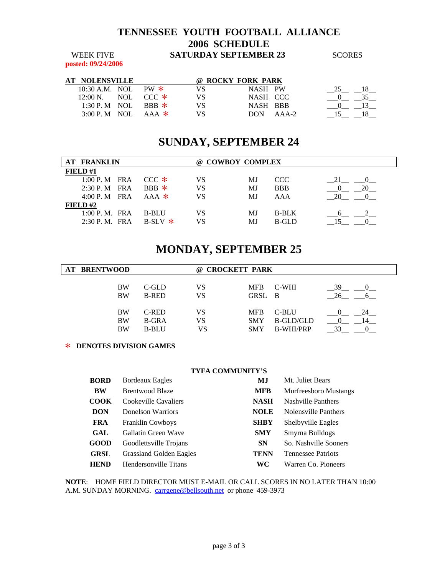**posted: 09/24/2006** 

| AТ | <b>NOLENSVILLE</b>               |  |     | @ ROCKY FORK PARK |               |  |
|----|----------------------------------|--|-----|-------------------|---------------|--|
|    | 10:30 A.M. NOL PW $*$            |  | VS. | NASH PW           |               |  |
|    | $12:00 \text{ N}$ NOL CCC $\ast$ |  | VS  | NASH CCC          |               |  |
|    | 1:30 P.M NOL BBB $*$             |  | VS  | NASH BBB          |               |  |
|    | 3:00 P.M NOL AAA $*$             |  | VS  |                   | $DON$ $AAA-2$ |  |

## **SUNDAY, SEPTEMBER 24**

| <b>AT FRANKLIN</b> |                 |  | @ COWBOY COMPLEX      |    |    |              |    |
|--------------------|-----------------|--|-----------------------|----|----|--------------|----|
| FIELD $#1$         |                 |  |                       |    |    |              |    |
|                    | $1:00 P.M$ FRA  |  | $CCC$ $*$             | VS | MJ | CCC.         | 21 |
|                    | $2:30$ P. M FRA |  | $R$ <sub>RB</sub> $*$ | VS | MJ | <b>BBB</b>   |    |
|                    | $4:00 P.M$ FRA  |  | $AAA$ *               | VS | MJ | AAA          | 20 |
| FIELD#2            |                 |  |                       |    |    |              |    |
|                    | 1:00 P. M. FRA  |  | <b>B-BLU</b>          | VS | МJ | <b>B-BLK</b> |    |
|                    | $2:30$ P.M. FRA |  | $B-SLY$ *             | VS | МJ | B-GLD        |    |

## **MONDAY, SEPTEMBER 25**

| <b>BRENTWOOD</b><br>AT |              | $\omega$ | <b>CROCKETT PARK</b> |                  |    |
|------------------------|--------------|----------|----------------------|------------------|----|
| <b>BW</b>              | $C$ -GLD     | VS       | <b>MFB</b>           | C-WHI            | 39 |
| <b>BW</b>              | <b>B-RED</b> | VS       | GRSL B               |                  | 26 |
| <b>BW</b>              | C-RED        | VS       | <b>MFB</b>           | C-BLU            |    |
| <b>BW</b>              | <b>B-GRA</b> | VS       | <b>SMY</b>           | <b>B-GLD/GLD</b> |    |
| <b>BW</b>              | <b>B-BLU</b> | VS       | <b>SMY</b>           | <b>B-WHI/PRP</b> |    |

### > **DENOTES DIVISION GAMES**

| <b>TYFA COMMUNITY'S</b> |
|-------------------------|
|                         |

| <b>BORD</b> | <b>Bordeaux Eagles</b>         | MJ          | Mt. Juliet Bears             |
|-------------|--------------------------------|-------------|------------------------------|
| <b>BW</b>   | <b>Brentwood Blaze</b>         | <b>MFB</b>  | <b>Murfreesboro Mustangs</b> |
| <b>COOK</b> | Cookeville Cavaliers           | <b>NASH</b> | Nashville Panthers           |
| <b>DON</b>  | Donelson Warriors              | <b>NOLE</b> | Nolensville Panthers         |
| <b>FRA</b>  | <b>Franklin Cowboys</b>        | <b>SHBY</b> | Shelbyville Eagles           |
| GAL         | Gallatin Green Wave            | <b>SMY</b>  | Smyrna Bulldogs              |
| <b>GOOD</b> | Goodlettsville Trojans         | <b>SN</b>   | So. Nashville Sooners        |
| <b>GRSL</b> | <b>Grassland Golden Eagles</b> | <b>TENN</b> | <b>Tennessee Patriots</b>    |
| <b>HEND</b> | Hendersonville Titans          | WС          | Warren Co. Pioneers          |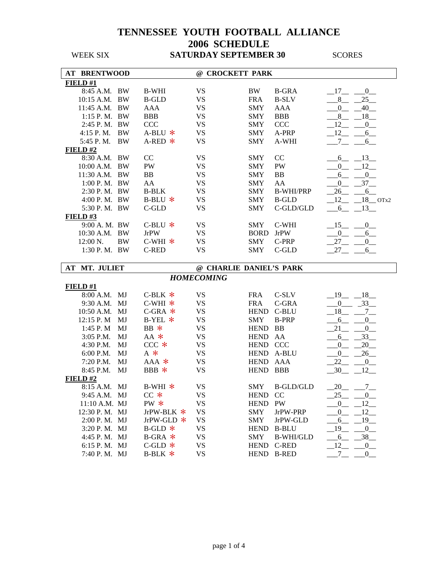| <b>AT BRENTWOOD</b> |           |              | @ CROCKETT PARK         |             |                  |                                        |
|---------------------|-----------|--------------|-------------------------|-------------|------------------|----------------------------------------|
| FIELD#1             |           |              |                         |             |                  |                                        |
| 8:45 A.M. BW        |           | <b>B-WHI</b> | <b>VS</b>               | BW          | <b>B-GRA</b>     | $-17$ $-0$                             |
| 10:15 A.M. BW       |           | <b>B-GLD</b> | <b>VS</b>               | <b>FRA</b>  | <b>B-SLV</b>     | 25<br>8 <sup>8</sup>                   |
| 11:45 A.M. BW       |           | <b>AAA</b>   | <b>VS</b>               | <b>SMY</b>  | AAA              | 40<br>$\mathbf{0}$                     |
| $1:15$ P. M. BW     |           | <b>BBB</b>   | <b>VS</b>               | <b>SMY</b>  | <b>BBB</b>       | $-18$<br>8                             |
| 2:45 P.M. BW        |           | <b>CCC</b>   | <b>VS</b>               | <b>SMY</b>  | <b>CCC</b>       | 12<br>$\mathbf{0}$                     |
| 4:15 P.M.           | BW        | $A-BLU$ *    | <b>VS</b>               | <b>SMY</b>  | A-PRP            | $-12$<br>6                             |
| 5:45 P.M.           | BW        | $A$ -RED $*$ | <b>VS</b>               | <b>SMY</b>  | A-WHI            | $\overline{a}$<br>6                    |
| FIELD#2             |           |              |                         |             |                  |                                        |
| 8:30 A.M. BW        |           | CC           | <b>VS</b>               | <b>SMY</b>  | CC               | 13<br>6                                |
| 10:00 A.M. BW       |           | PW           | <b>VS</b>               | <b>SMY</b>  | PW               | $-12$<br>$\mathbf{0}$                  |
| 11:30 A.M. BW       |           | <b>BB</b>    | <b>VS</b>               | <b>SMY</b>  | <b>BB</b>        | 0<br>6                                 |
| 1:00 P.M. BW        |           | AA           | <b>VS</b>               | <b>SMY</b>  | AA               | 37<br>$\overline{0}$                   |
| 2:30 P.M. BW        |           | <b>B-BLK</b> | <b>VS</b>               | <b>SMY</b>  | <b>B-WHI/PRP</b> | 26<br>$-6$                             |
| 4:00 P.M. BW        |           | $B-BLU$ *    | <b>VS</b>               | <b>SMY</b>  | <b>B-GLD</b>     | 12<br>$18$ OTx2                        |
| 5:30 P.M. BW        |           | C-GLD        | <b>VS</b>               | <b>SMY</b>  | C-GLD/GLD        | 6<br>$-13$                             |
| FIELD#3             |           |              |                         |             |                  |                                        |
| 9:00 A. M. BW       |           | $C-BLU$ *    | <b>VS</b>               | <b>SMY</b>  | C-WHI            | $-15$<br>$\mathbf{0}$                  |
| 10:30 A.M. BW       |           | <b>JrPW</b>  | <b>VS</b>               | <b>BORD</b> | <b>JrPW</b>      | $\overline{0}$<br>6                    |
| 12:00 N.            | <b>BW</b> | $C-WHI$ *    | <b>VS</b>               | <b>SMY</b>  | C-PRP            | 27<br>$\overline{0}$                   |
| 1:30 P.M. BW        |           | <b>C-RED</b> | <b>VS</b>               | <b>SMY</b>  | C-GLD            | 27<br>6                                |
|                     |           |              |                         |             |                  |                                        |
|                     |           |              |                         |             |                  |                                        |
| MT. JULIET<br>AT    |           |              | @ CHARLIE DANIEL'S PARK |             |                  |                                        |
|                     |           |              | <b>HOMECOMING</b>       |             |                  |                                        |
| FIELD#1             |           |              |                         |             |                  |                                        |
| 8:00 A.M.           | MJ        | C-BLK $*$    | <b>VS</b>               | <b>FRA</b>  | C-SLV            | $-19 - 18$                             |
| 9:30 A.M.           | MJ        | $C-WHI$ *    | <b>VS</b>               | <b>FRA</b>  | C-GRA            | $-33$<br>$\overline{0}$                |
| 10:50 A.M.          | MJ        | $C$ -GRA $*$ | <b>VS</b>               | <b>HEND</b> | C-BLU            | $-18$<br>$7\overline{ }$               |
| 12:15 P.M           | MJ        | $B-YEL$ *    | <b>VS</b>               | SMY         | <b>B-PRP</b>     | 6<br>0                                 |
| 1:45 P.M            | MJ        | $BB *$       | <b>VS</b>               | <b>HEND</b> | BB               | 0<br>$-21$                             |
| 3:05 P.M.           | MJ        | $AA$ *       | <b>VS</b>               | <b>HEND</b> | AA               | 33<br>6                                |
| 4:30 P.M.           | MJ        | $CCC$ $*$    | <b>VS</b>               | HEND CCC    |                  | 20<br>$\mathbf{0}$                     |
| 6:00 P.M.           | MJ        | $A *$        | <b>VS</b>               |             | HEND A-BLU       | 26<br>0                                |
| 7:20 P.M.           | MJ        | $AAA$ *      | <b>VS</b>               | <b>HEND</b> | AAA              | 22<br>$\begin{array}{c} 0 \end{array}$ |
| 8:45 P.M.           | MJ        | BBB *        | <b>VS</b>               | <b>HEND</b> | <b>BBB</b>       | $-30$<br>$-12$                         |
| FIELD#2             |           |              |                         |             |                  |                                        |
| 8:15 A.M. MJ        |           | $B-WHI$ *    | <b>VS</b>               | <b>SMY</b>  | <b>B-GLD/GLD</b> | 20 7                                   |
| 9:45 A.M. MJ        |           | $CC$ $*$     | VS                      | HEND CC     |                  | $25$ <sub>—</sub>                      |
| 11:10 A.M. MJ       |           | $PW *$       | <b>VS</b>               | HEND PW     |                  | $-12$<br>0                             |
| 12:30 P.M. MJ       |           | JrPW-BLK *   | <b>VS</b>               | <b>SMY</b>  | JrPW-PRP         | 12<br>$\overline{0}$                   |
| 2:00 P.M. MJ        |           | JrPW-GLD $*$ | <b>VS</b>               | <b>SMY</b>  | JrPW-GLD         | $19$ <sub>--</sub><br>6                |
| 3:20 P.M. MJ        |           | $B$ -GLD $*$ | <b>VS</b>               | <b>HEND</b> | <b>B-BLU</b>     | 19<br>$^{0}$                           |
| 4:45 P.M. MJ        |           | $B-GRA$ *    | <b>VS</b>               | <b>SMY</b>  | <b>B-WHI/GLD</b> | 38<br>6                                |
| 6:15 P.M. MJ        |           | C-GLD $*$    | <b>VS</b>               |             | HEND C-RED       | $_{12}$<br>$0$ <sub>—</sub>            |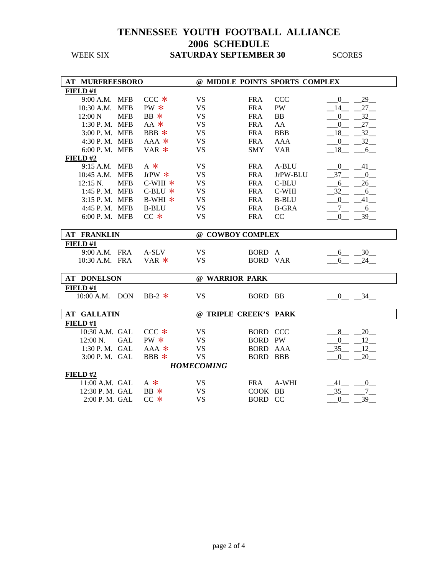| <b>AT MURFREESBORO</b>         |                                                     |                       |                 | @ MIDDLE POINTS SPORTS COMPLEX |                        |
|--------------------------------|-----------------------------------------------------|-----------------------|-----------------|--------------------------------|------------------------|
| FIELD#1                        |                                                     |                       |                 |                                |                        |
| 9:00 A.M. MFB                  | $CCC$ $*$                                           | <b>VS</b>             | <b>FRA</b>      | <b>CCC</b>                     | 29<br>$\mathbf{0}$     |
| <b>MFB</b><br>$10:30$ A.M.     | $PW*$                                               | <b>VS</b>             | <b>FRA</b>      | PW                             | 27<br>14               |
| <b>MFB</b><br>$12:00\text{ N}$ | $BB$ $*$                                            | <b>VS</b>             | <b>FRA</b>      | BB                             | 32<br>$\overline{0}$   |
| 1:30 P.M. MFB                  | $AA$ *                                              | <b>VS</b>             | <b>FRA</b>      | AA                             | $\boldsymbol{0}$<br>27 |
| 3:00 P.M. MFB                  | BBB $*$                                             | <b>VS</b>             | <b>FRA</b>      | <b>BBB</b>                     | 18<br>32               |
| 4:30 P.M. MFB                  | AAA *                                               | <b>VS</b>             | <b>FRA</b>      | <b>AAA</b>                     | $\mathbf{0}$<br>32     |
| 6:00 P.M. MFB                  | $VAR$ *                                             | <b>VS</b>             | <b>SMY</b>      | <b>VAR</b>                     | 18<br>6                |
| FIELD#2                        |                                                     |                       |                 |                                |                        |
| 9:15 A.M. MFB                  | $A$ *                                               | <b>VS</b>             | <b>FRA</b>      | A-BLU                          | 41<br>$\overline{0}$   |
| 10:45 A.M. MFB                 | JrPW $*$                                            | <b>VS</b>             | <b>FRA</b>      | JrPW-BLU                       | 37<br>$\mathbf{0}$     |
| <b>MFB</b><br>$12:15$ N.       | <code>C-WHI<math display="inline">\,</math>*</code> | <b>VS</b>             | <b>FRA</b>      | C-BLU                          | 26<br>6                |
| 1:45 P.M. MFB                  | $C-BLU$ *                                           | <b>VS</b>             | <b>FRA</b>      | C-WHI                          | 32<br>6                |
| 3:15 P.M. MFB                  | $B-WHI$ *                                           | <b>VS</b>             | <b>FRA</b>      | <b>B-BLU</b>                   | $\Omega$<br>41         |
| 4:45 P.M. MFB                  | <b>B-BLU</b>                                        | <b>VS</b>             | <b>FRA</b>      | <b>B-GRA</b>                   | $\tau$<br>6            |
| 6:00 P.M. MFB                  | $CC *$                                              | <b>VS</b>             | <b>FRA</b>      | CC                             | 39<br>0                |
|                                |                                                     |                       |                 |                                |                        |
| <b>AT FRANKLIN</b>             |                                                     | @ COWBOY COMPLEX      |                 |                                |                        |
| FIELD#1                        |                                                     |                       |                 |                                |                        |
| 9:00 A.M. FRA                  | A-SLV                                               | <b>VS</b>             | BORD A          |                                | $-30$<br>6             |
| 10:30 A.M. FRA                 | VAR $*$                                             | <b>VS</b>             | <b>BORD VAR</b> |                                | 24<br>6                |
|                                |                                                     |                       |                 |                                |                        |
| <b>AT DONELSON</b>             |                                                     | @ WARRIOR PARK        |                 |                                |                        |
| FIELD#1                        |                                                     |                       |                 |                                |                        |
| 10:00 A.M. DON                 | BB-2 $*$                                            | <b>VS</b>             | BORD BB         |                                | $0 - 34$               |
|                                |                                                     |                       |                 |                                |                        |
| <b>AT GALLATIN</b>             |                                                     | @ TRIPLE CREEK'S PARK |                 |                                |                        |
| FIELD #1                       |                                                     |                       |                 |                                |                        |
| 10:30 A.M. GAL                 | $CCC$ $*$                                           | <b>VS</b>             | <b>BORD CCC</b> |                                | 20<br>8                |
| 12:00 N.<br><b>GAL</b>         | $PW*$                                               | <b>VS</b>             | BORD PW         |                                | $\overline{0}$<br>12   |
| 1:30 P.M. GAL                  | $AAA$ *                                             | <b>VS</b>             | <b>BORD AAA</b> |                                | 12<br>35               |
| 3:00 P.M. GAL                  | BBB *                                               | <b>VS</b>             | <b>BORD BBB</b> |                                | $\mathbf{0}$<br>20     |
|                                |                                                     | <b>HOMECOMING</b>     |                 |                                |                        |
| FIELD#2                        |                                                     |                       |                 |                                |                        |
| 11:00 A.M. GAL                 | $A *$                                               | <b>VS</b>             | <b>FRA</b>      | A-WHI                          | 41<br>$\overline{0}$   |
| 12:30 P. M. GAL                | $BB$ $*$                                            | <b>VS</b>             | COOK BB         |                                | 35                     |
| 2:00 P.M. GAL                  | $CC*$                                               | <b>VS</b>             | <b>BORD CC</b>  |                                | 39<br>$\boldsymbol{0}$ |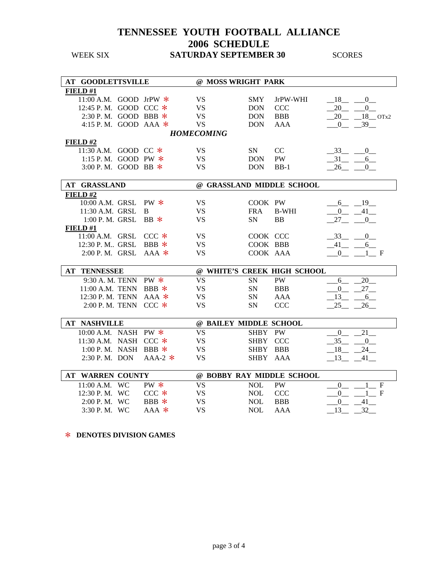| <b>AT GOODLETTSVILLE</b> |             | @ MOSS WRIGHT PARK     |             |                             |                                         |
|--------------------------|-------------|------------------------|-------------|-----------------------------|-----------------------------------------|
| FIELD#1                  |             |                        |             |                             |                                         |
| 11:00 A.M. GOOD JrPW $*$ |             | <b>VS</b>              | <b>SMY</b>  | JrPW-WHI                    | 18<br>$\mathbf{0}$                      |
| 12:45 P.M. GOOD CCC *    |             | <b>VS</b>              | <b>DON</b>  | <b>CCC</b>                  | 20<br>$\overline{0}$                    |
| 2:30 P.M. GOOD BBB *     |             | <b>VS</b>              | <b>DON</b>  | <b>BBB</b>                  | $18$ OTx2<br>20                         |
| 4:15 P.M. GOOD AAA $*$   |             | <b>VS</b>              | <b>DON</b>  | <b>AAA</b>                  | 39<br>$\boldsymbol{0}$                  |
|                          |             | <b>HOMECOMING</b>      |             |                             |                                         |
| FIELD $#2$               |             |                        |             |                             |                                         |
| 11:30 A.M. GOOD CC *     |             | <b>VS</b>              | SN          | CC                          | 33<br>$\overline{0}$                    |
| 1:15 P.M. GOOD PW *      |             | <b>VS</b>              | <b>DON</b>  | <b>PW</b>                   | 31<br>$6$ <sub>--</sub>                 |
| 3:00 P.M. GOOD BB $*$    |             | <b>VS</b>              | <b>DON</b>  | $BB-1$                      | 26<br>0                                 |
|                          |             |                        |             |                             |                                         |
| <b>AT GRASSLAND</b>      |             |                        |             | @ GRASSLAND MIDDLE SCHOOL   |                                         |
| FIELD#2                  |             |                        |             |                             |                                         |
| 10:00 A.M. GRSL          | $PW *$      | <b>VS</b>              | COOK PW     |                             | $-19$<br>6                              |
| 11:30 A.M. GRSL          | B           | <b>VS</b>              | <b>FRA</b>  | <b>B-WHI</b>                | $41$ <sub>—</sub><br>$\overline{0}$     |
| $1:00$ P. M. GRSL        | $BB \times$ | <b>VS</b>              | <b>SN</b>   | <b>BB</b>                   | 27<br>0                                 |
| FIELD#1                  |             |                        |             |                             |                                         |
| 11:00 A.M. GRSL          | $CCC$ $*$   | <b>VS</b>              | COOK CCC    |                             | 33<br>$\mathbf{0}$                      |
| 12:30 P. M., GRSL        | BBB $*$     | <b>VS</b>              | COOK BBB    |                             | 6<br>41                                 |
| 2:00 P.M. GRSL           | $AAA$ *     | <b>VS</b>              | COOK AAA    |                             | $\overline{0}$<br>$1 \t F$              |
|                          |             |                        |             |                             |                                         |
| <b>AT TENNESSEE</b>      |             |                        |             | @ WHITE'S CREEK HIGH SCHOOL |                                         |
| 9:30 A. M. TENN          | $PW *$      | <b>VS</b>              | <b>SN</b>   | <b>PW</b>                   | 20<br>6                                 |
| 11:00 A.M. TENN          | $BBB$ *     | <b>VS</b>              | SN          | <b>BBB</b>                  | $\overline{0}$<br>$27 -$                |
| 12:30 P.M. TENN          | $AAA$ *     | <b>VS</b>              | SN          | <b>AAA</b>                  | 13<br>6                                 |
| 2:00 P.M. TENN CCC $*$   |             | <b>VS</b>              | <b>SN</b>   | <b>CCC</b>                  | 25<br>26                                |
|                          |             |                        |             |                             |                                         |
| <b>AT NASHVILLE</b>      |             | @ BAILEY MIDDLE SCHOOL |             |                             |                                         |
| 10:00 A.M. NASH          | $PW *$      | <b>VS</b>              | <b>SHBY</b> | <b>PW</b>                   | 21<br>$\overline{0}$                    |
| 11:30 A.M. NASH CCC *    |             | <b>VS</b>              | <b>SHBY</b> | <b>CCC</b>                  | 35<br>$\overline{0}$                    |
| 1:00 P.M. NASH BBB $*$   |             | <b>VS</b>              | <b>SHBY</b> | <b>BBB</b>                  | 18<br>24                                |
| 2:30 P.M. DON            | $AAA-2$ *   | <b>VS</b>              | <b>SHBY</b> | AAA                         | 13<br>41                                |
|                          |             |                        |             |                             |                                         |
| <b>AT WARREN COUNTY</b>  |             |                        |             | @ BOBBY RAY MIDDLE SCHOOL   |                                         |
| 11:00 A.M. WC            | PW *        | <b>VS</b>              | <b>NOL</b>  | <b>PW</b>                   | $\mathbf F$<br>$\overline{0}$           |
| 12:30 P.M. WC            | $CCC *$     | <b>VS</b>              | <b>NOL</b>  | <b>CCC</b>                  | $\mathbf F$<br>$\Omega$<br>$\mathbf{1}$ |
| 2:00 P.M. WC             | BBB $*$     | <b>VS</b>              | <b>NOL</b>  | <b>BBB</b>                  | $\overline{0}$<br>41                    |
| 3:30 P.M. WC             | $AAA$ *     | <b>VS</b>              | <b>NOL</b>  | <b>AAA</b>                  | 32<br>13                                |

> **DENOTES DIVISION GAMES**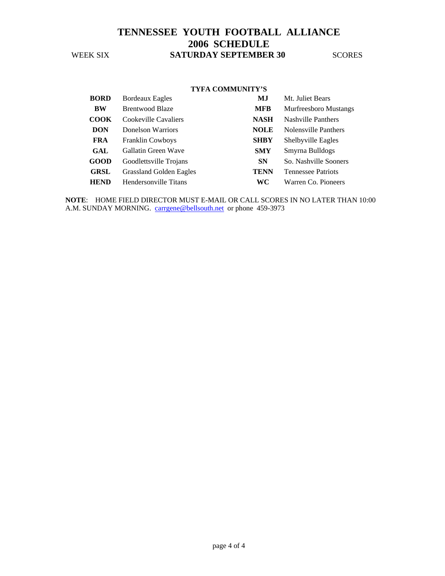#### **TYFA COMMUNITY'S**

| <b>BORD</b> | <b>Bordeaux Eagles</b>         | МJ          | Mt. Juliet Bears             |
|-------------|--------------------------------|-------------|------------------------------|
| <b>BW</b>   | <b>Brentwood Blaze</b>         | <b>MFB</b>  | <b>Murfreesboro Mustangs</b> |
| <b>COOK</b> | Cookeville Cavaliers           | <b>NASH</b> | <b>Nashville Panthers</b>    |
| <b>DON</b>  | Donelson Warriors              | <b>NOLE</b> | Nolensville Panthers         |
| <b>FRA</b>  | <b>Franklin Cowboys</b>        | <b>SHBY</b> | Shelbyville Eagles           |
| GAL         | Gallatin Green Wave            | <b>SMY</b>  | Smyrna Bulldogs              |
| <b>GOOD</b> | Goodlettsville Trojans         | <b>SN</b>   | So. Nashville Sooners        |
| <b>GRSL</b> | <b>Grassland Golden Eagles</b> | TENN        | <b>Tennessee Patriots</b>    |
| <b>HEND</b> | Hendersonville Titans          | WС          | Warren Co. Pioneers          |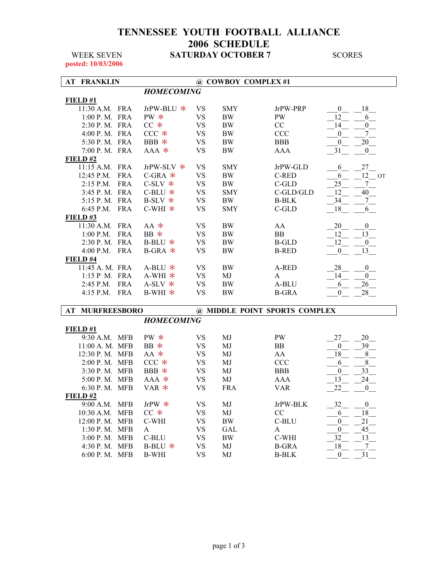### **TENNESSEE YOUTH FOOTBALL ALLIANCE 2006 SCHEDULE WEEK SEVEN SATURDAY OCTOBER 7** SCORES

**posted: 10/03/2006** 

| <b>AT FRANKLIN</b>        |                   |           | @ COWBOY COMPLEX #1 |                               |                        |
|---------------------------|-------------------|-----------|---------------------|-------------------------------|------------------------|
|                           | <b>HOMECOMING</b> |           |                     |                               |                        |
| FIELD#1                   |                   |           |                     |                               |                        |
| 11:30 A.M. FRA            | JrPW-BLU *        | VS        | <b>SMY</b>          | JrPW-PRP                      | 18<br>$\mathbf{0}$     |
| 1:00 P. M. FRA            | $PW*$             | <b>VS</b> | <b>BW</b>           | PW                            | 12<br>6                |
| 2:30 P.M. FRA             | $CC*$             | <b>VS</b> | <b>BW</b>           | CC                            | -14<br>$\overline{0}$  |
| 4:00 P.M. FRA             | $CCC *$           | <b>VS</b> | <b>BW</b>           | <b>CCC</b>                    | 7<br>$\boldsymbol{0}$  |
| 5:30 P.M. FRA             | BBB *             | <b>VS</b> | <b>BW</b>           | <b>BBB</b>                    | 20<br>$\mathbf{0}$     |
| 7:00 P.M. FRA             | $AAA*$            | <b>VS</b> | <b>BW</b>           | <b>AAA</b>                    | 31<br>$\overline{0}$   |
| FIELD#2                   |                   |           |                     |                               |                        |
| 11:15 A.M. FRA            | JrPW-SLV $*$      | <b>VS</b> | <b>SMY</b>          | JrPW-GLD                      | 27<br>6                |
| 12:45 P.M.<br><b>FRA</b>  | $C$ -GRA $*$      | <b>VS</b> | <b>BW</b>           | C-RED                         | 12 OT<br>6             |
| 2:15 P.M.<br><b>FRA</b>   | $C-SLV$ $*$       | <b>VS</b> | <b>BW</b>           | C-GLD                         | 25<br>7                |
| 3:45 P. M. FRA            | $C-BLU$ *         | <b>VS</b> | <b>SMY</b>          | C-GLD/GLD                     | 40<br>12               |
| 5:15 P. M. FRA            | $B-SLV$ $*$       | <b>VS</b> | <b>BW</b>           | <b>B-BLK</b>                  | 34<br>7 <sup>7</sup>   |
| 6:45 P.M. FRA             | $C-WHI$ *         | <b>VS</b> | <b>SMY</b>          | C-GLD                         | 18<br>6                |
| FIELD#3                   |                   |           |                     |                               |                        |
| 11:30 A.M. FRA            | $AA$ $*$          | VS        | <b>BW</b>           | AA                            | 20<br>$\boldsymbol{0}$ |
| $1:00$ P.M.<br>FRA        | $BB *$            | <b>VS</b> | <b>BW</b>           | BB                            | 13<br>-12              |
| 2:30 P.M. FRA             | B-BLU $*$         | <b>VS</b> | <b>BW</b>           | <b>B-GLD</b>                  | 12<br>$\mathbf{0}$     |
| 4:00 P.M.<br><b>FRA</b>   | $B-GRA$ *         | <b>VS</b> | BW                  | <b>B-RED</b>                  | 13<br>$\mathbf{0}$     |
| FIELD #4                  |                   |           |                     |                               |                        |
| 11:45 A. M. FRA           | $A-BLU$ *         | <b>VS</b> | BW                  | A-RED                         | 28<br>$\boldsymbol{0}$ |
| 1:15 P M. FRA             | $A-WHI$ *         | <b>VS</b> | MJ                  | A                             | 14<br>$\boldsymbol{0}$ |
| 2:45 P.M. FRA             | $A-SLV$ *         | <b>VS</b> | <b>BW</b>           | A-BLU                         | 26<br>6                |
| 4:15 P.M. FRA             | $B-WHI$ *         | <b>VS</b> | <b>BW</b>           | <b>B-GRA</b>                  | 28<br>0                |
|                           |                   |           |                     |                               |                        |
| <b>MURFREESBORO</b><br>AT |                   |           |                     | @ MIDDLE POINT SPORTS COMPLEX |                        |
|                           | <b>HOMECOMING</b> |           |                     |                               |                        |
| FIELD#1                   |                   |           |                     |                               |                        |
| 9:30 A.M. MFB             | PW *              | VS        | MJ                  | PW                            | 27<br>20               |
| 11:00 A. M. MFB           | $BB *$            | <b>VS</b> | MJ                  | BB                            | 39<br>$\boldsymbol{0}$ |
| 12:30 P.M. MFB            | $AA$ $*$          | <b>VS</b> | MJ                  | AA                            | 18<br>$\,8\,$          |
| 2:00 P.M. MFB             | $CCC *$           | <b>VS</b> | MJ                  | CCC                           | 8<br>6                 |
| 3:30 P.M. MFB             | BBB *             | <b>VS</b> | MJ                  | <b>BBB</b>                    | 33<br>$\mathbf{0}$     |
| 5:00 P.M. MFB             | $AAA*$            | <b>VS</b> | MJ                  | AAA                           | 13<br>24               |
| 6:30 P.M. MFB             | VAR *             | <b>VS</b> | <b>FRA</b>          | <b>VAR</b>                    | 22<br>$\boldsymbol{0}$ |
| FIELD#2                   |                   |           |                     |                               |                        |
| 9:00 A.M. MFB             | JrPW $*$          | VS        | MJ                  | JrPW-BLK                      | 32<br>$\boldsymbol{0}$ |
| $10:30$ A.M.<br>MFB       | $CC$ $*$          | <b>VS</b> | MJ                  | CC                            | 18<br>6                |
| 12:00 P.M. MFB            | C-WHI             | <b>VS</b> | BW                  | C-BLU                         | 21<br>$\mathbf{0}$     |
| 1:30 P.M. MFB             | $\mathbf{A}$      | <b>VS</b> | <b>GAL</b>          | A                             | 45<br>$\boldsymbol{0}$ |
| 3:00 P.M. MFB             | C-BLU             | <b>VS</b> | <b>BW</b>           | C-WHI                         | 32<br>13               |
| 4:30 P.M. MFB             | B-BLU $*$         | <b>VS</b> | MJ                  | <b>B-GRA</b>                  | 18<br>$7\phantom{.0}$  |
| 6:00 P.M. MFB             | <b>B-WHI</b>      | <b>VS</b> | MJ                  | <b>B-BLK</b>                  | 31<br>$\boldsymbol{0}$ |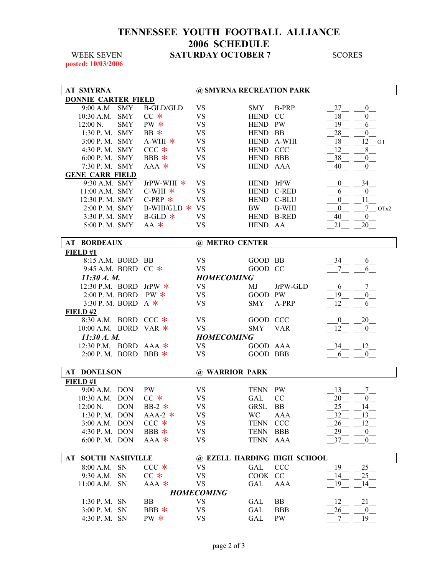### **TENNESSEE YOUTH FOOTBALL ALLIANCE 2006 SCHEDULE WEEK SEVEN SATURDAY OCTOBER 7** SCORES

**posted: 10/03/2006** 

| <b>AT SMYRNA</b>           |            |                  | @ SMYRNA RECREATION PARK |             |                             |                              |
|----------------------------|------------|------------------|--------------------------|-------------|-----------------------------|------------------------------|
| <b>DONNIE CARTER FIELD</b> |            |                  |                          |             |                             |                              |
| 9:00 A.M                   | <b>SMY</b> | <b>B-GLD/GLD</b> | VS                       | SMY         | B-PRP                       | 27<br>$\mathbf{0}$           |
| 10:30 A.M. SMY             |            | $CC$ $*$         | <b>VS</b>                | HEND CC     |                             | 18<br>$\mathbf{0}$           |
| $12:00 N$ .                | <b>SMY</b> | $PW *$           | <b>VS</b>                | HEND PW     |                             | 19<br>6                      |
| 1:30 P.M. SMY              |            | $BB *$           | <b>VS</b>                | HEND BB     |                             | 28<br>$\mathbf{0}$           |
| 3:00 P.M. SMY              |            | $A-WHI$ *        | <b>VS</b>                |             | HEND A-WHI                  | 18<br>12 OT                  |
| 4:30 P.M. SMY              |            | $CCC *$          | <b>VS</b>                | HEND CCC    |                             | 8<br>12                      |
| $6:00$ P. M. SMY           |            | BBB *            | VS                       | HEND BBB    |                             | 38<br>$\boldsymbol{0}$       |
| 7:30 P.M. SMY              |            | $AAA*$           | <b>VS</b>                | HEND AAA    |                             | 40<br>$\mathbf{0}$           |
| <b>GENE CARR FIELD</b>     |            |                  |                          |             |                             |                              |
| 9:30 A.M. SMY              |            | JrPW-WHI *       | VS                       | HEND JrPW   |                             | 34<br>$\boldsymbol{0}$       |
| 11:00 A.M. SMY             |            | $C-WHI$ *        | <b>VS</b>                |             | HEND C-RED                  | $\boldsymbol{0}$<br>6        |
| 12:30 P.M. SMY             |            | C-PRP $*$        | <b>VS</b>                |             | HEND C-BLU                  | $\mathbf{0}$<br>11           |
| 2:00 P.M. SMY              |            | B-WHI/GLD $*$ VS |                          | BW          | <b>B-WHI</b>                | $\boldsymbol{0}$<br>$7$ OTx2 |
| 3:30 P. M. SMY             |            | $B-GLD$ *        | <b>VS</b>                |             | HEND B-RED                  | 40<br>$\boldsymbol{0}$       |
| 5:00 P.M. SMY              |            | $AA$ $*$         | <b>VS</b>                | HEND AA     |                             | 20<br>21                     |
|                            |            |                  |                          |             |                             |                              |
| <b>AT BORDEAUX</b>         |            |                  | @ METRO CENTER           |             |                             |                              |
| FIELD#1                    |            |                  |                          |             |                             |                              |
| 8:15 A.M. BORD BB          |            |                  | <b>VS</b>                | GOOD BB     |                             | 34<br>6                      |
| 9:45 A.M. BORD CC *        |            |                  | <b>VS</b>                | GOOD CC     |                             |                              |
| 11:30A. M.                 |            |                  | <b>HOMECOMING</b>        |             |                             |                              |
| 12:30 P.M. BORD JrPW $*$   |            |                  | <b>VS</b>                | MJ          | JrPW-GLD                    | 6                            |
| 2:00 P. M. BORD            |            | $PW*$            | <b>VS</b>                | GOOD PW     |                             | 19<br>$\overline{0}$         |
| 3:30 P.M. BORD A $*$       |            |                  | <b>VS</b>                | <b>SMY</b>  | A-PRP                       | -12<br>6                     |
| $FIED$ #2                  |            |                  |                          |             |                             |                              |
| 8:30 A.M. BORD CCC *       |            |                  | <b>VS</b>                | GOOD CCC    |                             | 20<br>$\theta$               |
| 10:00 A.M. BORD VAR *      |            |                  | <b>VS</b>                | <b>SMY</b>  | <b>VAR</b>                  | 12<br>$\overline{0}$         |
| 11:30A. M.                 |            |                  | <b>HOMECOMING</b>        |             |                             |                              |
| 12:30 P.M. BORD AAA *      |            |                  | <b>VS</b>                | GOOD AAA    |                             | 34<br>12                     |
| 2:00 P.M. BORD BBB $*$     |            |                  | <b>VS</b>                | GOOD BBB    |                             | 6<br>$\mathbf{0}$            |
|                            |            |                  |                          |             |                             |                              |
| <b>AT DONELSON</b>         |            |                  | @ WARRIOR PARK           |             |                             |                              |
| FIELD#1                    |            |                  |                          |             |                             |                              |
| 9:00 A.M. DON              |            | <b>PW</b>        | VS                       | <b>TENN</b> | PW                          | 13<br>7                      |
| 10:30 A.M. DON             |            | $CC *$           | <b>VS</b>                | GAL         | CC                          | 20<br>$\mathbf{0}$           |
| $12:00 N$ .                | DON        | BB-2 $*$         | <b>VS</b>                | GRSL BB     |                             | 25<br>14                     |
| 1:30 P.M. DON              |            | $AAA-2$ *        | VS                       | WC          | <b>AAA</b>                  | 32<br>13                     |
| 3:00 A.M.                  | <b>DON</b> | $CCC *$          | <b>VS</b>                | <b>TENN</b> | CCC                         | 26<br>12                     |
| 4:30 P.M. DON              |            | BBB *            | <b>VS</b>                | <b>TENN</b> | <b>BBB</b>                  | 29<br>$\boldsymbol{0}$       |
| 6:00 P.M. DON              |            | $AAA$ *          | <b>VS</b>                | <b>TENN</b> | AAA                         | 37<br>$\overline{0}$         |
| AT SOUTH NASHVILLE         |            |                  |                          |             | @ EZELL HARDING HIGH SCHOOL |                              |
| 8:00 A.M.                  | SN         | $CCC *$          | <b>VS</b>                | GAL         | CCC                         | 19<br>25                     |
| 9:30 A.M.                  | SN         | $CC*$            | <b>VS</b>                | COOK CC     |                             | 25<br>14                     |
| 11:00 A.M.                 | <b>SN</b>  | $AAA$ *          | <b>VS</b>                | GAL         | <b>AAA</b>                  | 19<br>14                     |
|                            |            |                  | <b>HOMECOMING</b>        |             |                             |                              |
|                            |            |                  |                          |             |                             |                              |
| 1:30 P.M. SN               |            | BB               | <b>VS</b>                | GAL         | BB                          | 12<br>21                     |
| 3:00 P.M. SN               |            | BBB *            | <b>VS</b>                | GAL         | <b>BBB</b>                  | 26<br>$\boldsymbol{0}$       |
| 4:30 P.M. SN               |            | $PW *$           | <b>VS</b>                | GAL         | PW                          | 19<br>7                      |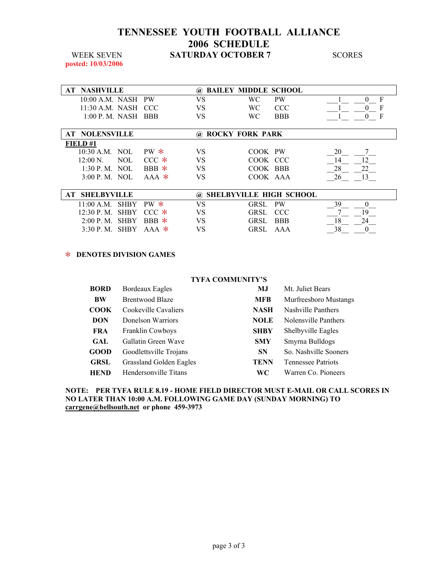### **TENNESSEE YOUTH FOOTBALL ALLIANCE 2006 SCHEDULE WEEK SEVEN SATURDAY OCTOBER 7** SCORES

**posted: 10/03/2006** 

|    | <b>AT NASHVILLE</b>   |             |           | $\omega$ | <b>BAILEY MIDDLE SCHOOL</b> |                                |          |
|----|-----------------------|-------------|-----------|----------|-----------------------------|--------------------------------|----------|
|    | $10:00$ A.M. NASH PW  |             |           | VS       | WС                          | <b>PW</b>                      | F        |
|    | 11:30 A.M. NASH CCC   |             |           | VS       | WС                          | <b>CCC</b>                     |          |
|    | $1:00$ P.M. NASH BBB  |             |           | VS       | WС                          | <b>BBB</b>                     | F        |
|    |                       |             |           |          |                             |                                |          |
|    | <b>AT NOLENSVILLE</b> |             |           | $\omega$ | <b>ROCKY FORK PARK</b>      |                                |          |
|    | FIELD#1               |             |           |          |                             |                                |          |
|    | $10:30$ A.M. NOL      |             | $PW*$     | VS       | COOK PW                     |                                | 20       |
|    | $12:00 N$ .           | NOL.        | $CCC$ $*$ | VS       | COOK CCC                    |                                | 14       |
|    | $1:30$ P. M. NOL      |             | $BBB *$   | VS       | COOK BBB                    |                                | 28<br>22 |
|    | 3:00 P. M. NOL        |             | $AAA$ *   | VS       | COOK AAA                    |                                | 26<br>13 |
|    |                       |             |           |          |                             |                                |          |
| AT | <b>SHELBYVILLE</b>    |             |           | $\omega$ |                             | <b>SHELBYVILLE HIGH SCHOOL</b> |          |
|    | 11:00 A.M.            | <b>SHBY</b> | $PW*$     | VS       | GRSL.                       | <b>PW</b>                      | 39       |
|    | $12:30$ P.M.          | <b>SHBY</b> | $CCC$ $*$ | VS       | GRSL.                       | CCC                            | 19       |
|    | 2:00 P. M.            | <b>SHBY</b> | $BBB$ *   | VS       | GRSL.                       | <b>BBB</b>                     | 18<br>24 |
|    | $3:30$ P.M.           | <b>SHBY</b> | $AAA$ *   | VS       | GRSL.                       | AAA                            | 38       |

#### > **DENOTES DIVISION GAMES**

| <b>TYFA COMMUNITY'S</b> |                                |             |                           |  |  |  |
|-------------------------|--------------------------------|-------------|---------------------------|--|--|--|
| <b>BORD</b>             | Bordeaux Eagles                | MJ          | Mt. Juliet Bears          |  |  |  |
| <b>BW</b>               | <b>Brentwood Blaze</b>         | <b>MFB</b>  | Murfreesboro Mustangs     |  |  |  |
| COOK                    | Cookeville Cavaliers           | <b>NASH</b> | Nashville Panthers        |  |  |  |
| <b>DON</b>              | Donelson Warriors              | <b>NOLE</b> | Nolensville Panthers      |  |  |  |
| <b>FRA</b>              | <b>Franklin Cowboys</b>        | <b>SHBY</b> | Shelbyville Eagles        |  |  |  |
| <b>GAL</b>              | Gallatin Green Wave            | <b>SMY</b>  | Smyrna Bulldogs           |  |  |  |
| GOOD                    | Goodlettsville Trojans         | <b>SN</b>   | So. Nashville Sooners     |  |  |  |
| <b>GRSL</b>             | <b>Grassland Golden Eagles</b> | <b>TENN</b> | <b>Tennessee Patriots</b> |  |  |  |
| <b>HEND</b>             | Hendersonville Titans          | WС          | Warren Co. Pioneers       |  |  |  |

#### **NOTE: PER TYFA RULE 8.19 - HOME FIELD DIRECTOR MUST E-MAIL OR CALL SCORES IN NO LATER THAN 10:00 A.M. FOLLOWING GAME DAY (SUNDAY MORNING) TO carrgene@bellsouth.net or phone 459-3973**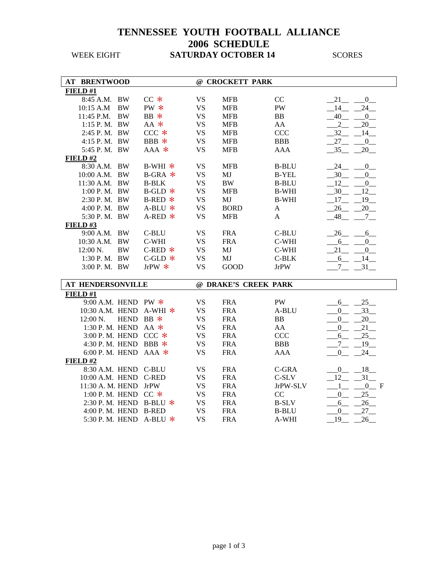## **TENNESSEE YOUTH FOOTBALL ALLIANCE 2006 SCHEDULE WEEK EIGHT SATURDAY OCTOBER 14** SCORES

| FIELD#1<br>8:45 A.M. BW<br>$CC *$<br><b>VS</b><br><b>MFB</b><br>CC<br>21<br>$\overline{0}$<br>PW *<br><b>VS</b><br>PW<br>14<br>24<br>10:15 A.M<br><b>BW</b><br><b>MFB</b><br><b>BW</b><br>BB *<br><b>VS</b><br>40<br>11:45 P.M.<br><b>MFB</b><br><b>BB</b><br>$\overline{0}$<br>$AA$ *<br><b>VS</b><br>1:15 P.M. BW<br><b>MFB</b><br>AA<br>$\overline{2}$<br>20<br>$CCC *$<br><b>VS</b><br><b>CCC</b><br>2:45 P.M. BW<br><b>MFB</b><br>32<br>14<br>BBB *<br><b>VS</b><br><b>BBB</b><br>27<br>4:15 P.M. BW<br><b>MFB</b><br>$\overline{0}$<br>5:45 P.M. BW<br><b>VS</b><br>$-35$<br>20<br>$AAA$ *<br><b>MFB</b><br><b>AAA</b><br>FIELD#2<br>8:30 A.M. BW<br>$B-WHI$ *<br><b>VS</b><br><b>MFB</b><br><b>B-BLU</b><br>24<br>$\mathbf{0}$<br>10:00 A.M. BW<br>$B-GRA$ $*$<br><b>VS</b><br>MJ<br><b>B-YEL</b><br>30<br>$\overline{0}$<br><b>B-BLK</b><br><b>VS</b><br>$\rm BW$<br>12<br>$\mathbf{0}$<br>11:30 A.M. BW<br><b>B-BLU</b><br>30<br>12<br>1:00 P.M. BW<br>$B-GLD$ *<br><b>VS</b><br><b>MFB</b><br><b>B-WHI</b><br>2:30 P.M. BW<br>$B$ -RED $*$<br><b>VS</b><br>MJ<br><b>B-WHI</b><br>17<br>19<br>4:00 P.M. BW<br><b>VS</b><br><b>BORD</b><br>20<br>$A-BLU$ *<br>26<br>A<br>5:30 P.M. BW<br><b>VS</b><br>48<br>$A$ -RED $*$<br><b>MFB</b><br>A<br>$7\overline{ }$<br>FIELD#3<br>9:00 A.M. BW<br>C-BLU<br><b>VS</b><br><b>FRA</b><br>C-BLU<br>26<br>6<br>10:30 A.M. BW<br>C-WHI<br><b>VS</b><br><b>FRA</b><br>C-WHI<br>6<br>$\overline{0}$<br><b>BW</b><br><b>VS</b><br>MJ<br>12:00 N.<br>$C$ -RED $*$<br>C-WHI<br>21<br>$\overline{0}$<br>1:30 P.M. BW<br><b>VS</b><br>MJ<br>$C$ -GLD $*$<br>$C-BLK$<br>6<br>14<br>3:00 P.M. BW<br>JrPW $*$<br><b>VS</b><br><b>GOOD</b><br><b>JrPW</b><br>$7\overline{ }$<br>$-31$<br>@ DRAKE'S CREEK PARK<br><b>AT HENDERSONVILLE</b><br>FIELD#1<br>25<br>9:00 A.M. HEND PW $*$<br><b>VS</b><br><b>FRA</b><br>PW<br>6<br>10:30 A.M. HEND A-WHI *<br><b>VS</b><br><b>FRA</b><br>A-BLU<br>33<br>0<br>HEND BB *<br><b>VS</b><br><b>FRA</b><br>BB<br>$\overline{0}$<br>20<br>$12:00 N$ .<br>1:30 P.M. HEND AA $*$<br><b>VS</b><br><b>FRA</b><br>21<br>AA<br>$\overline{0}$<br>3:00 P.M. HEND CCC *<br><b>VS</b><br><b>FRA</b><br>25<br>CCC<br>6<br>4:30 P.M. HEND BBB $*$<br><b>VS</b><br><b>FRA</b><br><b>BBB</b><br>$\overline{7}$<br>19<br><b>VS</b><br>6:00 P.M. HEND<br>$AAA$ *<br><b>FRA</b><br><b>AAA</b><br>24<br>0<br>FIELD#2<br>8:30 A.M. HEND<br><b>C-BLU</b><br><b>VS</b><br><b>FRA</b><br>C-GRA<br>$-18$<br>$\mathbf{0}$<br>10:00 A.M. HEND C-RED<br>31<br><b>VS</b><br><b>FRA</b><br>C-SLV<br>12<br>11:30 A. M. HEND<br><b>JrPW</b><br><b>VS</b><br><b>FRA</b><br>JrPW-SLV<br>0 F<br>1<br>1:00 P.M. HEND CC $*$<br><b>VS</b><br>$\overline{0}$<br>25<br><b>FRA</b><br>CC<br><b>VS</b><br>26<br>2:30 P.M. HEND B-BLU $*$<br><b>FRA</b><br><b>B-SLV</b><br>6<br><b>VS</b><br>27<br>4:00 P.M. HEND B-RED<br><b>FRA</b><br><b>B-BLU</b><br>$\mathbf{0}$<br><b>VS</b><br>5:30 P.M. HEND A-BLU $*$<br><b>FRA</b><br>A-WHI<br>19<br>26 | <b>AT BRENTWOOD</b> |  | @ CROCKETT PARK |  |
|---------------------------------------------------------------------------------------------------------------------------------------------------------------------------------------------------------------------------------------------------------------------------------------------------------------------------------------------------------------------------------------------------------------------------------------------------------------------------------------------------------------------------------------------------------------------------------------------------------------------------------------------------------------------------------------------------------------------------------------------------------------------------------------------------------------------------------------------------------------------------------------------------------------------------------------------------------------------------------------------------------------------------------------------------------------------------------------------------------------------------------------------------------------------------------------------------------------------------------------------------------------------------------------------------------------------------------------------------------------------------------------------------------------------------------------------------------------------------------------------------------------------------------------------------------------------------------------------------------------------------------------------------------------------------------------------------------------------------------------------------------------------------------------------------------------------------------------------------------------------------------------------------------------------------------------------------------------------------------------------------------------------------------------------------------------------------------------------------------------------------------------------------------------------------------------------------------------------------------------------------------------------------------------------------------------------------------------------------------------------------------------------------------------------------------------------------------------------------------------------------------------------------------------------------------------------------------------------------------------------------------------------------------------------------------------------------------------------------------------------------------------------------------------------------------------------------------------------------------------------------------------------------------------------------------------------------------------------------------|---------------------|--|-----------------|--|
|                                                                                                                                                                                                                                                                                                                                                                                                                                                                                                                                                                                                                                                                                                                                                                                                                                                                                                                                                                                                                                                                                                                                                                                                                                                                                                                                                                                                                                                                                                                                                                                                                                                                                                                                                                                                                                                                                                                                                                                                                                                                                                                                                                                                                                                                                                                                                                                                                                                                                                                                                                                                                                                                                                                                                                                                                                                                                                                                                                                 |                     |  |                 |  |
|                                                                                                                                                                                                                                                                                                                                                                                                                                                                                                                                                                                                                                                                                                                                                                                                                                                                                                                                                                                                                                                                                                                                                                                                                                                                                                                                                                                                                                                                                                                                                                                                                                                                                                                                                                                                                                                                                                                                                                                                                                                                                                                                                                                                                                                                                                                                                                                                                                                                                                                                                                                                                                                                                                                                                                                                                                                                                                                                                                                 |                     |  |                 |  |
|                                                                                                                                                                                                                                                                                                                                                                                                                                                                                                                                                                                                                                                                                                                                                                                                                                                                                                                                                                                                                                                                                                                                                                                                                                                                                                                                                                                                                                                                                                                                                                                                                                                                                                                                                                                                                                                                                                                                                                                                                                                                                                                                                                                                                                                                                                                                                                                                                                                                                                                                                                                                                                                                                                                                                                                                                                                                                                                                                                                 |                     |  |                 |  |
|                                                                                                                                                                                                                                                                                                                                                                                                                                                                                                                                                                                                                                                                                                                                                                                                                                                                                                                                                                                                                                                                                                                                                                                                                                                                                                                                                                                                                                                                                                                                                                                                                                                                                                                                                                                                                                                                                                                                                                                                                                                                                                                                                                                                                                                                                                                                                                                                                                                                                                                                                                                                                                                                                                                                                                                                                                                                                                                                                                                 |                     |  |                 |  |
|                                                                                                                                                                                                                                                                                                                                                                                                                                                                                                                                                                                                                                                                                                                                                                                                                                                                                                                                                                                                                                                                                                                                                                                                                                                                                                                                                                                                                                                                                                                                                                                                                                                                                                                                                                                                                                                                                                                                                                                                                                                                                                                                                                                                                                                                                                                                                                                                                                                                                                                                                                                                                                                                                                                                                                                                                                                                                                                                                                                 |                     |  |                 |  |
|                                                                                                                                                                                                                                                                                                                                                                                                                                                                                                                                                                                                                                                                                                                                                                                                                                                                                                                                                                                                                                                                                                                                                                                                                                                                                                                                                                                                                                                                                                                                                                                                                                                                                                                                                                                                                                                                                                                                                                                                                                                                                                                                                                                                                                                                                                                                                                                                                                                                                                                                                                                                                                                                                                                                                                                                                                                                                                                                                                                 |                     |  |                 |  |
|                                                                                                                                                                                                                                                                                                                                                                                                                                                                                                                                                                                                                                                                                                                                                                                                                                                                                                                                                                                                                                                                                                                                                                                                                                                                                                                                                                                                                                                                                                                                                                                                                                                                                                                                                                                                                                                                                                                                                                                                                                                                                                                                                                                                                                                                                                                                                                                                                                                                                                                                                                                                                                                                                                                                                                                                                                                                                                                                                                                 |                     |  |                 |  |
|                                                                                                                                                                                                                                                                                                                                                                                                                                                                                                                                                                                                                                                                                                                                                                                                                                                                                                                                                                                                                                                                                                                                                                                                                                                                                                                                                                                                                                                                                                                                                                                                                                                                                                                                                                                                                                                                                                                                                                                                                                                                                                                                                                                                                                                                                                                                                                                                                                                                                                                                                                                                                                                                                                                                                                                                                                                                                                                                                                                 |                     |  |                 |  |
|                                                                                                                                                                                                                                                                                                                                                                                                                                                                                                                                                                                                                                                                                                                                                                                                                                                                                                                                                                                                                                                                                                                                                                                                                                                                                                                                                                                                                                                                                                                                                                                                                                                                                                                                                                                                                                                                                                                                                                                                                                                                                                                                                                                                                                                                                                                                                                                                                                                                                                                                                                                                                                                                                                                                                                                                                                                                                                                                                                                 |                     |  |                 |  |
|                                                                                                                                                                                                                                                                                                                                                                                                                                                                                                                                                                                                                                                                                                                                                                                                                                                                                                                                                                                                                                                                                                                                                                                                                                                                                                                                                                                                                                                                                                                                                                                                                                                                                                                                                                                                                                                                                                                                                                                                                                                                                                                                                                                                                                                                                                                                                                                                                                                                                                                                                                                                                                                                                                                                                                                                                                                                                                                                                                                 |                     |  |                 |  |
|                                                                                                                                                                                                                                                                                                                                                                                                                                                                                                                                                                                                                                                                                                                                                                                                                                                                                                                                                                                                                                                                                                                                                                                                                                                                                                                                                                                                                                                                                                                                                                                                                                                                                                                                                                                                                                                                                                                                                                                                                                                                                                                                                                                                                                                                                                                                                                                                                                                                                                                                                                                                                                                                                                                                                                                                                                                                                                                                                                                 |                     |  |                 |  |
|                                                                                                                                                                                                                                                                                                                                                                                                                                                                                                                                                                                                                                                                                                                                                                                                                                                                                                                                                                                                                                                                                                                                                                                                                                                                                                                                                                                                                                                                                                                                                                                                                                                                                                                                                                                                                                                                                                                                                                                                                                                                                                                                                                                                                                                                                                                                                                                                                                                                                                                                                                                                                                                                                                                                                                                                                                                                                                                                                                                 |                     |  |                 |  |
|                                                                                                                                                                                                                                                                                                                                                                                                                                                                                                                                                                                                                                                                                                                                                                                                                                                                                                                                                                                                                                                                                                                                                                                                                                                                                                                                                                                                                                                                                                                                                                                                                                                                                                                                                                                                                                                                                                                                                                                                                                                                                                                                                                                                                                                                                                                                                                                                                                                                                                                                                                                                                                                                                                                                                                                                                                                                                                                                                                                 |                     |  |                 |  |
|                                                                                                                                                                                                                                                                                                                                                                                                                                                                                                                                                                                                                                                                                                                                                                                                                                                                                                                                                                                                                                                                                                                                                                                                                                                                                                                                                                                                                                                                                                                                                                                                                                                                                                                                                                                                                                                                                                                                                                                                                                                                                                                                                                                                                                                                                                                                                                                                                                                                                                                                                                                                                                                                                                                                                                                                                                                                                                                                                                                 |                     |  |                 |  |
|                                                                                                                                                                                                                                                                                                                                                                                                                                                                                                                                                                                                                                                                                                                                                                                                                                                                                                                                                                                                                                                                                                                                                                                                                                                                                                                                                                                                                                                                                                                                                                                                                                                                                                                                                                                                                                                                                                                                                                                                                                                                                                                                                                                                                                                                                                                                                                                                                                                                                                                                                                                                                                                                                                                                                                                                                                                                                                                                                                                 |                     |  |                 |  |
|                                                                                                                                                                                                                                                                                                                                                                                                                                                                                                                                                                                                                                                                                                                                                                                                                                                                                                                                                                                                                                                                                                                                                                                                                                                                                                                                                                                                                                                                                                                                                                                                                                                                                                                                                                                                                                                                                                                                                                                                                                                                                                                                                                                                                                                                                                                                                                                                                                                                                                                                                                                                                                                                                                                                                                                                                                                                                                                                                                                 |                     |  |                 |  |
|                                                                                                                                                                                                                                                                                                                                                                                                                                                                                                                                                                                                                                                                                                                                                                                                                                                                                                                                                                                                                                                                                                                                                                                                                                                                                                                                                                                                                                                                                                                                                                                                                                                                                                                                                                                                                                                                                                                                                                                                                                                                                                                                                                                                                                                                                                                                                                                                                                                                                                                                                                                                                                                                                                                                                                                                                                                                                                                                                                                 |                     |  |                 |  |
|                                                                                                                                                                                                                                                                                                                                                                                                                                                                                                                                                                                                                                                                                                                                                                                                                                                                                                                                                                                                                                                                                                                                                                                                                                                                                                                                                                                                                                                                                                                                                                                                                                                                                                                                                                                                                                                                                                                                                                                                                                                                                                                                                                                                                                                                                                                                                                                                                                                                                                                                                                                                                                                                                                                                                                                                                                                                                                                                                                                 |                     |  |                 |  |
|                                                                                                                                                                                                                                                                                                                                                                                                                                                                                                                                                                                                                                                                                                                                                                                                                                                                                                                                                                                                                                                                                                                                                                                                                                                                                                                                                                                                                                                                                                                                                                                                                                                                                                                                                                                                                                                                                                                                                                                                                                                                                                                                                                                                                                                                                                                                                                                                                                                                                                                                                                                                                                                                                                                                                                                                                                                                                                                                                                                 |                     |  |                 |  |
|                                                                                                                                                                                                                                                                                                                                                                                                                                                                                                                                                                                                                                                                                                                                                                                                                                                                                                                                                                                                                                                                                                                                                                                                                                                                                                                                                                                                                                                                                                                                                                                                                                                                                                                                                                                                                                                                                                                                                                                                                                                                                                                                                                                                                                                                                                                                                                                                                                                                                                                                                                                                                                                                                                                                                                                                                                                                                                                                                                                 |                     |  |                 |  |
|                                                                                                                                                                                                                                                                                                                                                                                                                                                                                                                                                                                                                                                                                                                                                                                                                                                                                                                                                                                                                                                                                                                                                                                                                                                                                                                                                                                                                                                                                                                                                                                                                                                                                                                                                                                                                                                                                                                                                                                                                                                                                                                                                                                                                                                                                                                                                                                                                                                                                                                                                                                                                                                                                                                                                                                                                                                                                                                                                                                 |                     |  |                 |  |
|                                                                                                                                                                                                                                                                                                                                                                                                                                                                                                                                                                                                                                                                                                                                                                                                                                                                                                                                                                                                                                                                                                                                                                                                                                                                                                                                                                                                                                                                                                                                                                                                                                                                                                                                                                                                                                                                                                                                                                                                                                                                                                                                                                                                                                                                                                                                                                                                                                                                                                                                                                                                                                                                                                                                                                                                                                                                                                                                                                                 |                     |  |                 |  |
|                                                                                                                                                                                                                                                                                                                                                                                                                                                                                                                                                                                                                                                                                                                                                                                                                                                                                                                                                                                                                                                                                                                                                                                                                                                                                                                                                                                                                                                                                                                                                                                                                                                                                                                                                                                                                                                                                                                                                                                                                                                                                                                                                                                                                                                                                                                                                                                                                                                                                                                                                                                                                                                                                                                                                                                                                                                                                                                                                                                 |                     |  |                 |  |
|                                                                                                                                                                                                                                                                                                                                                                                                                                                                                                                                                                                                                                                                                                                                                                                                                                                                                                                                                                                                                                                                                                                                                                                                                                                                                                                                                                                                                                                                                                                                                                                                                                                                                                                                                                                                                                                                                                                                                                                                                                                                                                                                                                                                                                                                                                                                                                                                                                                                                                                                                                                                                                                                                                                                                                                                                                                                                                                                                                                 |                     |  |                 |  |
|                                                                                                                                                                                                                                                                                                                                                                                                                                                                                                                                                                                                                                                                                                                                                                                                                                                                                                                                                                                                                                                                                                                                                                                                                                                                                                                                                                                                                                                                                                                                                                                                                                                                                                                                                                                                                                                                                                                                                                                                                                                                                                                                                                                                                                                                                                                                                                                                                                                                                                                                                                                                                                                                                                                                                                                                                                                                                                                                                                                 |                     |  |                 |  |
|                                                                                                                                                                                                                                                                                                                                                                                                                                                                                                                                                                                                                                                                                                                                                                                                                                                                                                                                                                                                                                                                                                                                                                                                                                                                                                                                                                                                                                                                                                                                                                                                                                                                                                                                                                                                                                                                                                                                                                                                                                                                                                                                                                                                                                                                                                                                                                                                                                                                                                                                                                                                                                                                                                                                                                                                                                                                                                                                                                                 |                     |  |                 |  |
|                                                                                                                                                                                                                                                                                                                                                                                                                                                                                                                                                                                                                                                                                                                                                                                                                                                                                                                                                                                                                                                                                                                                                                                                                                                                                                                                                                                                                                                                                                                                                                                                                                                                                                                                                                                                                                                                                                                                                                                                                                                                                                                                                                                                                                                                                                                                                                                                                                                                                                                                                                                                                                                                                                                                                                                                                                                                                                                                                                                 |                     |  |                 |  |
|                                                                                                                                                                                                                                                                                                                                                                                                                                                                                                                                                                                                                                                                                                                                                                                                                                                                                                                                                                                                                                                                                                                                                                                                                                                                                                                                                                                                                                                                                                                                                                                                                                                                                                                                                                                                                                                                                                                                                                                                                                                                                                                                                                                                                                                                                                                                                                                                                                                                                                                                                                                                                                                                                                                                                                                                                                                                                                                                                                                 |                     |  |                 |  |
|                                                                                                                                                                                                                                                                                                                                                                                                                                                                                                                                                                                                                                                                                                                                                                                                                                                                                                                                                                                                                                                                                                                                                                                                                                                                                                                                                                                                                                                                                                                                                                                                                                                                                                                                                                                                                                                                                                                                                                                                                                                                                                                                                                                                                                                                                                                                                                                                                                                                                                                                                                                                                                                                                                                                                                                                                                                                                                                                                                                 |                     |  |                 |  |
|                                                                                                                                                                                                                                                                                                                                                                                                                                                                                                                                                                                                                                                                                                                                                                                                                                                                                                                                                                                                                                                                                                                                                                                                                                                                                                                                                                                                                                                                                                                                                                                                                                                                                                                                                                                                                                                                                                                                                                                                                                                                                                                                                                                                                                                                                                                                                                                                                                                                                                                                                                                                                                                                                                                                                                                                                                                                                                                                                                                 |                     |  |                 |  |
|                                                                                                                                                                                                                                                                                                                                                                                                                                                                                                                                                                                                                                                                                                                                                                                                                                                                                                                                                                                                                                                                                                                                                                                                                                                                                                                                                                                                                                                                                                                                                                                                                                                                                                                                                                                                                                                                                                                                                                                                                                                                                                                                                                                                                                                                                                                                                                                                                                                                                                                                                                                                                                                                                                                                                                                                                                                                                                                                                                                 |                     |  |                 |  |
|                                                                                                                                                                                                                                                                                                                                                                                                                                                                                                                                                                                                                                                                                                                                                                                                                                                                                                                                                                                                                                                                                                                                                                                                                                                                                                                                                                                                                                                                                                                                                                                                                                                                                                                                                                                                                                                                                                                                                                                                                                                                                                                                                                                                                                                                                                                                                                                                                                                                                                                                                                                                                                                                                                                                                                                                                                                                                                                                                                                 |                     |  |                 |  |
|                                                                                                                                                                                                                                                                                                                                                                                                                                                                                                                                                                                                                                                                                                                                                                                                                                                                                                                                                                                                                                                                                                                                                                                                                                                                                                                                                                                                                                                                                                                                                                                                                                                                                                                                                                                                                                                                                                                                                                                                                                                                                                                                                                                                                                                                                                                                                                                                                                                                                                                                                                                                                                                                                                                                                                                                                                                                                                                                                                                 |                     |  |                 |  |
|                                                                                                                                                                                                                                                                                                                                                                                                                                                                                                                                                                                                                                                                                                                                                                                                                                                                                                                                                                                                                                                                                                                                                                                                                                                                                                                                                                                                                                                                                                                                                                                                                                                                                                                                                                                                                                                                                                                                                                                                                                                                                                                                                                                                                                                                                                                                                                                                                                                                                                                                                                                                                                                                                                                                                                                                                                                                                                                                                                                 |                     |  |                 |  |
|                                                                                                                                                                                                                                                                                                                                                                                                                                                                                                                                                                                                                                                                                                                                                                                                                                                                                                                                                                                                                                                                                                                                                                                                                                                                                                                                                                                                                                                                                                                                                                                                                                                                                                                                                                                                                                                                                                                                                                                                                                                                                                                                                                                                                                                                                                                                                                                                                                                                                                                                                                                                                                                                                                                                                                                                                                                                                                                                                                                 |                     |  |                 |  |
|                                                                                                                                                                                                                                                                                                                                                                                                                                                                                                                                                                                                                                                                                                                                                                                                                                                                                                                                                                                                                                                                                                                                                                                                                                                                                                                                                                                                                                                                                                                                                                                                                                                                                                                                                                                                                                                                                                                                                                                                                                                                                                                                                                                                                                                                                                                                                                                                                                                                                                                                                                                                                                                                                                                                                                                                                                                                                                                                                                                 |                     |  |                 |  |
|                                                                                                                                                                                                                                                                                                                                                                                                                                                                                                                                                                                                                                                                                                                                                                                                                                                                                                                                                                                                                                                                                                                                                                                                                                                                                                                                                                                                                                                                                                                                                                                                                                                                                                                                                                                                                                                                                                                                                                                                                                                                                                                                                                                                                                                                                                                                                                                                                                                                                                                                                                                                                                                                                                                                                                                                                                                                                                                                                                                 |                     |  |                 |  |
|                                                                                                                                                                                                                                                                                                                                                                                                                                                                                                                                                                                                                                                                                                                                                                                                                                                                                                                                                                                                                                                                                                                                                                                                                                                                                                                                                                                                                                                                                                                                                                                                                                                                                                                                                                                                                                                                                                                                                                                                                                                                                                                                                                                                                                                                                                                                                                                                                                                                                                                                                                                                                                                                                                                                                                                                                                                                                                                                                                                 |                     |  |                 |  |
|                                                                                                                                                                                                                                                                                                                                                                                                                                                                                                                                                                                                                                                                                                                                                                                                                                                                                                                                                                                                                                                                                                                                                                                                                                                                                                                                                                                                                                                                                                                                                                                                                                                                                                                                                                                                                                                                                                                                                                                                                                                                                                                                                                                                                                                                                                                                                                                                                                                                                                                                                                                                                                                                                                                                                                                                                                                                                                                                                                                 |                     |  |                 |  |
|                                                                                                                                                                                                                                                                                                                                                                                                                                                                                                                                                                                                                                                                                                                                                                                                                                                                                                                                                                                                                                                                                                                                                                                                                                                                                                                                                                                                                                                                                                                                                                                                                                                                                                                                                                                                                                                                                                                                                                                                                                                                                                                                                                                                                                                                                                                                                                                                                                                                                                                                                                                                                                                                                                                                                                                                                                                                                                                                                                                 |                     |  |                 |  |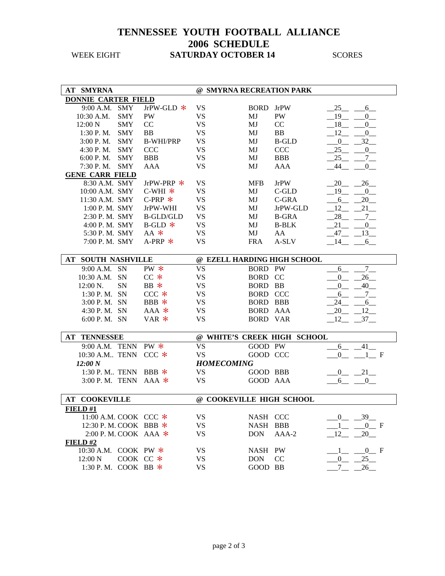## **TENNESSEE YOUTH FOOTBALL ALLIANCE 2006 SCHEDULE WEEK EIGHT SATURDAY OCTOBER 14** SCORES

| <b>AT SMYRNA</b>           |             |                  | @ SMYRNA RECREATION PARK |                 |                             |                        |
|----------------------------|-------------|------------------|--------------------------|-----------------|-----------------------------|------------------------|
| <b>DONNIE CARTER FIELD</b> |             |                  |                          |                 |                             |                        |
| 9:00 A.M.                  | SMY         | JrPW-GLD *       | <b>VS</b>                | <b>BORD</b>     | <b>JrPW</b>                 | 25<br>$6$ <sub>—</sub> |
| 10:30 A.M.                 | <b>SMY</b>  | <b>PW</b>        | <b>VS</b>                | MJ              | PW                          | 19<br>$\overline{0}$   |
| 12:00 N                    | <b>SMY</b>  | CC               | <b>VS</b>                | MJ              | CC                          | 18<br>$\overline{0}$   |
| 1:30 P.M.                  | <b>SMY</b>  | <b>BB</b>        | <b>VS</b>                | MJ              | <b>BB</b>                   | 12<br>$\mathbf{0}$     |
| 3:00 P.M.                  | <b>SMY</b>  | <b>B-WHI/PRP</b> | <b>VS</b>                | MJ              | <b>B-GLD</b>                | 32<br>$\overline{0}$   |
| 4:30 P.M.                  | <b>SMY</b>  | <b>CCC</b>       | <b>VS</b>                | MJ              | <b>CCC</b>                  | 25<br>$\mathbf{0}$     |
| 6:00 P.M.                  | <b>SMY</b>  | <b>BBB</b>       | <b>VS</b>                | MJ              | <b>BBB</b>                  | 25<br>$7_{-}$          |
| 7:30 P.M.                  | <b>SMY</b>  | <b>AAA</b>       | <b>VS</b>                | MJ              | AAA                         | 44<br>$\mathbf{0}$     |
| <b>GENE CARR FIELD</b>     |             |                  |                          |                 |                             |                        |
| 8:30 A.M. SMY              |             | JrPW-PRP $*$     | <b>VS</b>                | <b>MFB</b>      | <b>JrPW</b>                 | 20<br>26               |
| 10:00 A.M. SMY             |             | $C-WHI$ *        | <b>VS</b>                | MJ              | C-GLD                       | 19<br>$\overline{0}$   |
| 11:30 A.M. SMY             |             | C-PRP $*$        | <b>VS</b>                | MJ              | C-GRA                       | 6<br>20                |
| 1:00 P.M. SMY              |             | JrPW-WHI         | <b>VS</b>                | MJ              | JrPW-GLD                    | 12<br>21               |
| 2:30 P.M. SMY              |             | <b>B-GLD/GLD</b> | <b>VS</b>                | MJ              | <b>B-GRA</b>                | 28<br>$7\degree$       |
| 4:00 P.M. SMY              |             | $B$ -GLD $*$     | <b>VS</b>                | MJ              | <b>B-BLK</b>                | 21<br>0                |
| 5:30 P.M. SMY              |             | $AA$ *           | <b>VS</b>                | MJ              | AA                          | 47<br>$_{13}$          |
| 7:00 P.M. SMY              |             | $A-PRP$ *        | <b>VS</b>                | <b>FRA</b>      | A-SLV                       | 14<br>6                |
|                            |             |                  |                          |                 |                             |                        |
| <b>AT SOUTH NASHVILLE</b>  |             |                  |                          |                 | @ EZELL HARDING HIGH SCHOOL |                        |
| 9:00 A.M.                  | <b>SN</b>   | PW *             | <b>VS</b>                | <b>BORD PW</b>  |                             | $7\overline{ }$<br>6   |
| 10:30 A.M.                 | <b>SN</b>   | $CC *$           | <b>VS</b>                | BORD CC         |                             | 26<br>$\overline{0}$   |
| 12:00 N.                   | <b>SN</b>   | $BB *$           | <b>VS</b>                | <b>BORD BB</b>  |                             | 40<br>$\overline{0}$   |
| 1:30 P.M. SN               |             | $CCC$ $*$        | <b>VS</b>                | <b>BORD CCC</b> |                             | 6<br>7                 |
| 3:00 P.M. SN               |             | BBB $*$          | <b>VS</b>                | <b>BORD BBB</b> |                             | 24<br>$6_{-}$          |
| 4:30 P.M. SN               |             | $AAA$ *          | <b>VS</b>                | BORD AAA        |                             | 20<br>12               |
| 6:00 P.M. SN               |             | $VAR *$          | <b>VS</b>                | <b>BORD VAR</b> |                             | 12<br>37               |
|                            |             |                  |                          |                 |                             |                        |
| <b>AT TENNESSEE</b>        |             |                  |                          |                 | @ WHITE'S CREEK HIGH SCHOOL |                        |
| 9:00 A.M. TENN             |             | $PW *$           | <b>VS</b>                | GOOD PW         |                             | 41<br>6                |
| 10:30 A.M TENN             |             | $CCC$ $*$        | <b>VS</b>                | GOOD CCC        |                             | $\Omega$<br>$1 \t F$   |
| 12:00 N                    |             |                  | <b>HOMECOMING</b>        |                 |                             |                        |
| 1:30 P.M TENN              |             | $BBB *$          | <b>VS</b>                | GOOD BBB        |                             | $-21$<br>$\mathbf{0}$  |
| 3:00 P.M. TENN             |             | $AAA$ *          | <b>VS</b>                | GOOD AAA        |                             | 6<br>$\mathbf{0}$      |
|                            |             |                  |                          |                 |                             |                        |
| <b>AT COOKEVILLE</b>       |             |                  | @ COOKEVILLE HIGH SCHOOL |                 |                             |                        |
| FIELD #1                   |             |                  |                          |                 |                             |                        |
| 11:00 A.M. COOK CCC *      |             |                  | VS                       | NASH CCC        |                             | 39<br>$\overline{0}$   |
| 12:30 P.M. COOK BBB *      |             |                  | <b>VS</b>                | NASH BBB        |                             | $0$ F                  |
| 2:00 P.M.COOK AAA $*$      |             |                  | <b>VS</b>                | <b>DON</b>      | $AAA-2$                     | 20<br>12               |
| FIELD#2                    |             |                  |                          |                 |                             |                        |
| 10:30 A.M. COOK PW *       |             |                  | <b>VS</b>                | NASH PW         |                             | 0 F                    |
| 12:00 N                    | COOK CC $*$ |                  | <b>VS</b>                | <b>DON</b>      | CC                          | 25<br>$\mathbf{0}$     |
| 1:30 P.M. COOK BB $*$      |             |                  | <b>VS</b>                | GOOD BB         |                             | $7\overline{ }$<br>26  |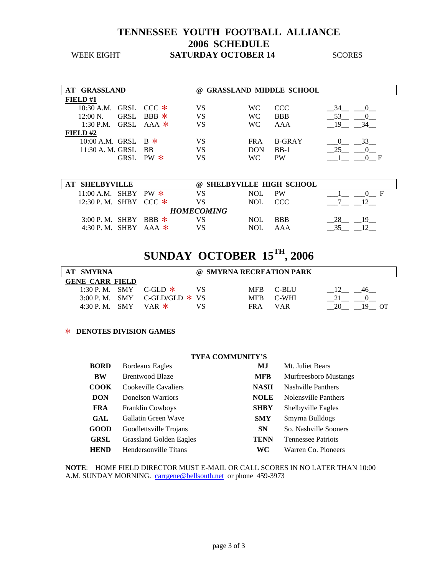### **TENNESSEE YOUTH FOOTBALL ALLIANCE 2006 SCHEDULE**  WEEK EIGHT **SATURDAY OCTOBER 14** SCORES

| <b>AT GRASSLAND</b>     |              | (a) |            | <b>GRASSLAND MIDDLE SCHOOL</b> |    |    |
|-------------------------|--------------|-----|------------|--------------------------------|----|----|
| FIELD#1                 |              |     |            |                                |    |    |
| 10:30 A.M. GRSL CCC $*$ |              | VS  | WC.        | CCC                            |    |    |
| $12:00 N$ .             | GRSL BBB $*$ | VS  | WC.        | <b>BBB</b>                     | 53 |    |
| 1:30 P.M. GRSL AAA $*$  |              | VS  | WC.        | AAA                            | 19 | 34 |
| FIELD# $2$              |              |     |            |                                |    |    |
| 10:00 A.M. GRSL B $*$   |              | VS  | FRA.       | <b>B-GRAY</b>                  |    | 33 |
| 11:30 A. M. GRSL BB     |              | VS  | <b>DON</b> | $BB-1$                         |    |    |
|                         | GRSL PW $*$  | VS  | WС         | <b>PW</b>                      |    |    |

| <b>SHELBYVILLE</b>      |  | @ SHELBYVILLE HIGH SCHOOL |      |            |  |
|-------------------------|--|---------------------------|------|------------|--|
| 11:00 A.M. SHBY PW $*$  |  |                           | NOL. | PW         |  |
| 12:30 P.M. SHBY CCC $*$ |  |                           | NOL. | CCC.       |  |
|                         |  | <b>HOMECOMING</b>         |      |            |  |
| 3:00 P.M. SHBY BBB $*$  |  |                           | NOL. | <b>BBB</b> |  |
| 4:30 P.M. SHRY AAA $*$  |  |                           | NOI  | AAA        |  |

# **SUNDAY OCTOBER 15TH, 2006**

| AT SMYRNA              |                                | @ SMYRNA RECREATION PARK |         |  |
|------------------------|--------------------------------|--------------------------|---------|--|
| <b>GENE CARR FIELD</b> |                                |                          |         |  |
|                        | 1:30 P.M. SMY C-GLD $*$        | <b>MFB</b>               | – C-BLU |  |
|                        | 3:00 P.M. SMY C-GLD/GLD $*$ VS | <b>MFB</b>               | C-WHI   |  |
| $4:30$ P.M. SMY        | VAR *                          | FR A                     | VAR     |  |

#### > **DENOTES DIVISION GAMES**

#### **TYFA COMMUNITY'S**

| <b>BORD</b> | <b>Bordeaux Eagles</b>         | MJ          | Mt. Juliet Bears             |
|-------------|--------------------------------|-------------|------------------------------|
| BW          | <b>Brentwood Blaze</b>         | <b>MFB</b>  | <b>Murfreesboro Mustangs</b> |
| <b>COOK</b> | Cookeville Cavaliers           | <b>NASH</b> | <b>Nashville Panthers</b>    |
| <b>DON</b>  | Donelson Warriors              | <b>NOLE</b> | Nolensville Panthers         |
| <b>FRA</b>  | <b>Franklin Cowboys</b>        | <b>SHBY</b> | Shelbyville Eagles           |
| GAL         | Gallatin Green Wave            | <b>SMY</b>  | Smyrna Bulldogs              |
| <b>GOOD</b> | Goodlettsville Trojans         | <b>SN</b>   | So. Nashville Sooners        |
| <b>GRSL</b> | <b>Grassland Golden Eagles</b> | <b>TENN</b> | <b>Tennessee Patriots</b>    |
| <b>HEND</b> | Hendersonville Titans          | WС          | Warren Co. Pioneers          |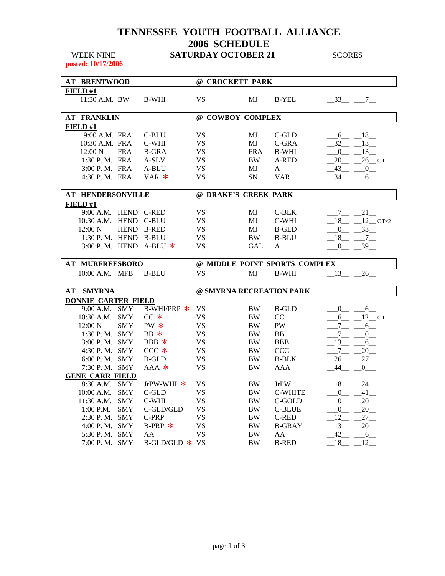## **TENNESSEE YOUTH FOOTBALL ALLIANCE 2006 SCHEDULE**  WEEK NINE **SATURDAY OCTOBER 21** SCORES

**posted: 10/17/2006** 

|                | <b>AT BRENTWOOD</b>                     |            |                          | @ CROCKETT PARK          |            |                               |                      |                            |
|----------------|-----------------------------------------|------------|--------------------------|--------------------------|------------|-------------------------------|----------------------|----------------------------|
| FIELD#1        |                                         |            |                          |                          |            |                               |                      |                            |
|                | 11:30 A.M. BW                           |            | <b>B-WHI</b>             | <b>VS</b>                | MJ         | <b>B-YEL</b>                  | $-33 - 7$            |                            |
|                | <b>AT FRANKLIN</b>                      |            |                          | @ COWBOY COMPLEX         |            |                               |                      |                            |
| <b>FIELD#1</b> |                                         |            |                          |                          |            |                               |                      |                            |
|                | 9:00 A.M. FRA                           |            | C-BLU                    | <b>VS</b>                | MJ         | C-GLD                         |                      | $6 - 18$                   |
|                | 10:30 A.M. FRA                          |            | C-WHI                    | <b>VS</b>                | MJ         | C-GRA                         | 32                   | $-13$                      |
|                | 12:00 N                                 | <b>FRA</b> | <b>B-GRA</b>             | <b>VS</b>                | <b>FRA</b> | <b>B-WHI</b>                  | $\Omega$             | $_{13}$                    |
|                | 1:30 P.M. FRA                           |            | A-SLV                    | <b>VS</b>                | BW         | A-RED                         | 20                   | $26$ OT                    |
|                | 3:00 P.M. FRA                           |            | A-BLU                    | <b>VS</b>                | МJ         | A                             | 43                   | $\mathbf{0}$               |
|                | 4:30 P.M. FRA                           |            | $VAR$ *                  | <b>VS</b>                | SN         | <b>VAR</b>                    | 34                   | 6                          |
|                |                                         |            |                          |                          |            |                               |                      |                            |
|                | <b>AT HENDERSONVILLE</b>                |            |                          | @ DRAKE'S CREEK PARK     |            |                               |                      |                            |
| FIELD#1        |                                         |            |                          |                          |            |                               |                      |                            |
|                | 9:00 A.M. HEND C-RED                    |            |                          | VS.                      | MJ         | C-BLK                         | $7\overline{ }$      | 21                         |
|                | 10:30 A.M. HEND C-BLU                   |            |                          | VS                       | MJ         | C-WHI                         | $18$ <sub>__</sub> _ | $12$ OTx2                  |
|                | $12:00\text{ N}$                        |            | HEND B-RED               | <b>VS</b>                | MJ         | <b>B-GLD</b>                  | $\overline{0}$       | 33                         |
|                | 1:30 P. M. HEND B-BLU                   |            |                          | <b>VS</b>                | <b>BW</b>  | <b>B-BLU</b>                  | 18                   | 7                          |
|                |                                         |            | 3:00 P.M. HEND A-BLU $*$ | <b>VS</b>                | <b>GAL</b> | A                             | $\mathbf{0}$         | 39                         |
|                |                                         |            |                          |                          |            |                               |                      |                            |
|                |                                         |            |                          |                          |            |                               |                      |                            |
|                | AT MURFREESBORO                         |            |                          |                          |            | @ MIDDLE POINT SPORTS COMPLEX |                      |                            |
|                | 10:00 A.M. MFB                          |            | <b>B-BLU</b>             | $\overline{\text{VS}}$   | MJ         | <b>B-WHI</b>                  | 13                   | 26                         |
| AT             | <b>SMYRNA</b>                           |            |                          | @ SMYRNA RECREATION PARK |            |                               |                      |                            |
|                |                                         |            |                          |                          |            |                               |                      |                            |
|                | <b>DONNIE CARTER FIELD</b>              |            |                          |                          |            |                               | $\mathbf{0}$         | 6                          |
|                | 9:00 A.M. SMY<br>10:30 A.M.             | <b>SMY</b> | B-WHI/PRP $*$<br>$CC*$   | <b>VS</b><br>VS          | BW<br>BW   | <b>B-GLD</b><br>CC            | 6                    |                            |
|                | $12:00\text{ N}$                        | <b>SMY</b> | $PW *$                   | <b>VS</b>                | <b>BW</b>  | PW                            |                      | $12$ OT<br>6               |
|                | $1:30$ P. M. SMY                        |            | $BB *$                   | <b>VS</b>                | BW         | <b>BB</b>                     | $7\overline{ }$<br>7 | $\mathbf{0}$               |
|                | 3:00 P.M. SMY                           |            | BBB $*$                  | VS                       | BW         | <b>BBB</b>                    |                      |                            |
|                | 4:30 P.M. SMY                           |            | $CCC *$                  | <b>VS</b>                | BW         | <b>CCC</b>                    | $-13$<br>$\tau$      | 6<br>20                    |
|                | $6:00$ P. M. SMY                        |            | B-GLD                    | <b>VS</b>                | BW         | <b>B-BLK</b>                  |                      |                            |
|                |                                         |            | $AAA$ *                  | VS                       | BW         | AAA                           | 26<br>44             | 27<br>0                    |
|                | 7:30 P.M. SMY<br><b>GENE CARR FIELD</b> |            |                          |                          |            |                               |                      |                            |
|                | 8:30 A.M. SMY                           |            | JrPW-WHI $*$             | <b>VS</b>                | <b>BW</b>  | <b>JrPW</b>                   | $-18$                |                            |
|                | 10:00 A.M. SMY                          |            | C-GLD                    | <b>VS</b>                | BW         | <b>C-WHITE</b>                | $\mathbf{0}$         | $24$ <sub>—</sub><br>$-41$ |
|                | 11:30 A.M. SMY                          |            | C-WHI                    | <b>VS</b>                | BW         | C-GOLD                        | $\overline{0}$       | 20                         |
|                | $1:00$ P.M.                             | <b>SMY</b> | C-GLD/GLD                | <b>VS</b>                | BW         | <b>C-BLUE</b>                 | $\overline{0}$       | 20                         |
|                | 2:30 P.M. SMY                           |            | C-PRP                    | <b>VS</b>                | BW         | <b>C-RED</b>                  | 12                   | 27                         |
|                | 4:00 P.M. SMY                           |            | $B-PRP$ *                | <b>VS</b>                | BW         | <b>B-GRAY</b>                 | 13                   | 20                         |
|                | 5:30 P.M. SMY                           |            | AA                       | <b>VS</b>                | BW         | AA                            | 42                   | 6                          |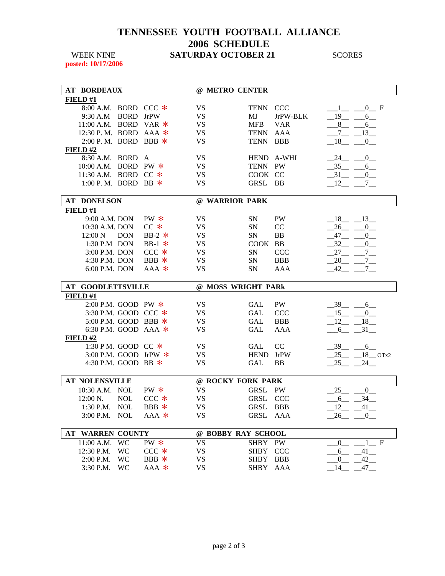## **TENNESSEE YOUTH FOOTBALL ALLIANCE 2006 SCHEDULE**  WEEK NINE **SATURDAY OCTOBER 21** SCORES

**posted: 10/17/2006** 

| <b>AT BORDEAUX</b>       |                        |                    | @ METRO CENTER         |                            |             |                                                  |
|--------------------------|------------------------|--------------------|------------------------|----------------------------|-------------|--------------------------------------------------|
| FIELD #1                 |                        |                    |                        |                            |             |                                                  |
| 8:00 A.M. BORD CCC $*$   |                        |                    | <b>VS</b>              | <b>TENN</b>                | <b>CCC</b>  | 0 F                                              |
| 9:30 A.M                 | <b>BORD</b>            | <b>JrPW</b>        | <b>VS</b>              | MJ                         | JrPW-BLK    | 19<br>6                                          |
| 11:00 A.M. BORD          |                        | VAR $*$            | <b>VS</b>              | <b>MFB</b>                 | <b>VAR</b>  | 8<br>6                                           |
| 12:30 P.M. BORD          |                        | $AAA$ *            | <b>VS</b>              | <b>TENN</b>                | AAA         | $-7$<br>13                                       |
| 2:00 P.M. BORD BBB *     |                        |                    | <b>VS</b>              | <b>TENN</b>                | <b>BBB</b>  | $-18$<br>$\mathbf{0}$                            |
| FIELD#2                  |                        |                    |                        |                            |             |                                                  |
| 8:30 A.M. BORD           |                        | A                  | <b>VS</b>              |                            | HEND A-WHI  | 24<br>$\overline{0}$                             |
| 10:00 A.M. BORD PW *     |                        |                    | VS                     | TENN PW                    |             | 35<br>6                                          |
| 11:30 A.M. BORD CC *     |                        |                    | <b>VS</b>              | COOK CC                    |             | 31<br>0                                          |
| 1:00 P. M. BORD          |                        | $BB$ *             | <b>VS</b>              | GRSL                       | <b>BB</b>   | 12<br>$7\degree$                                 |
|                          |                        |                    |                        |                            |             |                                                  |
| <b>AT DONELSON</b>       |                        |                    | @ WARRIOR PARK         |                            |             |                                                  |
| FIELD#1                  |                        |                    |                        |                            |             |                                                  |
| 9:00 A.M. DON            |                        | $PW *$             | <b>VS</b>              | SN                         | PW          | 18<br>13                                         |
| 10:30 A.M. DON           |                        | $CC*$              | <b>VS</b>              | SN                         | CC          | 26<br>$\overline{0}$                             |
| 12:00 N                  | <b>DON</b>             | BB-2 $*$           | <b>VS</b>              | SN                         | BB          | 47<br>$\mathbf{0}$                               |
| 1:30 P.M DON             |                        | BB-1 $*$           | <b>VS</b>              | COOK BB                    |             | 32<br>$\mathbf{0}$                               |
| 3:00 P.M. DON            |                        | $CCC *$            | <b>VS</b>              | <b>SN</b>                  | <b>CCC</b>  | $27$ <sub>___</sub><br>7                         |
| 4:30 P.M. DON            |                        | BBB *              | <b>VS</b>              | <b>SN</b>                  | <b>BBB</b>  | 20<br>$7\degree$                                 |
| 6:00 P.M. DON            |                        | $AAA$ *            | <b>VS</b>              | <b>SN</b>                  | AAA         | $-42$<br>7                                       |
|                          |                        |                    |                        |                            |             |                                                  |
|                          |                        |                    |                        |                            |             |                                                  |
| <b>AT GOODLETTSVILLE</b> |                        |                    | @ MOSS WRIGHT PARk     |                            |             |                                                  |
| FIELD#1                  |                        |                    |                        |                            |             |                                                  |
| 2:00 P.M. GOOD PW $*$    |                        |                    | <b>VS</b>              | <b>GAL</b>                 | PW          | 39<br>$6\overline{6}$                            |
| 3:30 P.M. GOOD CCC *     |                        |                    | <b>VS</b>              | <b>GAL</b>                 | <b>CCC</b>  | 15<br>$\overline{0}$                             |
| 5:00 P.M. GOOD BBB *     |                        |                    | <b>VS</b>              | <b>GAL</b>                 | <b>BBB</b>  | 12<br>18                                         |
| 6:30 P.M. GOOD AAA $*$   |                        |                    | <b>VS</b>              | GAL                        | AAA         | 31<br>6                                          |
| FIELD#2                  |                        |                    |                        |                            |             |                                                  |
| 1:30 PM. GOOD CC *       |                        |                    | <b>VS</b>              | <b>GAL</b>                 | CC          | $-39$<br>6                                       |
| 3:00 P.M. GOOD JrPW *    |                        |                    | <b>VS</b>              | <b>HEND</b>                | <b>JrPW</b> | 25                                               |
| 4:30 P.M. GOOD BB $*$    |                        |                    | <b>VS</b>              | <b>GAL</b>                 | BB          | $18$ OTx2<br>25<br>24                            |
|                          |                        |                    |                        |                            |             |                                                  |
| <b>AT NOLENSVILLE</b>    |                        |                    | @ ROCKY FORK PARK      |                            |             |                                                  |
| 10:30 A.M. NOL           |                        | $PW *$             | <b>VS</b>              | <b>GRSL</b>                | <b>PW</b>   | 25<br>$\overline{0}$                             |
| 12:00 N.                 | <b>NOL</b>             | $CCC *$            | <b>VS</b>              | <b>GRSL</b>                | <b>CCC</b>  | 34<br>6                                          |
| 1:30 P.M. NOL            |                        | BBB *              | <b>VS</b>              |                            |             |                                                  |
| 3:00 P.M.                | <b>NOL</b>             | $AAA$ *            | VS                     | GRSL BBB<br><b>GRSL</b>    | AAA         | 12<br>$41$ <sub>—</sub><br>26<br>$\theta$        |
|                          |                        |                    |                        |                            |             |                                                  |
| <b>AT WARREN COUNTY</b>  |                        |                    | @ BOBBY RAY SCHOOL     |                            |             |                                                  |
| 11:00 A.M.               | <b>WC</b>              | $PW *$             | <b>VS</b>              | <b>SHBY</b>                | PW          | $\mathbf F$<br>$\overline{0}$                    |
| 12:30 P.M.               | <b>WC</b>              | $CCC *$            | <b>VS</b>              | <b>SHBY</b>                | <b>CCC</b>  | 6<br>$-41$ <sub>—</sub>                          |
| 2:00 P.M.<br>3:30 P.M.   | <b>WC</b><br><b>WC</b> | BBB $*$<br>$AAA$ * | <b>VS</b><br><b>VS</b> | <b>SHBY</b><br><b>SHBY</b> | BBB<br>AAA  | $42$ <sub>--</sub><br>$\overline{0}$<br>14<br>47 |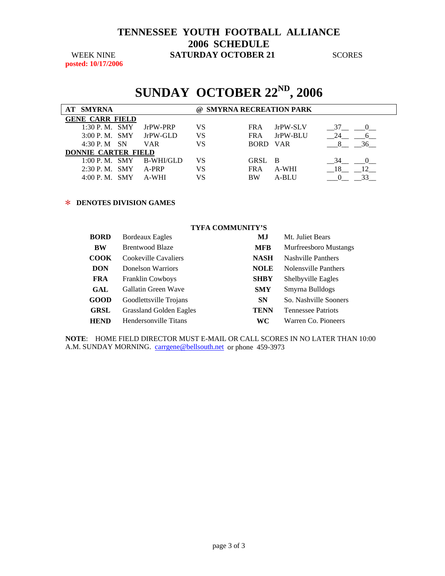### **TENNESSEE YOUTH FOOTBALL ALLIANCE 2006 SCHEDULE**  WEEK NINE **SATURDAY OCTOBER 21** SCORES

**posted: 10/17/2006** 

# **SUNDAY OCTOBER 22ND, 2006**

| <b>AT SMYRNA</b>           |            | (a) |            | <b>SMYRNA RECREATION PARK</b> |                         |
|----------------------------|------------|-----|------------|-------------------------------|-------------------------|
| <b>GENE CARR FIELD</b>     |            |     |            |                               |                         |
| $1:30$ P. M. SMY           | JrPW-PRP   | VS  | FRA.       | JrPW-SLV                      | 37                      |
| $3:00$ P. M. SMY           | JrPW-GLD   | VS  | <b>FRA</b> | JrPW-BLU                      |                         |
| 4:30 P. M SN               | <b>VAR</b> | VS  | BORD VAR   |                               | 36                      |
| <b>DONNIE CARTER FIELD</b> |            |     |            |                               |                         |
| 1:00 P. M. SMY             | B-WHI/GLD  | VS  | GRSL B     |                               | 34                      |
| $2:30$ P. M. SMY           | A-PRP      | VS  | FR A       | A-WHI                         | 12 <sup>1</sup><br>- 18 |
| $4:00 \text{ P. M.}$ SMY   | A-WHI      | VS  | <b>BW</b>  | A-BLU                         |                         |

#### > **DENOTES DIVISION GAMES**

|             | <b>TYFA COMMUNITY'S</b>        |             |                              |
|-------------|--------------------------------|-------------|------------------------------|
| <b>BORD</b> | <b>Bordeaux Eagles</b>         | MJ          | Mt. Juliet Bears             |
| BW          | Brentwood Blaze                | <b>MFB</b>  | <b>Murfreesboro Mustangs</b> |
| <b>COOK</b> | Cookeville Cavaliers           | <b>NASH</b> | Nashville Panthers           |
| <b>DON</b>  | Donelson Warriors              | <b>NOLE</b> | Nolensville Panthers         |
| <b>FRA</b>  | <b>Franklin Cowboys</b>        | <b>SHBY</b> | Shelbyville Eagles           |
| GAL         | Gallatin Green Wave            | <b>SMY</b>  | Smyrna Bulldogs              |
| <b>GOOD</b> | Goodlettsville Trojans         | <b>SN</b>   | So. Nashville Sooners        |
| <b>GRSL</b> | <b>Grassland Golden Eagles</b> | <b>TENN</b> | <b>Tennessee Patriots</b>    |
| HEND        | Hendersonville Titans          | WС          | Warren Co. Pioneers          |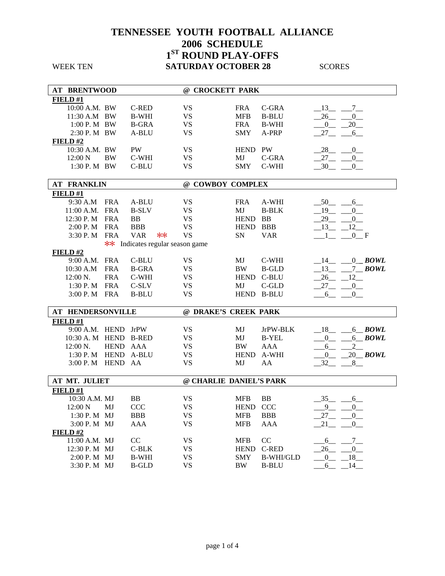**AT BRENTWOOD @ CROCKETT PARK FIELD #1** 10:00 A.M. BW C-RED VS FRA C-GRA  $\_13\_ 7\_$ 11:30 A.M BW B-WHI VS MFB B-BLU  $\_26\_\_0\_$ 1:00 P. M BW B-GRA VS FRA B-WHI  $0$  20 2:30 P. M BW A-BLU VS SMY A-PRP 27 6 **FIELD #2** 10:30 A.M. BW PW VS HEND PW 28 \_\_\_ 0\_\_ 12:00 N BW C-WHI VS MJ C-GRA  $\_27\_\_0\_$ 1:30 P. M BW C-BLU VS SMY C-WHI  $30 - 0$ **AT FRANKLIN @ COWBOY COMPLEX FIELD #1** 9:30 A.M FRA A-BLU VS FRA A-WHI  $\_50\_\_6\_$ 11:00 A.M. FRA B-SLV VS MJ B-BLK  $\_19\_ 0\_$ 12:30 P. M FRA BB VS HEND BB  $\frac{29}{-0}$ 2:00 P. M FRA BBB VS HEND BBB  $\frac{13}{1}$   $\frac{12}{0}$ <br>3:30 P. M FRA VAR  $**$  VS SN VAR  $\frac{13}{1}$   $\frac{12}{0}$ 3:30 P. M FRA VAR  $**$  VS SN VAR  $\qquad \qquad \underline{\qquad}$  1  $\qquad \underline{\qquad}$  F \*\* Indicates regular season game **FIELD #2** 9:00 A.M. FRA C-BLU VS MJ C-WHI \_\_14\_\_ \_\_\_0\_**\_** *BOWL* 10:30 A.M FRA B-GRA VS BW B-GLD  $13$  7 BOWL 12:00 N. FRA C-WHI VS HEND C-BLU  $\_26\_12\_$ 1:30 P. M FRA C-SLV VS MJ C-GLD  $27 \t 0$ 3:00 P. M FRA B-BLU VS HEND B-BLU  $-6$   $-$  0 **AT HENDERSONVILLE @ DRAKE'S CREEK PARK FIELD #1** 9:00 A.M. HEND JrPW VS MJ JrPW-BLK \_\_18\_\_ \_\_\_6\_\_ *BOWL* 10:30 A. M HEND B-RED VS MJ B-YEL \_\_\_0\_\_ \_\_\_6\_\_ *BOWL* 12:00 N. HEND AAA  $\qquad \qquad \text{V}S$  BW AAA  $\underline{\qquad \qquad 6}$  2 1:30 P. M HEND A-BLU VS HEND A-WHI \_\_\_0\_\_ \_\_20\_\_ *BOWL* 3:00 P. M HEND AA  $\overline{X}$  VS MJ AA  $\overline{X}$   $32 - 8 -$ **AT MT. JULIET @ CHARLIE DANIEL'S PARK FIELD #1** 10:30 A.M. MJ BB VS MFB BB \_\_35\_\_ \_\_\_6\_\_ 12:00 N MJ CCC VS HEND CCC  $\qquad \qquad \underline{9} \qquad \underline{0} \qquad$ 1:30 P. M MJ BBB VS MFB BBB  $\frac{27}{27} = 0$ 3:00 P. M MJ AAA  $\qquad \qquad \text{VS}$  MFB AAA  $\qquad \qquad -21$   $\qquad \qquad -0$ **FIELD #2** 11:00 A.M. MJ CC VS MFB CC  $\underline{\hspace{1cm}} 6\_6\_7\_$ <br>12:30 P. M MJ C-BLK VS HEND C-RED  $\underline{\hspace{1cm}} 26\_ \underline{\hspace{1cm}} 0\_$ 12:30 P. M MJ C-BLK VS HEND C-RED 26 0 2:00 P. M MJ B-WHI VS SMY B-WHI/GLD  $\underline{\hspace{1cm}} 0 = \underline{\hspace{1cm}} 18$ 3:30 P. M MJ B-GLD VS BW B-BLU 6 14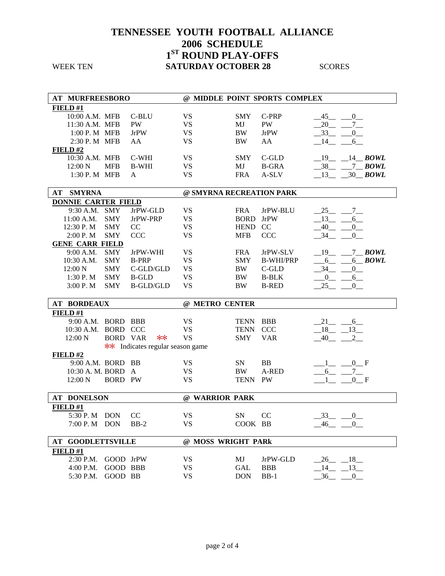| <b>SATURDAY OCTOBER 28</b> |  |
|----------------------------|--|
|                            |  |

| AT MURFREESBORO            |                 |                                  |                          |             | @ MIDDLE POINT SPORTS COMPLEX |                                   |
|----------------------------|-----------------|----------------------------------|--------------------------|-------------|-------------------------------|-----------------------------------|
| FIELD#1                    |                 |                                  |                          |             |                               |                                   |
| 10:00 A.M. MFB             |                 | C-BLU                            | <b>VS</b>                | <b>SMY</b>  | C-PRP                         | 45<br>0                           |
| 11:30 A.M. MFB             |                 | <b>PW</b>                        | <b>VS</b>                | MJ          | PW                            | 20<br>$7_{-}$                     |
| 1:00 P. M MFB              |                 | <b>JrPW</b>                      | <b>VS</b>                | <b>BW</b>   | <b>JrPW</b>                   | 33<br>0                           |
| 2:30 P. M MFB              |                 | AA                               | <b>VS</b>                | $\rm BW$    | AA                            | 14<br>6                           |
| FIELD#2                    |                 |                                  |                          |             |                               |                                   |
| 10:30 A.M. MFB             |                 | C-WHI                            | <b>VS</b>                | <b>SMY</b>  | $C$ -GLD                      | $19 - 14 - BOWL$                  |
| 12:00 N                    | <b>MFB</b>      | <b>B-WHI</b>                     | <b>VS</b>                | MJ          | <b>B-GRA</b>                  | $38 - 7 BOWL$                     |
| 1:30 P. M MFB              |                 | $\mathbf{A}$                     | <b>VS</b>                | <b>FRA</b>  | A-SLV                         | $13 - 30$ BOWL                    |
|                            |                 |                                  |                          |             |                               |                                   |
| AT<br><b>SMYRNA</b>        |                 |                                  | @ SMYRNA RECREATION PARK |             |                               |                                   |
| <b>DONNIE CARTER FIELD</b> |                 |                                  |                          |             |                               |                                   |
| 9:30 A.M.                  | <b>SMY</b>      | JrPW-GLD                         | <b>VS</b>                | <b>FRA</b>  | JrPW-BLU                      | $-25$ $-$<br>$7\degree$           |
| 11:00 A.M.                 | <b>SMY</b>      | JrPW-PRP                         | <b>VS</b>                | <b>BORD</b> | <b>JrPW</b>                   | 13<br>6                           |
| 12:30 P.M                  | <b>SMY</b>      | CC                               | <b>VS</b>                | HEND CC     |                               | 40<br>$^{0}$                      |
| 2:00 P.M                   | <b>SMY</b>      | <b>CCC</b>                       | <b>VS</b>                | <b>MFB</b>  | <b>CCC</b>                    | 34<br>$\overline{0}$              |
| <b>GENE CARR FIELD</b>     |                 |                                  |                          |             |                               |                                   |
| 9:00 A.M.                  | <b>SMY</b>      | JrPW-WHI                         | <b>VS</b>                | <b>FRA</b>  | JrPW-SLV                      | $-19$ -<br>$7$ BOWL               |
| 10:30 A.M.                 | <b>SMY</b>      | <b>B-PRP</b>                     | <b>VS</b>                | <b>SMY</b>  | <b>B-WHI/PRP</b>              | $6$ BOWL<br>$6 - -$               |
| 12:00 N                    | <b>SMY</b>      | C-GLD/GLD                        | <b>VS</b>                | <b>BW</b>   | C-GLD                         | 34<br>$\overline{0}$              |
| $1:30$ P. M                | <b>SMY</b>      | <b>B-GLD</b>                     | <b>VS</b>                | <b>BW</b>   | <b>B-BLK</b>                  | $-0$ -<br>$-6$                    |
| 3:00 P.M                   | <b>SMY</b>      | <b>B-GLD/GLD</b>                 | <b>VS</b>                | $\rm BW$    | <b>B-RED</b>                  | $-25$<br>0                        |
|                            |                 |                                  |                          |             |                               |                                   |
|                            |                 |                                  |                          |             |                               |                                   |
| <b>AT BORDEAUX</b>         |                 |                                  | @ METRO CENTER           |             |                               |                                   |
| FIELD#1                    |                 |                                  |                          |             |                               |                                   |
| 9:00 A.M. BORD BBB         |                 |                                  | <b>VS</b>                | <b>TENN</b> | <b>BBB</b>                    | $-21$<br>$-6$                     |
| 10:30 A.M. BORD CCC        |                 |                                  | <b>VS</b>                | <b>TENN</b> | <b>CCC</b>                    | $-18$ $-13$                       |
| 12:00 N                    | <b>BORD VAR</b> | $**$                             | <b>VS</b>                | <b>SMY</b>  | <b>VAR</b>                    | 40                                |
|                            |                 | ** Indicates regular season game |                          |             |                               |                                   |
| FIELD#2                    |                 |                                  |                          |             |                               |                                   |
| 9:00 A.M. BORD BB          |                 |                                  | <b>VS</b>                | <b>SN</b>   | <b>BB</b>                     | $0$ F                             |
| 10:30 A. M. BORD A         |                 |                                  | <b>VS</b>                | <b>BW</b>   | A-RED                         | $-7$<br>$6\overline{\phantom{0}}$ |
| 12:00 N                    | <b>BORD PW</b>  |                                  | <b>VS</b>                | <b>TENN</b> | <b>PW</b>                     | $0$ F                             |
|                            |                 |                                  |                          |             |                               |                                   |
| <b>AT DONELSON</b>         |                 |                                  | @ WARRIOR PARK           |             |                               |                                   |
| FIELD#1                    |                 |                                  |                          |             |                               |                                   |
| 5:30 P. M DON              |                 | CC                               | <b>VS</b>                | ${\rm SN}$  | CC                            | 33                                |
| $7:00 \text{ P. M}$ DON    |                 | $BB-2$                           | <b>VS</b>                | COOK BB     |                               | $0$<br><br><br>—<br>$-46$ $-0$    |
|                            |                 |                                  |                          |             |                               |                                   |
| <b>AT GOODLETTSVILLE</b>   |                 |                                  | @ MOSS WRIGHT PARk       |             |                               |                                   |
| FIELD#1                    |                 |                                  |                          |             |                               |                                   |
| 2:30 P.M.                  | GOOD JrPW       |                                  | <b>VS</b>                | MJ          | JrPW-GLD                      | $-26$<br>18                       |
| 4:00 P.M.                  | GOOD BBB        |                                  | <b>VS</b>                | GAL         | <b>BBB</b>                    | 14<br>$-13$                       |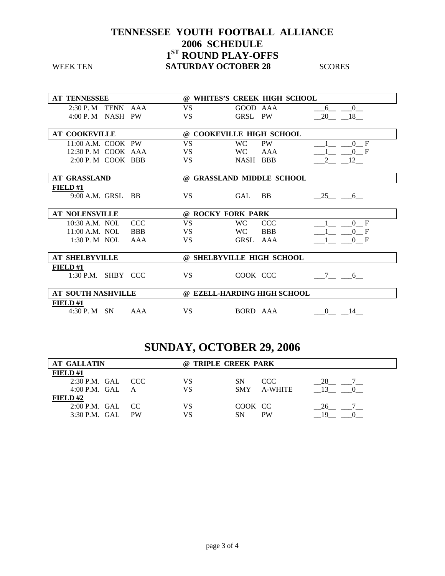| <b>AT TENNESSEE</b>            |           | @ WHITES'S CREEK HIGH SCHOOL |                                   |
|--------------------------------|-----------|------------------------------|-----------------------------------|
| $2:30$ P. M TENN AAA           | <b>VS</b> | GOOD AAA                     | $6\overline{6}$<br>$\overline{0}$ |
| $4:00$ P. M NASH PW            | <b>VS</b> | GRSL PW                      | $-20$ $-18$                       |
| <b>AT COOKEVILLE</b>           |           | @ COOKEVILLE HIGH SCHOOL     |                                   |
| $11:00$ A.M. COOK PW           | VS        | <b>WC</b><br><b>PW</b>       | $0 \quad F$                       |
| 12:30 P. M COOK AAA            | VS.       | WC.<br>AAA                   | 0 F                               |
| 2:00 P. M COOK BBB             | <b>VS</b> | NASH BBB                     | 12                                |
| <b>AT GRASSLAND</b>            |           | @ GRASSLAND MIDDLE SCHOOL    |                                   |
| <b>FIELD#1</b>                 |           |                              |                                   |
| $9:00$ A.M. GRSL BB            | VS.       | <b>GAL</b><br>BB.            | $-25$ 6                           |
|                                |           |                              |                                   |
| <b>AT NOLENSVILLE</b>          |           | @ ROCKY FORK PARK            |                                   |
| 10:30 A.M. NOL<br><b>CCC</b>   | <b>VS</b> | <b>WC</b><br><b>CCC</b>      | 0 F                               |
| $11:00$ A.M. NOL<br><b>BBB</b> | VS.       | WC.<br><b>BBB</b>            | 0 F                               |
| $1:30$ P. M NOL<br>AAA         | <b>VS</b> | GRSL AAA                     | 0 F                               |
| <b>AT SHELBYVILLE</b>          |           | @ SHELBYVILLE HIGH SCHOOL    |                                   |
| <b>FIELD #1</b>                |           |                              |                                   |
| 1:30 P.M. SHBY CCC             | VS.       | COOK CCC                     | 7 6                               |
| <b>AT SOUTH NASHVILLE</b>      |           | @ EZELL-HARDING HIGH SCHOOL  |                                   |
| FIELD#1                        |           |                              |                                   |

# **SUNDAY, OCTOBER 29, 2006**

| <b>AT GALLATIN</b>  |           | <b>TRIPLE CREEK PARK</b><br>$\omega$ |            |           |  |
|---------------------|-----------|--------------------------------------|------------|-----------|--|
| FIELD#1             |           |                                      |            |           |  |
| $2:30$ P.M. GAL CCC |           | VS                                   | SΝ         | CCC.      |  |
| $4:00$ P.M. GAL     | A         | VS                                   | <b>SMY</b> | A-WHITE   |  |
| FIELD#2             |           |                                      |            |           |  |
| $2:00$ P.M. GAL CC  |           | VS                                   | COOK CC    |           |  |
| $3:30$ P.M. GAL     | <b>PW</b> | VS                                   | SΝ         | <b>PW</b> |  |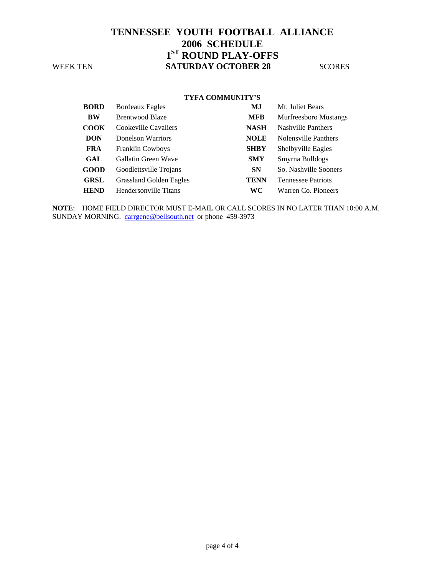#### **TYFA COMMUNITY'S**

| <b>BORD</b> | <b>Bordeaux Eagles</b>         | MJ          | Mt. Juliet Bears             |
|-------------|--------------------------------|-------------|------------------------------|
| BW          | <b>Brentwood Blaze</b>         | <b>MFB</b>  | <b>Murfreesboro Mustangs</b> |
| COOK        | Cookeville Cavaliers           | <b>NASH</b> | <b>Nashville Panthers</b>    |
| <b>DON</b>  | Donelson Warriors              | <b>NOLE</b> | Nolensville Panthers         |
| <b>FRA</b>  | <b>Franklin Cowboys</b>        | <b>SHBY</b> | Shelbyville Eagles           |
| GAL         | Gallatin Green Wave            | <b>SMY</b>  | Smyrna Bulldogs              |
| GOOD        | Goodlettsville Trojans         | <b>SN</b>   | So. Nashville Sooners        |
| <b>GRSL</b> | <b>Grassland Golden Eagles</b> | <b>TENN</b> | <b>Tennessee Patriots</b>    |
| <b>HEND</b> | Hendersonville Titans          | WС          | Warren Co. Pioneers          |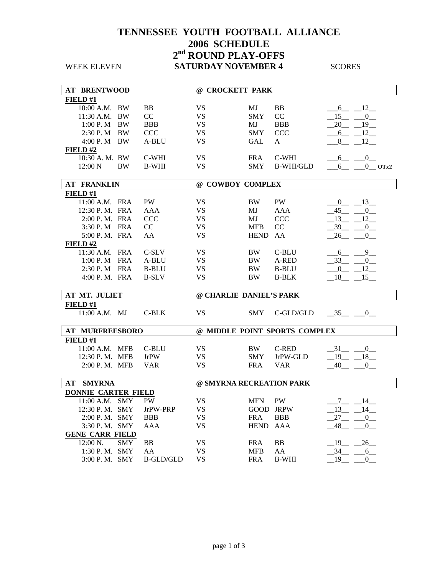### **TENNESSEE YOUTH FOOTBALL ALLIANCE 2006 SCHEDULE 2nd ROUND PLAY-OFFS WEEK ELEVEN SATURDAY NOVEMBER 4** SCORES

**AT BRENTWOOD @ CROCKETT PARK FIELD #1** 10:00 A.M. BW BB VS MJ BB  $6 - 12$ 11:30 A.M. BW CC VS SMY CC  $\frac{15}{20.6}$ 1:00 P. M BW BBB VS MJ BBB  $\frac{20}{-19}$ 2:30 P. M BW CCC VS SMY CCC <u>6</u> 12 4:00 P. M BW A-BLU VS GAL A  $\_8\_12\_$ **FIELD #2** 10:30 A. M. BW C-WHI VS FRA C-WHI  $\_6\_\_0\_$  12:00 N BW B-WHI VS SMY B-WHI/GLD \_\_\_6\_\_ \_\_\_0\_\_ **OTx2 AT FRANKLIN @ COWBOY COMPLEX**   $\frac{$  **FIELD** #1<br>11:00 A.M. FRA PW VS BW PW  $-0$  13 12:30 P.M. FRA AAA VS MJ AAA  $\_45\_ 0\_$ 2:00 P.M. FRA CCC VS MJ CCC  $\frac{13}{2.00}$   $\frac{12}{2.00}$ 3:30 P. M FRA CC VS MFB CC \_\_\_39\_\_ \_\_0\_ 5:00 P. M. FRA AA VS HEND AA  $\_26\_\_0\_$ **FIELD #2** 11:30 A.M. FRA C-SLV VS BW C-BLU  $\underline{\hspace{1cm}} 6 \underline{\hspace{1cm}} 9 \underline{\hspace{1cm}}$ 1:00 P. M FRA A-BLU VS BW A-RED  $\overline{33}$  0 2:30 P. M FRA B-BLU VS BW B-BLU  $\_0$   $\_12$ 4:00 P.M. FRA B-SLV VS BW B-BLK  $18$  18  $-15$ **AT MT. JULIET @ CHARLIE DANIEL'S PARK FIELD #1** 11:00 A.M. MJ C-BLK VS SMY C-GLD/GLD 35 0 **AT MURFREESBORO @ MIDDLE POINT SPORTS COMPLEX FIELD #1** 11:00 A.M. MFB C-BLU VS BW C-RED  $31 - 0$ 12:30 P. M. MFB JrPW VS SMY JrPW-GLD  $-19 - 18$ 2:00 P.M. MFB VAR VS FRA VAR  $\frac{40}{0}$  0 **AT SMYRNA @ SMYRNA RECREATION PARK DONNIE CARTER FIELD** 11:00 A.M. SMY PW VS MFN PW  $\frac{7}{13} - \frac{14}{14}$ <br>12:30 P.M. SMY JrPW-PRP VS GOOD JRPW 13 14 JrPW-PRP VS GOOD JRPW  $13\_ 14\_$ 2:00 P.M. SMY BBB VS FRA BBB  $27\_ 0$ 3:30 P.M. SMY AAA  $\qquad \qquad \text{VS} \qquad \qquad \text{HEND AAA} \qquad \qquad \underline{48} \underline{\qquad} \underline{\qquad} 0 \underline{\qquad}$ **GENE CARR FIELD** 12:00 N. SMY BB VS FRA BB  $\qquad \qquad -19$  26 1:30 P.M. SMY AA  $\overline{V}$  VS MFB AA  $\overline{34}$  6  $3:00$  P.M. SMY B-GLD/GLD VS FRA B-WHI  $19$   $-19$   $-0$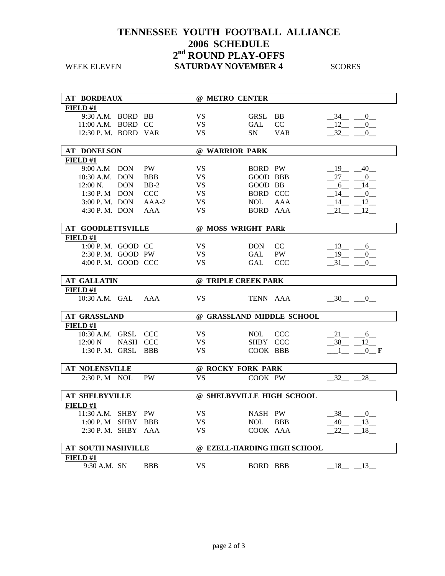### **TENNESSEE YOUTH FOOTBALL ALLIANCE 2006 SCHEDULE 2nd ROUND PLAY-OFFS WEEK ELEVEN SATURDAY NOVEMBER 4** SCORES

| <b>AT BORDEAUX</b>        |            |            |           | @ METRO CENTER              |               |                                     |
|---------------------------|------------|------------|-----------|-----------------------------|---------------|-------------------------------------|
| FIELD#1                   |            |            |           |                             |               |                                     |
| 9:30 A.M. BORD BB         |            |            | VS.       | GRSL                        | <b>BB</b>     | $-34$ $-0$                          |
| $11:00$ A.M. BORD CC      |            |            | <b>VS</b> | GAL                         | CC            | 12<br>$\overline{0}$                |
| 12:30 P. M. BORD VAR      |            |            | <b>VS</b> | <b>SN</b>                   | <b>VAR</b>    | 32<br>$\mathbf{0}$                  |
|                           |            |            |           |                             |               |                                     |
| <b>AT DONELSON</b>        |            |            |           | @ WARRIOR PARK              |               |                                     |
| FIELD#1                   |            |            |           |                             |               |                                     |
| 9:00 A.M DON              |            | <b>PW</b>  | <b>VS</b> | BORD PW                     |               | $-19$ $-40$                         |
| 10:30 A.M. DON            |            | <b>BBB</b> | VS.       | GOOD BBB                    |               | $27 - 0$                            |
| $12:00 \text{ N.}$        | <b>DON</b> | $BB-2$     | <b>VS</b> | GOOD BB                     |               | $6\frac{1}{2}$<br>$14$ <sub>—</sub> |
| 1:30 P. M DON             |            | <b>CCC</b> | <b>VS</b> | BORD CCC                    |               | $-14$ - 0                           |
| 3:00 P.M. DON             |            | AAA-2      | <b>VS</b> | NOL                         | AAA           | $-14$ $-12$                         |
| $4:30$ P.M. DON           |            | AAA        | <b>VS</b> | <b>BORD AAA</b>             |               | $-21 - 12$                          |
|                           |            |            |           |                             |               |                                     |
| <b>AT GOODLETTSVILLE</b>  |            |            |           | @ MOSS WRIGHT PARk          |               |                                     |
| FIELD#1                   |            |            |           |                             |               |                                     |
| 1:00 P.M. GOOD CC         |            |            | VS.       | DON –                       | <sub>CC</sub> | $-13$ $-6$                          |
| 2:30 P.M. GOOD PW         |            |            | <b>VS</b> | <b>GAL</b>                  | PW            | $-19$ $-0$                          |
| 4:00 P.M. GOOD CCC        |            |            | <b>VS</b> | <b>GAL</b>                  | <b>CCC</b>    | 31<br>$\mathbf{0}$                  |
|                           |            |            |           |                             |               |                                     |
| <b>AT GALLATIN</b>        |            |            |           | @ TRIPLE CREEK PARK         |               |                                     |
| FIELD#1                   |            |            |           |                             |               |                                     |
| 10:30 A.M. GAL AAA        |            |            | <b>VS</b> | TENN AAA                    |               | $-30$ $-0$                          |
|                           |            |            |           |                             |               |                                     |
| <b>AT GRASSLAND</b>       |            |            |           | @ GRASSLAND MIDDLE SCHOOL   |               |                                     |
| FIELD#1                   |            |            |           |                             |               |                                     |
| 10:30 A.M. GRSL CCC       |            |            | VS.       | NOL 1                       | <b>CCC</b>    | $21 - 6$                            |
| $12:00\text{ N}$          | NASH CCC   |            | VS.       | SHBY CCC                    |               | $-38$ $-12$                         |
| 1:30 P.M. GRSL BBB        |            |            | <b>VS</b> | COOK BBB                    |               | $1 \qquad 0 \qquad \mathbf{F}$      |
|                           |            |            |           |                             |               |                                     |
| <b>AT NOLENSVILLE</b>     |            |            |           | @ ROCKY FORK PARK           |               |                                     |
| 2:30 P. M NOL             |            | <b>PW</b>  | <b>VS</b> | COOK PW                     |               | 32<br>28                            |
|                           |            |            |           |                             |               |                                     |
| <b>AT SHELBYVILLE</b>     |            |            |           | @ SHELBYVILLE HIGH SCHOOL   |               |                                     |
| FIELD #1                  |            |            |           |                             |               |                                     |
| 11:30 A.M. SHBY PW        |            |            | VS.       | NASH PW                     |               | $-38$ - 0                           |
| 1:00 P. M SHBY BBB        |            |            | <b>VS</b> | <b>NOL</b>                  | <b>BBB</b>    | $-40$ $-13$                         |
| 2:30 P.M. SHBY AAA        |            |            | <b>VS</b> | COOK AAA                    |               | $22 - 18$                           |
|                           |            |            |           |                             |               |                                     |
| <b>AT SOUTH NASHVILLE</b> |            |            |           | @ EZELL-HARDING HIGH SCHOOL |               |                                     |
| FIELD#1                   |            |            |           |                             |               |                                     |
| 9:30 A.M. SN              |            | <b>BBB</b> | <b>VS</b> | BORD BBB                    |               | $18 - 13$                           |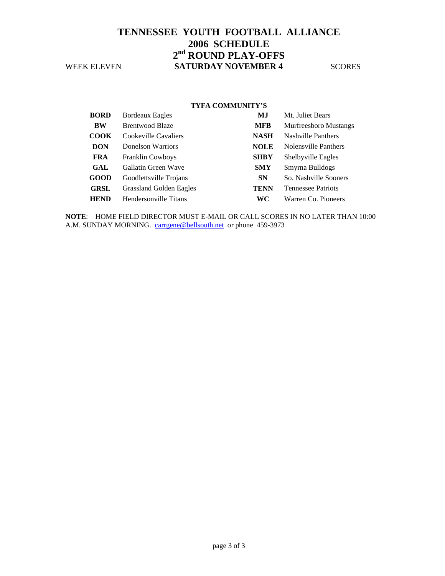### **TENNESSEE YOUTH FOOTBALL ALLIANCE 2006 SCHEDULE 2nd ROUND PLAY-OFFS WEEK ELEVEN SATURDAY NOVEMBER 4** SCORES

#### **TYFA COMMUNITY'S**

| <b>BORD</b> | <b>Bordeaux Eagles</b>         | MJ          | Mt. Juliet Bears             |
|-------------|--------------------------------|-------------|------------------------------|
| <b>BW</b>   | <b>Brentwood Blaze</b>         | <b>MFB</b>  | <b>Murfreesboro Mustangs</b> |
| <b>COOK</b> | Cookeville Cavaliers           | <b>NASH</b> | <b>Nashville Panthers</b>    |
| <b>DON</b>  | Donelson Warriors              | <b>NOLE</b> | Nolensville Panthers         |
| <b>FRA</b>  | <b>Franklin Cowboys</b>        | <b>SHBY</b> | Shelbyville Eagles           |
| GAL         | Gallatin Green Wave            | <b>SMY</b>  | Smyrna Bulldogs              |
| <b>GOOD</b> | Goodlettsville Trojans         | <b>SN</b>   | So. Nashville Sooners        |
| <b>GRSL</b> | <b>Grassland Golden Eagles</b> | <b>TENN</b> | <b>Tennessee Patriots</b>    |
| <b>HEND</b> | Hendersonville Titans          | WС          | Warren Co. Pioneers          |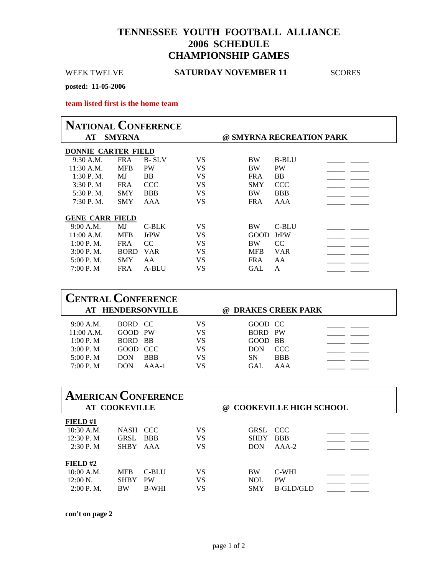### **TENNESSEE YOUTH FOOTBALL ALLIANCE 2006 SCHEDULE CHAMPIONSHIP GAMES**

### WEEK TWELVE **SATURDAY NOVEMBER 11**SCORES

**posted: 11-05-2006** 

**team listed first is the home team** 

| <b>NATIONAL CONFERENCE</b> |               |              |    |            |                          |  |
|----------------------------|---------------|--------------|----|------------|--------------------------|--|
| AT                         | <b>SMYRNA</b> |              |    |            | @ SMYRNA RECREATION PARK |  |
| <b>DONNIE CARTER FIELD</b> |               |              |    |            |                          |  |
| $9:30$ A.M.                | <b>FRA</b>    | <b>B-SLV</b> | VS | <b>BW</b>  | <b>B-BLU</b>             |  |
| $11:30$ A.M.               | <b>MFB</b>    | <b>PW</b>    | VS | <b>BW</b>  | <b>PW</b>                |  |
| $1:30P M$ .                | MJ            | <b>BB</b>    | VS | <b>FRA</b> | <b>BB</b>                |  |
| 3:30P. M                   | <b>FRA</b>    | <b>CCC</b>   | VS | <b>SMY</b> | <b>CCC</b>               |  |
| 5:30 P.M.                  | <b>SMY</b>    | <b>BBB</b>   | VS | <b>BW</b>  | <b>BBB</b>               |  |
| $7:30$ P.M.                | <b>SMY</b>    | AAA          | VS | <b>FRA</b> | AAA                      |  |
|                            |               |              |    |            |                          |  |
| <b>GENE CARR FIELD</b>     |               |              |    |            |                          |  |
| 9:00 A.M.                  | MJ            | $C-BLK$      | VS | <b>BW</b>  | C-BLU                    |  |
| $11:00$ A.M.               | <b>MFB</b>    | <b>JrPW</b>  | VS | GOOD       | <b>JrPW</b>              |  |
| 1:00 P. M.                 | <b>FRA</b>    | CC.          | VS | <b>BW</b>  | <sub>CC</sub>            |  |
| 3:00 P. M.                 | <b>BORD</b>   | <b>VAR</b>   | VS | <b>MFB</b> | <b>VAR</b>               |  |
| 5:00 P.M.                  | <b>SMY</b>    | AA           | VS | <b>FRA</b> | AA                       |  |
| 7:00 P.M                   | <b>FRA</b>    | A-BLU        | VS | <b>GAL</b> | A                        |  |
|                            |               |              |    |            |                          |  |

| <b>CENTRAL CONFERENCE</b> |            | AT HENDERSONVILLE |    | @ DRAKES CREEK PARK |            |
|---------------------------|------------|-------------------|----|---------------------|------------|
| 9:00 A.M.                 | BORD CC    |                   | VS | GOOD CC             |            |
| 11:00 A.M.                | GOOD PW    |                   | VS | BORD PW             |            |
| 1:00 P. M                 | BORD BB    |                   | VS | GOOD BB             |            |
| 3:00 P. M                 | GOOD CCC   |                   | VS | <b>DON</b>          | CCC.       |
| 5:00 P. M                 | <b>DON</b> | <b>BBB</b>        | VS | SΝ                  | <b>BBB</b> |
| 7:00 P. M                 | <b>DON</b> | $AAA-1$           | VS | GAL.                | AAA        |

| <b>AMERICAN CONFERENCE</b><br><b>AT COOKEVILLE</b><br><b>COOKEVILLE HIGH SCHOOL</b><br>(a) |                                           |                                    |                |                                       |                                 |  |
|--------------------------------------------------------------------------------------------|-------------------------------------------|------------------------------------|----------------|---------------------------------------|---------------------------------|--|
| FIELD#1<br>$10:30$ A.M.<br>12:30 P. M<br>2:30 P. M                                         | <b>NASH</b><br><b>GRSL</b><br><b>SHBY</b> | CCC.<br><b>BBB</b><br>AAA          | VS<br>VS<br>VS | GRSL CCC<br><b>SHBY</b><br><b>DON</b> | <b>BBB</b><br>$AA-2$            |  |
| FIELD# $2$<br>10:00 A.M.<br>$12:00 \text{ N}$ .<br>$2:00$ P.M.                             | <b>MFB</b><br><b>SHBY</b><br><b>BW</b>    | C-BLU<br><b>PW</b><br><b>B-WHI</b> | VS<br>VS<br>VS | <b>BW</b><br><b>NOL</b><br><b>SMY</b> | C-WHI<br><b>PW</b><br>B-GLD/GLD |  |

**con't on page 2** 

r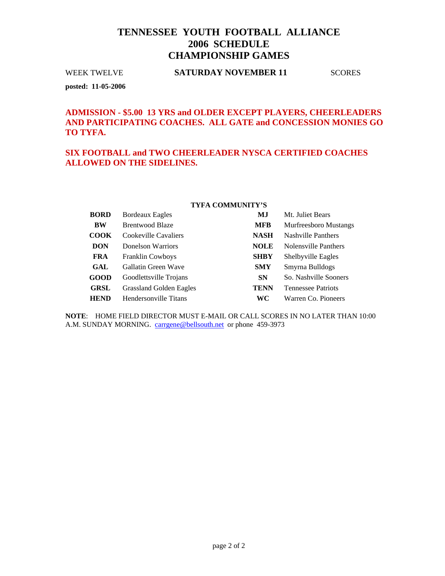### **TENNESSEE YOUTH FOOTBALL ALLIANCE 2006 SCHEDULE CHAMPIONSHIP GAMES**

#### WEEK TWELVE **SATURDAY NOVEMBER 11**SCORES

**posted: 11-05-2006** 

### **ADMISSION - \$5.00 13 YRS and OLDER EXCEPT PLAYERS, CHEERLEADERS AND PARTICIPATING COACHES. ALL GATE and CONCESSION MONIES GO TO TYFA.**

### **SIX FOOTBALL and TWO CHEERLEADER NYSCA CERTIFIED COACHES ALLOWED ON THE SIDELINES.**

#### **TYFA COMMUNITY'S**

| <b>BORD</b> | Bordeaux Eagles                | MJ          | Mt. Juliet Bears             |
|-------------|--------------------------------|-------------|------------------------------|
| BW          | <b>Brentwood Blaze</b>         | <b>MFB</b>  | <b>Murfreesboro Mustangs</b> |
| <b>COOK</b> | Cookeville Cavaliers           | <b>NASH</b> | <b>Nashville Panthers</b>    |
| <b>DON</b>  | Donelson Warriors              | <b>NOLE</b> | Nolensville Panthers         |
| <b>FRA</b>  | <b>Franklin Cowboys</b>        | <b>SHBY</b> | Shelbyville Eagles           |
| GAL         | Gallatin Green Wave            | <b>SMY</b>  | Smyrna Bulldogs              |
| <b>GOOD</b> | Goodlettsville Trojans         | <b>SN</b>   | So. Nashville Sooners        |
| <b>GRSL</b> | <b>Grassland Golden Eagles</b> | TENN        | <b>Tennessee Patriots</b>    |
| <b>HEND</b> | Hendersonville Titans          | WС          | Warren Co. Pioneers          |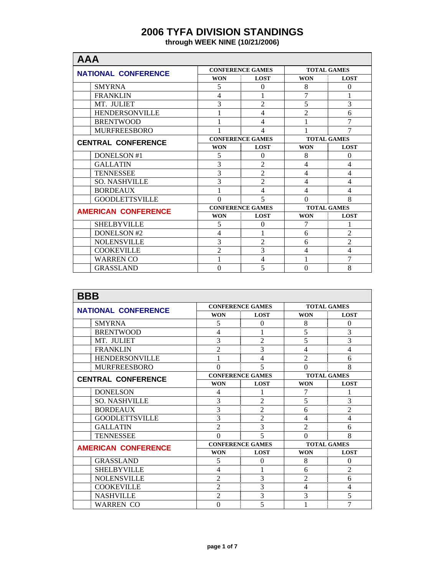## **2006 TYFA DIVISION STANDINGS**

**through WEEK NINE (10/21/2006)** 

| <b>AAA</b>                 |                |                         |                    |                          |  |  |
|----------------------------|----------------|-------------------------|--------------------|--------------------------|--|--|
| <b>NATIONAL CONFERENCE</b> |                | <b>CONFERENCE GAMES</b> |                    | <b>TOTAL GAMES</b>       |  |  |
|                            | <b>WON</b>     | <b>LOST</b>             | <b>WON</b>         | <b>LOST</b>              |  |  |
| <b>SMYRNA</b>              | 5              | $\Omega$                | 8                  | $\mathbf{0}$             |  |  |
| <b>FRANKLIN</b>            | 4              | 1                       | 7                  |                          |  |  |
| MT. JULIET                 | 3              | $\overline{2}$          | 5                  | 3                        |  |  |
| <b>HENDERSONVILLE</b>      |                | 4                       | $\overline{2}$     | 6                        |  |  |
| <b>BRENTWOOD</b>           |                | 4                       |                    | 7                        |  |  |
| <b>MURFREESBORO</b>        |                | 4                       |                    | 7                        |  |  |
| <b>CENTRAL CONFERENCE</b>  |                | <b>CONFERENCE GAMES</b> |                    | <b>TOTAL GAMES</b>       |  |  |
|                            | <b>WON</b>     | <b>LOST</b>             | <b>WON</b>         | <b>LOST</b>              |  |  |
| <b>DONELSON #1</b>         | 5              | $\Omega$                | 8                  | $\Omega$                 |  |  |
| <b>GALLATIN</b>            | 3              | $\overline{2}$          | $\overline{4}$     | $\overline{\mathcal{L}}$ |  |  |
| <b>TENNESSEE</b>           | 3              | $\overline{2}$          | $\overline{4}$     | $\overline{4}$           |  |  |
| <b>SO. NASHVILLE</b>       | 3              | $\overline{2}$          | $\overline{4}$     | $\overline{4}$           |  |  |
| <b>BORDEAUX</b>            |                | $\overline{4}$          | $\overline{4}$     | $\overline{4}$           |  |  |
| <b>GOODLETTSVILLE</b>      | $\Omega$       | 5                       | $\Omega$           | 8                        |  |  |
| <b>AMERICAN CONFERENCE</b> |                | <b>CONFERENCE GAMES</b> | <b>TOTAL GAMES</b> |                          |  |  |
|                            | <b>WON</b>     | <b>LOST</b>             | <b>WON</b>         | <b>LOST</b>              |  |  |
| <b>SHELBYVILLE</b>         | 5              | $\Omega$                | 7                  |                          |  |  |
| DONELSON #2                | 4              |                         | 6                  | $\overline{2}$           |  |  |
| <b>NOLENSVILLE</b>         | 3              | $\mathfrak{D}$          | 6                  | $\overline{2}$           |  |  |
| <b>COOKEVILLE</b>          | $\overline{2}$ | 3                       | 4                  | $\overline{4}$           |  |  |
| <b>WARREN CO</b>           |                | 4                       |                    | 7                        |  |  |
| <b>GRASSLAND</b>           | $\Omega$       | 5                       | $\theta$           | 8                        |  |  |

| <b>BBB</b>                 |                |                          |                    |                    |  |  |
|----------------------------|----------------|--------------------------|--------------------|--------------------|--|--|
| <b>NATIONAL CONFERENCE</b> |                | <b>CONFERENCE GAMES</b>  |                    | <b>TOTAL GAMES</b> |  |  |
|                            | <b>WON</b>     | <b>LOST</b>              | <b>WON</b>         | <b>LOST</b>        |  |  |
| <b>SMYRNA</b>              | 5              | $\Omega$                 | 8                  | $\Omega$           |  |  |
| <b>BRENTWOOD</b>           | $\overline{4}$ |                          | 5                  | 3                  |  |  |
| MT. JULIET                 | 3              | $\overline{2}$           | 5                  | 3                  |  |  |
| <b>FRANKLIN</b>            | $\overline{2}$ | 3                        | $\overline{4}$     | 4                  |  |  |
| <b>HENDERSONVILLE</b>      | 1              | 4                        | $\overline{2}$     | 6                  |  |  |
| <b>MURFREESBORO</b>        | 0              | $\overline{\phantom{0}}$ | $\theta$           | 8                  |  |  |
| <b>CENTRAL CONFERENCE</b>  |                | <b>CONFERENCE GAMES</b>  |                    | <b>TOTAL GAMES</b> |  |  |
|                            | <b>WON</b>     | <b>LOST</b>              | <b>WON</b>         | <b>LOST</b>        |  |  |
| <b>DONELSON</b>            | $\overline{4}$ |                          | 7                  |                    |  |  |
| <b>SO. NASHVILLE</b>       | 3              | $\overline{2}$           | 5                  | 3                  |  |  |
| <b>BORDEAUX</b>            | 3              | $\overline{2}$           | 6                  | $\overline{2}$     |  |  |
| <b>GOODLETTSVILLE</b>      | 3              | $\overline{2}$           | $\overline{4}$     | $\overline{4}$     |  |  |
| <b>GALLATIN</b>            | $\overline{c}$ | 3                        | $\overline{2}$     | 6                  |  |  |
| <b>TENNESSEE</b>           | $\Omega$       | $\overline{\phantom{0}}$ | $\theta$           | 8                  |  |  |
| <b>AMERICAN CONFERENCE</b> |                | <b>CONFERENCE GAMES</b>  | <b>TOTAL GAMES</b> |                    |  |  |
|                            | <b>WON</b>     | <b>LOST</b>              | <b>WON</b>         | <b>LOST</b>        |  |  |
| <b>GRASSLAND</b>           | 5              | 0                        | 8                  | $\Omega$           |  |  |
| <b>SHELBYVILLE</b>         | $\overline{4}$ |                          | 6                  | $\overline{c}$     |  |  |
| <b>NOLENSVILLE</b>         | 2              | 3                        | $\overline{2}$     | 6                  |  |  |
| <b>COOKEVILLE</b>          | $\overline{2}$ | 3                        | $\overline{4}$     | $\overline{4}$     |  |  |
| <b>NASHVILLE</b>           | $\overline{2}$ | 3                        | 3                  | 5                  |  |  |
| <b>WARREN CO</b>           | 0              | 5                        |                    | 7                  |  |  |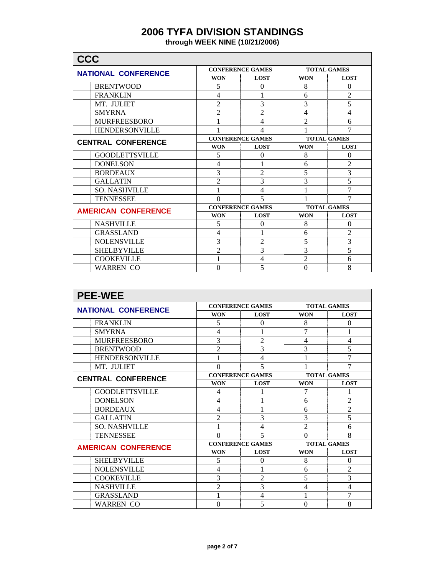# **2006 TYFA DIVISION STANDINGS**

**through WEEK NINE (10/21/2006)** 

| <b>CCC</b>                 |                |                         |                    |                    |  |
|----------------------------|----------------|-------------------------|--------------------|--------------------|--|
| <b>NATIONAL CONFERENCE</b> |                | <b>CONFERENCE GAMES</b> |                    | <b>TOTAL GAMES</b> |  |
|                            | <b>WON</b>     | <b>LOST</b>             | <b>WON</b>         | <b>LOST</b>        |  |
| <b>BRENTWOOD</b>           | 5              | $\theta$                | 8                  | $\theta$           |  |
| <b>FRANKLIN</b>            | 4              |                         | 6                  | $\overline{2}$     |  |
| MT. JULIET                 | $\overline{2}$ | 3                       | 3                  | 5                  |  |
| <b>SMYRNA</b>              | $\overline{2}$ | $\overline{2}$          | 4                  | 4                  |  |
| <b>MURFREESBORO</b>        |                | 4                       | $\overline{2}$     | 6                  |  |
| <b>HENDERSONVILLE</b>      |                | 4                       |                    | 7                  |  |
| <b>CENTRAL CONFERENCE</b>  |                | <b>CONFERENCE GAMES</b> | <b>TOTAL GAMES</b> |                    |  |
|                            | <b>WON</b>     | <b>LOST</b>             | <b>WON</b>         | <b>LOST</b>        |  |
| <b>GOODLETTSVILLE</b>      | 5              | $\Omega$                | 8                  | $\Omega$           |  |
| <b>DONELSON</b>            | 4              |                         | 6                  | $\overline{c}$     |  |
| <b>BORDEAUX</b>            | 3              | $\overline{2}$          | 5                  | 3                  |  |
| <b>GALLATIN</b>            | $\overline{2}$ | 3                       | 3                  | 5                  |  |
| <b>SO. NASHVILLE</b>       | 1              | 4                       |                    | 7                  |  |
| <b>TENNESSEE</b>           | 0              | 5                       |                    | 7                  |  |
| <b>AMERICAN CONFERENCE</b> |                | <b>CONFERENCE GAMES</b> | <b>TOTAL GAMES</b> |                    |  |
|                            | <b>WON</b>     | <b>LOST</b>             | <b>WON</b>         | <b>LOST</b>        |  |
| <b>NASHVILLE</b>           | 5              | $\Omega$                | 8                  | $\theta$           |  |
| <b>GRASSLAND</b>           | 4              |                         | 6                  | 2                  |  |
| <b>NOLENSVILLE</b>         | 3              | $\mathfrak{D}$          | 5                  | 3                  |  |
| <b>SHELBYVILLE</b>         | $\overline{2}$ | 3                       | 3                  | 5                  |  |
| <b>COOKEVILLE</b>          |                | 4                       | $\overline{2}$     | 6                  |  |
| <b>WARREN CO</b>           | $\theta$       | 5                       | $\theta$           | 8                  |  |

| <b>PEE-WEE</b>             |                         |                          |                    |                    |
|----------------------------|-------------------------|--------------------------|--------------------|--------------------|
| <b>NATIONAL CONFERENCE</b> |                         | <b>CONFERENCE GAMES</b>  |                    | <b>TOTAL GAMES</b> |
|                            | <b>WON</b>              | <b>LOST</b>              | <b>WON</b>         | <b>LOST</b>        |
| <b>FRANKLIN</b>            | 5                       | $\Omega$                 | 8                  | $\Omega$           |
| <b>SMYRNA</b>              | 4                       |                          | 7                  |                    |
| <b>MURFREESBORO</b>        | 3                       | $\overline{c}$           | $\overline{4}$     | 4                  |
| <b>BRENTWOOD</b>           | $\overline{2}$          | 3                        | 3                  | 5                  |
| <b>HENDERSONVILLE</b>      | 1                       | 4                        | 1                  | 7                  |
| MT. JULIET                 | $\theta$                | $\overline{\phantom{0}}$ |                    | 7                  |
| <b>CENTRAL CONFERENCE</b>  |                         | <b>CONFERENCE GAMES</b>  |                    | <b>TOTAL GAMES</b> |
|                            | <b>WON</b>              | <b>LOST</b>              | <b>WON</b>         | <b>LOST</b>        |
| <b>GOODLETTSVILLE</b>      | 4                       |                          | 7                  |                    |
| <b>DONELSON</b>            | $\overline{4}$          |                          | 6                  | $\overline{2}$     |
| <b>BORDEAUX</b>            | 4                       | 1                        | 6                  | $\overline{2}$     |
| <b>GALLATIN</b>            | $\overline{2}$          | 3                        | 3                  | 5                  |
| <b>SO. NASHVILLE</b>       | 1                       | 4                        | $\overline{2}$     | 6                  |
| <b>TENNESSEE</b>           | $\theta$                | $\overline{\mathcal{L}}$ | $\theta$           | 8                  |
| <b>AMERICAN CONFERENCE</b> | <b>CONFERENCE GAMES</b> |                          | <b>TOTAL GAMES</b> |                    |
|                            | <b>WON</b>              | <b>LOST</b>              | <b>WON</b>         | <b>LOST</b>        |
| <b>SHELBYVILLE</b>         | 5                       | $\theta$                 | 8                  | $\theta$           |
| <b>NOLENSVILLE</b>         | $\overline{4}$          |                          | 6                  | $\overline{2}$     |
| <b>COOKEVILLE</b>          | 3                       | $\overline{c}$           | 5                  | 3                  |
| <b>NASHVILLE</b>           | $\overline{2}$          | 3                        | $\overline{4}$     | $\overline{4}$     |
| <b>GRASSLAND</b>           | 1                       | 4                        | 1                  | 7                  |
| <b>WARREN CO</b>           | $\theta$                | 5                        | $\theta$           | 8                  |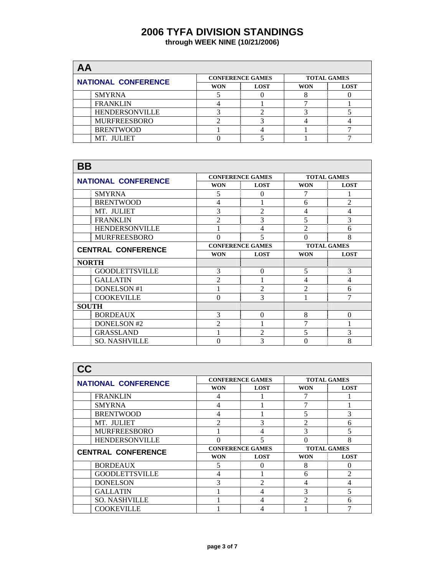# **2006 TYFA DIVISION STANDINGS**

| through WEEK NINE (10/21/2006) |  |  |  |  |
|--------------------------------|--|--|--|--|
|--------------------------------|--|--|--|--|

| AA                         |            |                         |                    |             |  |  |  |
|----------------------------|------------|-------------------------|--------------------|-------------|--|--|--|
| <b>NATIONAL CONFERENCE</b> |            | <b>CONFERENCE GAMES</b> | <b>TOTAL GAMES</b> |             |  |  |  |
|                            | <b>WON</b> | <b>LOST</b>             | <b>WON</b>         | <b>LOST</b> |  |  |  |
| <b>SMYRNA</b>              |            |                         |                    |             |  |  |  |
| <b>FRANKLIN</b>            |            |                         |                    |             |  |  |  |
| <b>HENDERSONVILLE</b>      |            |                         |                    |             |  |  |  |
| <b>MURFREESBORO</b>        |            |                         |                    |             |  |  |  |
| <b>BRENTWOOD</b>           |            |                         |                    |             |  |  |  |
| MT. JULIET                 |            |                         |                    |             |  |  |  |

| <b>BB</b>                  |                         |                         |                    |                    |
|----------------------------|-------------------------|-------------------------|--------------------|--------------------|
| <b>NATIONAL CONFERENCE</b> |                         | <b>CONFERENCE GAMES</b> |                    | <b>TOTAL GAMES</b> |
|                            | <b>WON</b>              | <b>LOST</b>             | <b>WON</b>         | <b>LOST</b>        |
| <b>SMYRNA</b>              | 5                       | $\Omega$                | 7                  |                    |
| <b>BRENTWOOD</b>           | 4                       |                         | 6                  | $\overline{2}$     |
| MT. JULIET                 | 3                       | $\overline{c}$          | 4                  | 4                  |
| <b>FRANKLIN</b>            | $\overline{c}$          | 3                       | 5                  | 3                  |
| <b>HENDERSONVILLE</b>      |                         | 4                       | $\overline{2}$     | 6                  |
| <b>MURFREESBORO</b>        | $\Omega$                | 5                       | 0                  | 8                  |
| <b>CENTRAL CONFERENCE</b>  | <b>CONFERENCE GAMES</b> |                         | <b>TOTAL GAMES</b> |                    |
|                            | <b>WON</b>              | <b>LOST</b>             | <b>WON</b>         | <b>LOST</b>        |
| <b>NORTH</b>               |                         |                         |                    |                    |
| <b>GOODLETTSVILLE</b>      | 3                       | $\Omega$                | 5                  | 3                  |
| <b>GALLATIN</b>            | $\overline{c}$          |                         | 4                  | 4                  |
| <b>DONELSON#1</b>          | 1                       | $\overline{c}$          | $\overline{2}$     | 6                  |
| <b>COOKEVILLE</b>          | 0                       | 3                       |                    |                    |
| <b>SOUTH</b>               |                         |                         |                    |                    |
| <b>BORDEAUX</b>            | 3                       | $\Omega$                | 8                  | $\Omega$           |
| <b>DONELSON#2</b>          | $\overline{2}$          |                         | 7                  |                    |
| <b>GRASSLAND</b>           |                         | 2                       | 5                  | 3                  |
| <b>SO. NASHVILLE</b>       | 0                       | 3                       | 0                  | 8                  |

| CC                         |                         |                         |                |                    |
|----------------------------|-------------------------|-------------------------|----------------|--------------------|
| <b>NATIONAL CONFERENCE</b> |                         | <b>CONFERENCE GAMES</b> |                | <b>TOTAL GAMES</b> |
|                            | <b>WON</b>              | <b>LOST</b>             | <b>WON</b>     | <b>LOST</b>        |
| <b>FRANKLIN</b>            | 4                       |                         |                |                    |
| <b>SMYRNA</b>              | 4                       |                         | 7              |                    |
| <b>BRENTWOOD</b>           | 4                       |                         | 5              | 3                  |
| MT. JULIET                 | $\mathfrak{D}$          | 3                       | $\mathfrak{D}$ | 6                  |
| <b>MURFREESBORO</b>        |                         | 4                       | 3              |                    |
| <b>HENDERSONVILLE</b>      | 0                       | 5                       | $\Omega$       | 8                  |
| <b>CENTRAL CONFERENCE</b>  | <b>CONFERENCE GAMES</b> |                         |                | <b>TOTAL GAMES</b> |
|                            | <b>WON</b>              | <b>LOST</b>             | <b>WON</b>     | <b>LOST</b>        |
| <b>BORDEAUX</b>            | 5                       |                         | 8              | 0                  |
| <b>GOODLETTSVILLE</b>      | 4                       |                         | 6              | $\mathfrak{D}$     |
| <b>DONELSON</b>            | 3                       | $\mathfrak{D}$          | 4              | 4                  |
| <b>GALLATIN</b>            |                         | 4                       | 3              | 5                  |
| <b>SO. NASHVILLE</b>       |                         | 4                       | $\mathfrak{D}$ | 6                  |
| <b>COOKEVILLE</b>          |                         |                         |                |                    |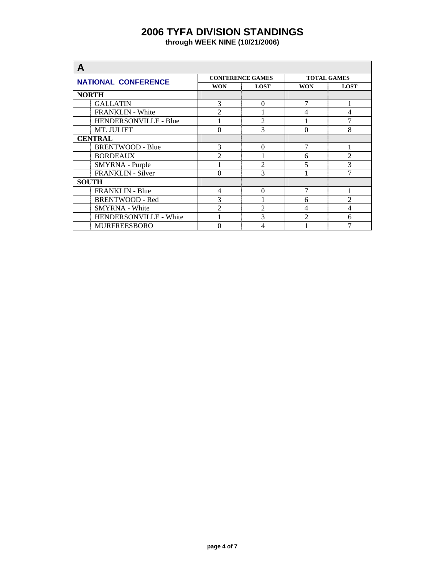| А                          |                |                         |                |                    |  |  |
|----------------------------|----------------|-------------------------|----------------|--------------------|--|--|
| <b>NATIONAL CONFERENCE</b> |                | <b>CONFERENCE GAMES</b> |                | <b>TOTAL GAMES</b> |  |  |
|                            | <b>WON</b>     | <b>LOST</b>             | <b>WON</b>     | <b>LOST</b>        |  |  |
| <b>NORTH</b>               |                |                         |                |                    |  |  |
| <b>GALLATIN</b>            | 3              | $\Omega$                | 7              |                    |  |  |
| FRANKLIN - White           | $\overline{2}$ |                         | $\overline{4}$ | 4                  |  |  |
| HENDERSONVILLE - Blue      |                | $\overline{2}$          |                | 7                  |  |  |
| MT. JULIET                 | $\theta$       | 3                       | $\Omega$       | 8                  |  |  |
| <b>CENTRAL</b>             |                |                         |                |                    |  |  |
| <b>BRENTWOOD - Blue</b>    | 3              | $\Omega$                | $\overline{7}$ |                    |  |  |
| <b>BORDEAUX</b>            | $\mathfrak{D}$ |                         | 6              | $\mathfrak{D}$     |  |  |
| SMYRNA - Purple            |                | $\mathfrak{D}$          | 5              | 3                  |  |  |
| <b>FRANKLIN - Silver</b>   | $\theta$       | 3                       |                | 7                  |  |  |
| <b>SOUTH</b>               |                |                         |                |                    |  |  |
| <b>FRANKLIN - Blue</b>     | $\overline{4}$ | $\Omega$                | 7              |                    |  |  |
| <b>BRENTWOOD - Red</b>     | 3              |                         | 6              | $\mathfrak{D}$     |  |  |
| <b>SMYRNA</b> - White      | $\mathfrak{D}$ | $\mathfrak{D}$          | 4              | 4                  |  |  |
| HENDERSONVILLE - White     |                | 3                       | $\mathfrak{D}$ | 6                  |  |  |
| <b>MURFREESBORO</b>        | 0              | 4                       |                | 7                  |  |  |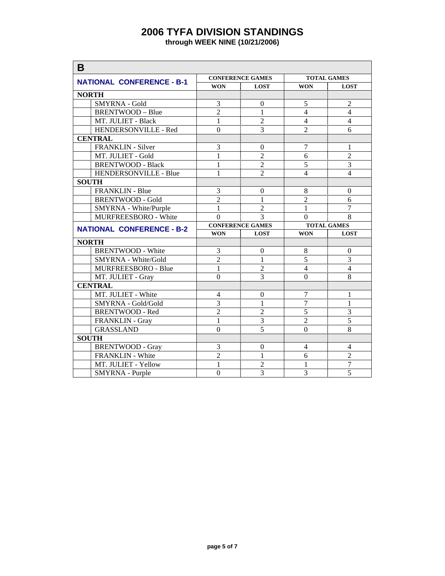| B                                      |                  |                                  |                     |                                  |
|----------------------------------------|------------------|----------------------------------|---------------------|----------------------------------|
|                                        |                  | <b>CONFERENCE GAMES</b>          |                     | <b>TOTAL GAMES</b>               |
| <b>NATIONAL CONFERENCE - B-1</b>       | <b>WON</b>       | <b>LOST</b>                      | <b>WON</b>          | <b>LOST</b>                      |
| <b>NORTH</b>                           |                  |                                  |                     |                                  |
| <b>SMYRNA - Gold</b>                   | 3                | $\boldsymbol{0}$                 | 5                   | $\overline{c}$                   |
| <b>BRENTWOOD - Blue</b>                | $\overline{2}$   | $\mathbf{1}$                     | $\overline{4}$      | $\overline{4}$                   |
| MT. JULIET - Black                     | $\mathbf 1$      | $\overline{2}$                   | $\overline{4}$      | $\overline{4}$                   |
| HENDERSONVILLE - Red                   | $\mathbf{0}$     | $\overline{3}$                   | $\overline{2}$      | 6                                |
| <b>CENTRAL</b>                         |                  |                                  |                     |                                  |
| <b>FRANKLIN - Silver</b>               | 3                | $\Omega$                         | $\overline{7}$      | 1                                |
| MT. JULIET - Gold                      | $\mathbf{1}$     | $\overline{2}$                   | 6                   | $\overline{2}$                   |
| <b>BRENTWOOD - Black</b>               | $\mathbf{1}$     | $\overline{2}$                   | 5                   | $\overline{3}$                   |
| HENDERSONVILLE - Blue                  | $\mathbf{1}$     | $\overline{2}$                   | $\overline{4}$      | $\overline{4}$                   |
| <b>SOUTH</b>                           |                  |                                  |                     |                                  |
| <b>FRANKLIN - Blue</b>                 | 3                | $\mathbf{0}$                     | 8                   | $\boldsymbol{0}$                 |
| <b>BRENTWOOD - Gold</b>                | $\overline{c}$   | $\mathbf{1}$                     | $\overline{2}$      | 6                                |
| SMYRNA - White/Purple                  | $\mathbf{1}$     | $\overline{2}$                   | $\mathbf{1}$        | $\overline{7}$                   |
| MURFREESBORO - White                   | $\overline{0}$   | $\overline{3}$                   | $\Omega$            | 8                                |
|                                        |                  |                                  |                     |                                  |
|                                        |                  | <b>CONFERENCE GAMES</b>          |                     | <b>TOTAL GAMES</b>               |
| <b>NATIONAL CONFERENCE - B-2</b>       | <b>WON</b>       | <b>LOST</b>                      | <b>WON</b>          | <b>LOST</b>                      |
| <b>NORTH</b>                           |                  |                                  |                     |                                  |
| <b>BRENTWOOD - White</b>               | 3                | $\boldsymbol{0}$                 | 8                   | $\boldsymbol{0}$                 |
| SMYRNA - White/Gold                    | $\overline{2}$   | $\mathbf{1}$                     | $\overline{5}$      | $\overline{3}$                   |
| MURFREESBORO - Blue                    | $\mathbf{1}$     | $\overline{2}$                   | $\overline{4}$      | $\overline{4}$                   |
| MT. JULIET - Gray                      | $\overline{0}$   | $\overline{3}$                   | $\Omega$            | $\overline{8}$                   |
| <b>CENTRAL</b>                         |                  |                                  |                     |                                  |
| MT. JULIET - White                     | $\overline{4}$   | $\mathbf{0}$                     | $\overline{7}$      | 1                                |
| SMYRNA - Gold/Gold                     | 3                | 1                                | 7                   | 1                                |
| <b>BRENTWOOD - Red</b>                 | $\overline{2}$   | $\overline{2}$                   | $\overline{5}$      | $\overline{3}$                   |
| FRANKLIN - Gray                        | 1                | 3                                | $\overline{2}$      | 5                                |
| <b>GRASSLAND</b>                       | $\boldsymbol{0}$ | 5                                | $\theta$            | 8                                |
| <b>SOUTH</b>                           |                  |                                  |                     |                                  |
| <b>BRENTWOOD - Gray</b>                | 3                | $\boldsymbol{0}$                 | $\overline{4}$      | 4                                |
| FRANKLIN - White                       | $\overline{2}$   | $\mathbf{1}$                     | 6                   | $\overline{2}$                   |
| MT. JULIET - Yellow<br>SMYRNA - Purple | $\mathbf{1}$     | $\overline{2}$<br>$\overline{3}$ | 1<br>$\overline{3}$ | $\overline{7}$<br>$\overline{5}$ |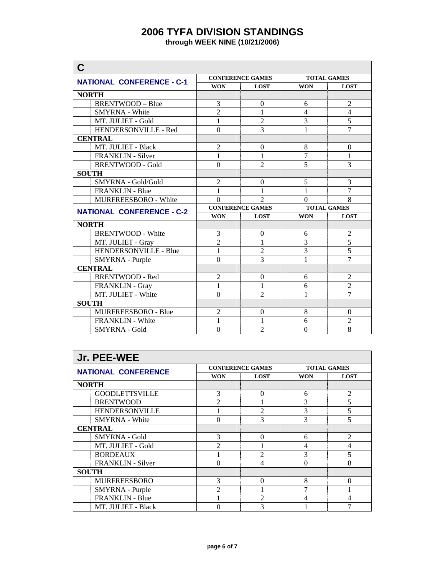| C                                |                         |                         |                    |                    |  |
|----------------------------------|-------------------------|-------------------------|--------------------|--------------------|--|
| <b>NATIONAL CONFERENCE - C-1</b> |                         | <b>CONFERENCE GAMES</b> | <b>TOTAL GAMES</b> |                    |  |
|                                  | <b>WON</b>              | <b>LOST</b>             | <b>WON</b>         | <b>LOST</b>        |  |
| <b>NORTH</b>                     |                         |                         |                    |                    |  |
| <b>BRENTWOOD - Blue</b>          | 3                       | $\overline{0}$          | 6                  | $\overline{2}$     |  |
| <b>SMYRNA</b> - White            | $\overline{2}$          | $\mathbf{1}$            | $\overline{4}$     | $\overline{4}$     |  |
| MT. JULIET - Gold                | 1                       | $\overline{2}$          | 3                  | 5                  |  |
| HENDERSONVILLE - Red             | $\theta$                | 3                       | 1                  | $\overline{7}$     |  |
| <b>CENTRAL</b>                   |                         |                         |                    |                    |  |
| MT. JULIET - Black               | $\overline{2}$          | $\theta$                | 8                  | $\theta$           |  |
| <b>FRANKLIN</b> - Silver         | $\mathbf{1}$            | $\mathbf{1}$            | $\overline{7}$     | $\mathbf{1}$       |  |
| <b>BRENTWOOD - Gold</b>          | $\theta$                | $\overline{2}$          | 5                  | 3                  |  |
| <b>SOUTH</b>                     |                         |                         |                    |                    |  |
| SMYRNA - Gold/Gold               | $\overline{2}$          | $\overline{0}$          | 5                  | 3                  |  |
| <b>FRANKLIN - Blue</b>           | 1                       | $\mathbf{1}$            | 1                  | $\overline{7}$     |  |
| <b>MURFREESBORO - White</b>      | $\theta$                | $\overline{2}$          | $\Omega$           | 8                  |  |
| <b>NATIONAL CONFERENCE - C-2</b> | <b>CONFERENCE GAMES</b> |                         |                    | <b>TOTAL GAMES</b> |  |
|                                  | <b>WON</b>              | <b>LOST</b>             | <b>WON</b>         | <b>LOST</b>        |  |
| <b>NORTH</b>                     |                         |                         |                    |                    |  |
| <b>BRENTWOOD - White</b>         | 3                       | $\theta$                | 6                  | $\overline{c}$     |  |
| MT. JULIET - Gray                | $\overline{2}$          | 1                       | 3                  | $\overline{5}$     |  |
| HENDERSONVILLE - Blue            | $\mathbf{1}$            | $\overline{c}$          | $\overline{3}$     | $\overline{5}$     |  |
| SMYRNA - Purple                  | $\theta$                | $\overline{3}$          | $\mathbf{1}$       | $\overline{7}$     |  |
| <b>CENTRAL</b>                   |                         |                         |                    |                    |  |
| <b>BRENTWOOD - Red</b>           | $\overline{c}$          | $\theta$                | 6                  | $\overline{2}$     |  |
| FRANKLIN - Gray                  | $\mathbf{1}$            | $\mathbf{1}$            | 6                  | $\overline{2}$     |  |
| MT. JULIET - White               | $\boldsymbol{0}$        | $\overline{2}$          | 1                  | $\overline{7}$     |  |
| <b>SOUTH</b>                     |                         |                         |                    |                    |  |
| MURFREESBORO - Blue              | $\overline{2}$          | $\mathbf{0}$            | 8                  | $\Omega$           |  |
| <b>FRANKLIN</b> - White          | 1                       | 1                       | 6                  | $\overline{2}$     |  |
| <b>SMYRNA - Gold</b>             | $\mathbf{0}$            | $\overline{2}$          | $\boldsymbol{0}$   | 8                  |  |

| Jr. PEE-WEE                |                |                         |            |                    |  |  |
|----------------------------|----------------|-------------------------|------------|--------------------|--|--|
| <b>NATIONAL CONFERENCE</b> |                | <b>CONFERENCE GAMES</b> |            | <b>TOTAL GAMES</b> |  |  |
|                            | <b>WON</b>     | <b>LOST</b>             | <b>WON</b> | <b>LOST</b>        |  |  |
| <b>NORTH</b>               |                |                         |            |                    |  |  |
| <b>GOODLETTSVILLE</b>      | 3              | $\Omega$                | 6          | $\overline{2}$     |  |  |
| <b>BRENTWOOD</b>           | $\mathfrak{D}$ |                         | 3          | 5                  |  |  |
| <b>HENDERSONVILLE</b>      |                | $\mathfrak{D}$          | 3          | 5                  |  |  |
| <b>SMYRNA</b> - White      | $\theta$       | 3                       | 3          | 5                  |  |  |
| <b>CENTRAL</b>             |                |                         |            |                    |  |  |
| <b>SMYRNA - Gold</b>       | 3              | $\Omega$                | 6          | $\mathfrak{D}$     |  |  |
| MT. JULIET - Gold          | $\mathfrak{D}$ |                         | 4          | 4                  |  |  |
| <b>BORDEAUX</b>            |                | $\mathfrak{D}$          | 3          | 5                  |  |  |
| <b>FRANKLIN</b> - Silver   | $\theta$       | 4                       | $\theta$   | 8                  |  |  |
| <b>SOUTH</b>               |                |                         |            |                    |  |  |
| <b>MURFREESBORO</b>        | 3              | $\Omega$                | 8          | 0                  |  |  |
| SMYRNA - Purple            | $\mathfrak{D}$ |                         | 7          |                    |  |  |
| <b>FRANKLIN - Blue</b>     |                | っ                       | 4          | 4                  |  |  |
| MT. JULIET - Black         | 0              | 3                       |            | 7                  |  |  |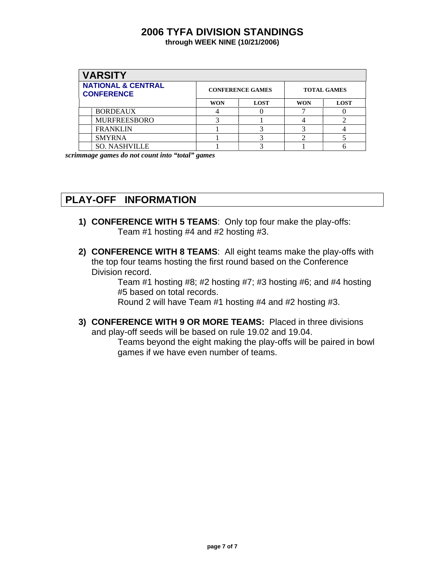| <b>VARSITY</b>                                     |            |                         |            |                    |
|----------------------------------------------------|------------|-------------------------|------------|--------------------|
| <b>NATIONAL &amp; CENTRAL</b><br><b>CONFERENCE</b> |            | <b>CONFERENCE GAMES</b> |            | <b>TOTAL GAMES</b> |
|                                                    | <b>WON</b> | <b>LOST</b>             | <b>WON</b> | <b>LOST</b>        |
| <b>BORDEAUX</b>                                    |            |                         |            |                    |
| <b>MURFREESBORO</b>                                |            |                         |            |                    |
| <b>FRANKLIN</b>                                    |            |                         |            |                    |
| <b>SMYRNA</b>                                      |            |                         |            |                    |
| <b>SO. NASHVILLE</b>                               |            |                         |            |                    |

*scrimmage games do not count into "total" games*

## **PLAY-OFF INFORMATION**

- **1) CONFERENCE WITH 5 TEAMS**: Only top four make the play-offs: Team #1 hosting #4 and #2 hosting #3.
- **2) CONFERENCE WITH 8 TEAMS**: All eight teams make the play-offs with the top four teams hosting the first round based on the Conference Division record.

Team #1 hosting #8; #2 hosting #7; #3 hosting #6; and #4 hosting #5 based on total records.

Round 2 will have Team #1 hosting #4 and #2 hosting #3.

**3) CONFERENCE WITH 9 OR MORE TEAMS:** Placed in three divisions and play-off seeds will be based on rule 19.02 and 19.04.

> Teams beyond the eight making the play-offs will be paired in bowl games if we have even number of teams.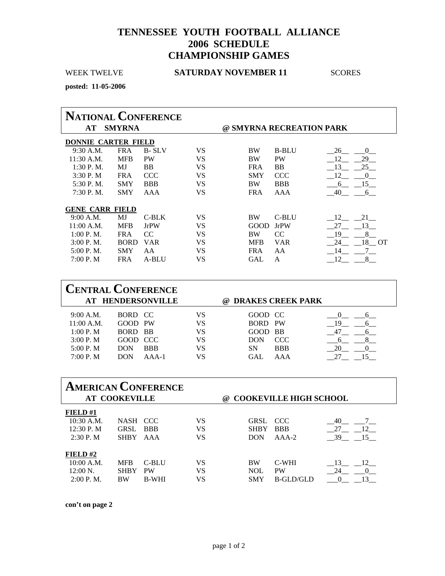### **TENNESSEE YOUTH FOOTBALL ALLIANCE 2006 SCHEDULE CHAMPIONSHIP GAMES**

### WEEK TWELVE **SATURDAY NOVEMBER 11**SCORES

**posted: 11-05-2006** 

| <b>NATIONAL CONFERENCE</b>                      |             |              |    |            |              |                  |
|-------------------------------------------------|-------------|--------------|----|------------|--------------|------------------|
| <b>SMYRNA</b><br>@ SMYRNA RECREATION PARK<br>AT |             |              |    |            |              |                  |
| DONNIE CARTER FIELD                             |             |              |    |            |              |                  |
| 9:30 A.M.                                       | <b>FRA</b>  | <b>B-SLV</b> | VS | <b>BW</b>  | <b>B-BLU</b> | 26<br>$\Omega$   |
| $11:30$ A.M.                                    | <b>MFB</b>  | <b>PW</b>    | VS | <b>BW</b>  | <b>PW</b>    | 29<br>12         |
| $1:30$ P.M.                                     | MJ          | <b>BB</b>    | VS | <b>FRA</b> | <b>BB</b>    | 25<br>13         |
| 3:30P. M                                        | <b>FRA</b>  | CCC          | VS | <b>SMY</b> | <b>CCC</b>   | 12<br>$\left($   |
| 5:30 P.M.                                       | <b>SMY</b>  | <b>BBB</b>   | VS | <b>BW</b>  | <b>BBB</b>   | 15<br>6          |
| 7:30 P.M.                                       | <b>SMY</b>  | AAA          | VS | <b>FRA</b> | AAA          | 40<br>6          |
| <b>GENE CARR FIELD</b>                          |             |              |    |            |              |                  |
| 9:00 A.M.                                       | MJ          | C-BLK        | VS | <b>BW</b>  | C-BLU        | 12<br>21         |
| 11:00 A.M.                                      | <b>MFB</b>  | <b>JrPW</b>  | VS | GOOD       | <b>JrPW</b>  | 13<br>27         |
| 1:00 P. M.                                      | <b>FRA</b>  | CC.          | VS | <b>BW</b>  | CC.          | 8<br>19          |
| 3:00 P. M.                                      | <b>BORD</b> | <b>VAR</b>   | VS | <b>MFB</b> | <b>VAR</b>   | 18<br>24<br>– OT |
| 5:00 P. M.                                      | <b>SMY</b>  | AA           | VS | FR A       | AA           | 14               |
| 7:00 P. M                                       | <b>FRA</b>  | A-BLU        | VS | GAL        | A            |                  |

| <b>CENTRAL CONFERENCE</b>                           |                                           |                           |                      |                                                    |                   |    |
|-----------------------------------------------------|-------------------------------------------|---------------------------|----------------------|----------------------------------------------------|-------------------|----|
|                                                     |                                           | AT HENDERSONVILLE         |                      | <b>DRAKES CREEK PARK</b><br>(a)                    |                   |    |
| 9:00 A.M.<br>$11:00$ A.M.<br>1:00 P. M<br>3:00 P. M | BORD CC<br>GOOD PW<br>BORD BB<br>GOOD CCC |                           | VS<br>VS<br>VS<br>VS | GOOD CC<br><b>BORD PW</b><br>GOOD BB<br><b>DON</b> | CCC               | 19 |
| 5:00 P. M<br>7:00 P. M                              | <b>DON</b><br><b>DON</b>                  | <b>BBB</b><br>$A A A - 1$ | VS<br>VS             | SΝ<br>GAL.                                         | <b>BBB</b><br>AAA |    |

| <b>AMERICAN CONFERENCE</b><br><b>AT COOKEVILLE</b> |             |              |    | <b>COOKEVILLE HIGH SCHOOL</b><br>$\omega$ |            |                       |  |
|----------------------------------------------------|-------------|--------------|----|-------------------------------------------|------------|-----------------------|--|
| FIELD#1                                            |             |              |    |                                           |            |                       |  |
| $10:30$ A.M.                                       | NASH CCC    |              | VS | GRSL                                      | CCC.       | 40                    |  |
| 12:30 P.M                                          | GRSL        | <b>BBB</b>   | VS | <b>SHBY</b>                               | <b>BBB</b> | 27<br>12              |  |
| 2:30P. M                                           | <b>SHBY</b> | AAA          | VS | <b>DON</b>                                | $AAA-2$    | 39<br>15              |  |
| FIELD# $2$                                         |             |              |    |                                           |            |                       |  |
| 10:00 A.M.                                         | <b>MFB</b>  | C-BLU        | VS | <b>BW</b>                                 | C-WHI      | 13<br>$\overline{12}$ |  |
| $12:00 N$ .                                        | <b>SHBY</b> | <b>PW</b>    | VS | <b>NOL</b>                                | <b>PW</b>  | 24                    |  |
| 2:00 P. M.                                         | <b>BW</b>   | <b>B-WHI</b> | VS | <b>SMY</b>                                | B-GLD/GLD  |                       |  |

**con't on page 2**